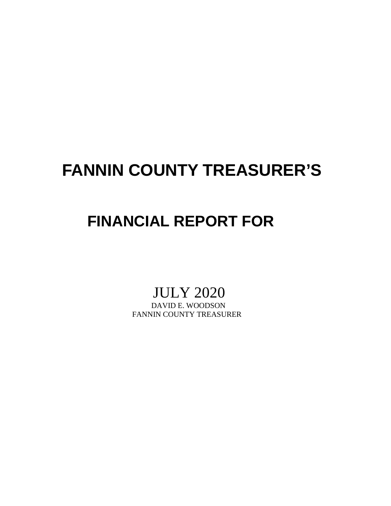## **FANNIN COUNTY TREASURER'S**

## **FINANCIAL REPORT FOR**

# JULY 2020<br>DAVID E. WOODSON

FANNIN COUNTY TREASURER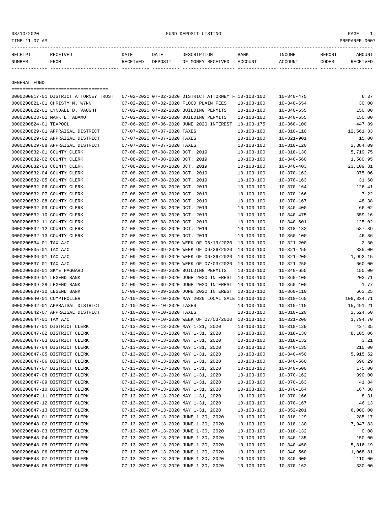| アロレロ   |     | DATF | חמח |    | <b>BANK</b> | <b>REPORT</b> |  |
|--------|-----|------|-----|----|-------------|---------------|--|
| NUMBER | ᄗᄆᄉ |      |     | ∩F | 'OTTN       | פ⊽ח∩י         |  |

------------- ------------------------- ---------- ---------- ------------------- -------------- -------------- ------ ------------

GENERAL FUND

|                              | ====================================== |                                 |                                                      |                  |                  |            |
|------------------------------|----------------------------------------|---------------------------------|------------------------------------------------------|------------------|------------------|------------|
|                              | 0000200817-01 DISTRICT ATTORNEY TRUST  |                                 | 07-02-2020 07-02-2020 DISTRICT ATTORNEY F 10-103-100 |                  | $10 - 340 - 475$ | 6.37       |
|                              | 0000200821-01 CHRISTY M. WYNN          |                                 | 07-02-2020 07-02-2020 FLOOD PLAIN FEES               | $10 - 103 - 100$ | $10 - 340 - 654$ | 30.00      |
|                              | 0000200822-01 LYNDALL D. VAUGHT        |                                 | 07-02-2020 07-02-2020 BUILDING PERMITS               | 10-103-100       | $10 - 340 - 655$ | 150.00     |
| 0000200823-01 MARK L. ADAMO  |                                        |                                 | 07-02-2020 07-02-2020 BUILDING PERMITS               | $10 - 103 - 100$ | $10 - 340 - 655$ | 150.00     |
| 0000200824-01 TEXPOOL        |                                        |                                 | 07-06-2020 07-06-2020 JUNE 2020 INTEREST             | 10-103-175       | $10 - 360 - 100$ | 447.89     |
|                              | 0000200829-01 APPRAISAL DISTRICT       | 07-07-2020 07-07-2020 TAXES     |                                                      | $10 - 103 - 100$ | $10 - 310 - 110$ | 12,561.33  |
|                              | 0000200829-02 APPRAISAL DISTRICT       | 07-07-2020 07-07-2020 TAXES     |                                                      | $10 - 103 - 100$ | $10 - 321 - 901$ | 15.00      |
|                              | 0000200829-08 APPRAISAL DISTRICT       | 07-07-2020 07-07-2020 TAXES     |                                                      | $10 - 103 - 100$ | 10-310-120       | 2,384.09   |
| 0000200832-01 COUNTY CLERK   |                                        | 07-08-2020 07-08-2020 OCT. 2019 |                                                      | $10 - 103 - 100$ | $10 - 318 - 130$ | 5,719.75   |
| 0000200832-02 COUNTY CLERK   |                                        | 07-08-2020 07-08-2020 OCT. 2019 |                                                      | $10 - 103 - 100$ | $10 - 340 - 560$ | 1,580.95   |
| 0000200832-03 COUNTY CLERK   |                                        | 07-08-2020 07-08-2020 OCT. 2019 |                                                      | $10 - 103 - 100$ | $10 - 340 - 403$ | 23,109.31  |
| 0000200832-04 COUNTY CLERK   |                                        | 07-08-2020 07-08-2020 OCT. 2019 |                                                      | $10 - 103 - 100$ | $10 - 370 - 162$ | 375.06     |
| 0000200832-05 COUNTY CLERK   |                                        | 07-08-2020 07-08-2020 OCT. 2019 |                                                      | $10 - 103 - 100$ | $10 - 370 - 163$ | 31.60      |
| 0000200832-06 COUNTY CLERK   |                                        | 07-08-2020 07-08-2020 OCT. 2019 |                                                      | $10 - 103 - 100$ | $10 - 370 - 164$ | 126.41     |
| 0000200832-07 COUNTY CLERK   |                                        | 07-08-2020 07-08-2020 OCT. 2019 |                                                      | $10 - 103 - 100$ | $10 - 370 - 166$ | 7.22       |
| 0000200832-08 COUNTY CLERK   |                                        | 07-08-2020 07-08-2020 OCT. 2019 |                                                      | $10 - 103 - 100$ | $10 - 370 - 167$ | 48.38      |
| 0000200832-09 COUNTY CLERK   |                                        | 07-08-2020 07-08-2020 OCT. 2019 |                                                      | $10 - 103 - 100$ | $10 - 340 - 400$ | 66.02      |
| 0000200832-10 COUNTY CLERK   |                                        | 07-08-2020 07-08-2020 OCT. 2019 |                                                      | $10 - 103 - 100$ | $10 - 340 - 475$ | 359.16     |
| 0000200832-11 COUNTY CLERK   |                                        | 07-08-2020 07-08-2020 OCT. 2019 |                                                      | 10-103-100       | $10 - 340 - 601$ | 125.02     |
| 0000200832-12 COUNTY CLERK   |                                        | 07-08-2020 07-08-2020 OCT. 2019 |                                                      | $10 - 103 - 100$ | $10 - 318 - 132$ | 587.89     |
| 0000200832-13 COUNTY CLERK   |                                        | 07-08-2020 07-08-2020 OCT. 2019 |                                                      | $10 - 103 - 100$ | $10 - 360 - 100$ | 46.86      |
| 0000200834-01 TAX A/C        |                                        |                                 | 07-09-2020 07-09-2020 WEEK OF 06/19/2020 10-103-100  |                  | $10 - 321 - 200$ | 2.30       |
| 0000200835-01 TAX A/C        |                                        |                                 | 07-09-2020 07-09-2020 WEEK OF 06/26/2020             | $10 - 103 - 100$ | $10 - 321 - 250$ | 835.00     |
| 0000200836-01 TAX A/C        |                                        |                                 | 07-09-2020 07-09-2020 WEEK OF 06/26/2020             | 10-103-100       | $10 - 321 - 200$ | 1,992.15   |
| 0000200837-01 TAX A/C        |                                        |                                 | 07-09-2020 07-09-2020 WEEK OF 07/03/2020 10-103-100  |                  | $10 - 321 - 250$ | 660.00     |
| 0000200838-01 SKYE HAGGARD   |                                        |                                 | 07-09-2020 07-09-2020 BUILDING PERMITS               | $10 - 103 - 100$ | $10 - 340 - 655$ | 150.00     |
| 0000200839-01 LEGEND BANK    |                                        |                                 | 07-09-2020 07-09-2020 JUNE 2020 INTEREST 10-103-100  |                  | $10 - 360 - 100$ | 203.71     |
| 0000200839-28 LEGEND BANK    |                                        |                                 | 07-09-2020 07-09-2020 JUNE 2020 INTEREST             | 10-100-100       | $10 - 360 - 100$ | 1.77       |
| 0000200839-30 LEGEND BANK    |                                        |                                 | 07-09-2020 07-09-2020 JUNE 2020 INTEREST             | 10-103-110       | $10 - 360 - 110$ | 663.25     |
| 0000200840-01 COMPTROLLER    |                                        |                                 | 07-10-2020 07-10-2020 MAY 2020 LOCAL SALE 10-103-100 |                  | $10 - 318 - 160$ | 108,834.71 |
|                              | 0000200842-01 APPRAISAL DISTRICT       | 07-10-2020 07-10-2020 TAXES     |                                                      | $10 - 103 - 100$ | $10 - 310 - 110$ | 15,491.21  |
|                              | 0000200842-07 APPRAISAL DISTRICT       | 07-10-2020 07-10-2020 TAXES     |                                                      | $10 - 103 - 100$ | $10 - 310 - 120$ | 2,524.60   |
| 0000200844-01 TAX A/C        |                                        |                                 | 07-10-2020 07-10-2020 WEEK OF 07/03/2020             | 10-103-100       | $10 - 321 - 200$ | 1,794.70   |
| 0000200847-01 DISTRICT CLERK |                                        |                                 | 07-13-2020 07-13-2020 MAY 1-31, 2020                 | $10 - 103 - 100$ | $10 - 318 - 129$ | 437.35     |
|                              |                                        |                                 |                                                      |                  |                  |            |
| 0000200847-02 DISTRICT CLERK |                                        |                                 | 07-13-2020 07-13-2020 MAY 1-31, 2020                 | $10 - 103 - 100$ | $10 - 318 - 130$ | 8,105.06   |
| 0000200847-03 DISTRICT CLERK |                                        |                                 | 07-13-2020 07-13-2020 MAY 1-31, 2020                 | $10 - 103 - 100$ | $10 - 318 - 132$ | 3.21       |
| 0000200847-04 DISTRICT CLERK |                                        |                                 | 07-13-2020 07-13-2020 MAY 1-31, 2020                 | 10-103-100       | $10 - 340 - 135$ | 210.00     |
| 0000200847-05 DISTRICT CLERK |                                        |                                 | 07-13-2020 07-13-2020 MAY 1-31, 2020                 | 10-103-100       | $10 - 340 - 450$ | 5,915.52   |
| 0000200847-06 DISTRICT CLERK |                                        |                                 | 07-13-2020 07-13-2020 MAY 1-31, 2020                 | $10 - 103 - 100$ | $10 - 340 - 560$ | 696.29     |
| 0000200847-07 DISTRICT CLERK |                                        |                                 | 07-13-2020 07-13-2020 MAY 1-31, 2020                 | $10 - 103 - 100$ | $10 - 340 - 600$ | 175.00     |
| 0000200847-08 DISTRICT CLERK |                                        |                                 | 07-13-2020 07-13-2020 MAY 1-31, 2020                 | $10 - 103 - 100$ | $10 - 370 - 162$ | 390.00     |
| 0000200847-09 DISTRICT CLERK |                                        |                                 | 07-13-2020 07-13-2020 MAY 1-31, 2020                 | $10 - 103 - 100$ | $10 - 370 - 163$ | 41.84      |
| 0000200847-10 DISTRICT CLERK |                                        |                                 | 07-13-2020 07-13-2020 MAY 1-31, 2020                 | $10 - 103 - 100$ | $10 - 370 - 164$ | 167.38     |
| 0000200847-11 DISTRICT CLERK |                                        |                                 | 07-13-2020 07-13-2020 MAY 1-31, 2020                 | $10 - 103 - 100$ | $10 - 370 - 166$ | 8.31       |
| 0000200847-12 DISTRICT CLERK |                                        |                                 | 07-13-2020 07-13-2020 MAY 1-31, 2020                 | $10 - 103 - 100$ | $10 - 370 - 167$ | 46.13      |
| 0000200847-13 DISTRICT CLERK |                                        |                                 | 07-13-2020 07-13-2020 MAY 1-31, 2020                 | $10 - 103 - 100$ | $10 - 352 - 201$ | 6,000.00   |
| 0000200848-01 DISTRICT CLERK |                                        |                                 | 07-13-2020 07-13-2020 JUNE 1-30, 2020                | $10 - 103 - 100$ | $10 - 318 - 129$ | 285.17     |
| 0000200848-02 DISTRICT CLERK |                                        |                                 | 07-13-2020 07-13-2020 JUNE 1-30, 2020                | $10 - 103 - 100$ | $10 - 318 - 130$ | 7,947.83   |
| 0000200848-03 DISTRICT CLERK |                                        |                                 | 07-13-2020 07-13-2020 JUNE 1-30, 2020                | $10 - 103 - 100$ | $10 - 318 - 132$ | 0.08       |
| 0000200848-04 DISTRICT CLERK |                                        |                                 | 07-13-2020 07-13-2020 JUNE 1-30, 2020                | $10 - 103 - 100$ | $10 - 340 - 135$ | 150.00     |
| 0000200848-05 DISTRICT CLERK |                                        |                                 | 07-13-2020 07-13-2020 JUNE 1-30, 2020                | $10 - 103 - 100$ | $10 - 340 - 450$ | 5,816.19   |
| 0000200848-06 DISTRICT CLERK |                                        |                                 | 07-13-2020 07-13-2020 JUNE 1-30, 2020                | $10 - 103 - 100$ | $10 - 340 - 560$ | 1,068.81   |
| 0000200848-07 DISTRICT CLERK |                                        |                                 | 07-13-2020 07-13-2020 JUNE 1-30, 2020                | $10 - 103 - 100$ | $10 - 340 - 600$ | 110.00     |
| 0000200848-08 DISTRICT CLERK |                                        |                                 | 07-13-2020 07-13-2020 JUNE 1-30, 2020                | $10 - 103 - 100$ | $10 - 370 - 162$ | 330.00     |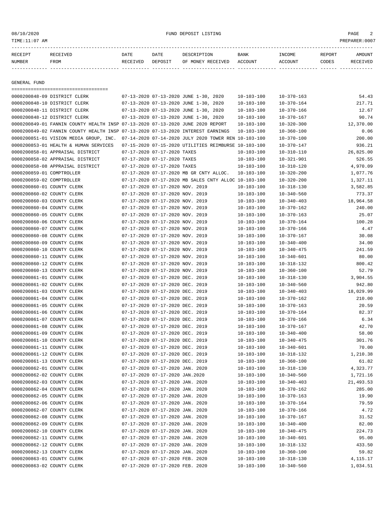08/10/2020 FUND DEPOSIT LISTING PAGE 2

| RECEIPT | RECEIVED | <b>DATE</b> | <b>DATE</b> | DESCRIPTION               | <b>BANK</b> | <b>TNCOME</b>  | REPORT | AMOUNT   |
|---------|----------|-------------|-------------|---------------------------|-------------|----------------|--------|----------|
| NUMBER  | FROM     | RECEIVED    | DEPOSIT     | OF MONEY RECEIVED ACCOUNT |             | <b>ACCOUNT</b> | CODES  | RECEIVED |
|         |          |             |             |                           |             |                |        |          |

GENERAL FUND

| =====================================                                           |                                 |                                                      |                  |                                      |           |
|---------------------------------------------------------------------------------|---------------------------------|------------------------------------------------------|------------------|--------------------------------------|-----------|
| 0000200848-09 DISTRICT CLERK                                                    |                                 | 07-13-2020 07-13-2020 JUNE 1-30, 2020                | $10 - 103 - 100$ | $10 - 370 - 163$                     | 54.43     |
| 0000200848-10 DISTRICT CLERK                                                    |                                 | 07-13-2020 07-13-2020 JUNE 1-30, 2020                | $10 - 103 - 100$ | $10 - 370 - 164$                     | 217.71    |
| 0000200848-11 DISTRICT CLERK                                                    |                                 | 07-13-2020 07-13-2020 JUNE 1-30, 2020                | $10 - 103 - 100$ | $10 - 370 - 166$                     | 12.67     |
| 0000200848-12 DISTRICT CLERK                                                    |                                 | 07-13-2020 07-13-2020 JUNE 1-30, 2020                | $10 - 103 - 100$ | $10 - 370 - 167$                     | 90.74     |
| 0000200849-01 FANNIN COUNTY HEALTH INSP 07-13-2020 07-13-2020 JUNE 2020 REPORT  |                                 |                                                      | $10 - 103 - 100$ | $10 - 320 - 300$                     | 12,370.00 |
| 0000200849-02 FANNIN COUNTY HEALTH INSP 07-13-2020 07-13-2020 INTEREST EARNINGS |                                 |                                                      | $10 - 103 - 100$ | $10 - 360 - 100$                     | 0.06      |
| 0000200851-01 VISION MEDIA GROUP, INC.                                          |                                 | 07-14-2020 07-14-2020 JULY 2020 TOWER REN 10-103-100 |                  | $10 - 370 - 100$                     | 200.00    |
| 0000200853-01 HEALTH & HUMAN SERVICES                                           |                                 | 07-15-2020 07-15-2020 UTILITIES REIMBURSE 10-103-100 |                  | $10 - 370 - 147$                     | 936.21    |
| 0000200858-01 APPRAISAL DISTRICT                                                | 07-17-2020 07-17-2020 TAXES     |                                                      | $10 - 103 - 100$ | $10 - 310 - 110$                     | 26,825.00 |
| 0000200858-02 APPRAISAL DISTRICT                                                | 07-17-2020 07-17-2020 TAXES     |                                                      | $10 - 103 - 100$ | $10 - 321 - 901$                     | 526.55    |
| 0000200858-08 APPRAISAL DISTRICT                                                | 07-17-2020 07-17-2020 TAXES     |                                                      | $10 - 103 - 100$ | $10 - 310 - 120$                     | 4,970.09  |
| 0000200859-01 COMPTROLLER                                                       |                                 | 07-17-2020 07-17-2020 MB GR CNTY ALLOC.              | $10 - 103 - 100$ | $10 - 320 - 200$                     | 1,077.76  |
| 0000200859-02 COMPTROLLER                                                       |                                 | 07-17-2020 07-17-2020 MB SALES CNTY ALLOC 10-103-100 |                  | $10 - 320 - 200$                     | 1,327.11  |
| 0000200860-01 COUNTY CLERK                                                      | 07-17-2020 07-17-2020 NOV. 2019 |                                                      | $10 - 103 - 100$ | $10 - 318 - 130$                     | 3,582.85  |
| 0000200860-02 COUNTY CLERK                                                      | 07-17-2020 07-17-2020 NOV. 2019 |                                                      | $10 - 103 - 100$ | $10 - 340 - 560$                     | 773.37    |
| 0000200860-03 COUNTY CLERK                                                      | 07-17-2020 07-17-2020 NOV. 2019 |                                                      | $10 - 103 - 100$ | $10 - 340 - 403$                     | 18,964.58 |
| 0000200860-04 COUNTY CLERK                                                      | 07-17-2020 07-17-2020 NOV. 2019 |                                                      | $10 - 103 - 100$ | $10 - 370 - 162$                     | 240.00    |
| 0000200860-05 COUNTY CLERK                                                      | 07-17-2020 07-17-2020 NOV. 2019 |                                                      | $10 - 103 - 100$ | $10 - 370 - 163$                     | 25.07     |
| 0000200860-06 COUNTY CLERK                                                      | 07-17-2020 07-17-2020 NOV. 2019 |                                                      | $10 - 103 - 100$ | $10 - 370 - 164$                     | 100.28    |
| 0000200860-07 COUNTY CLERK                                                      | 07-17-2020 07-17-2020 NOV. 2019 |                                                      | $10 - 103 - 100$ | $10 - 370 - 166$                     | 4.47      |
| 0000200860-08 COUNTY CLERK                                                      | 07-17-2020 07-17-2020 NOV. 2019 |                                                      | $10 - 103 - 100$ | $10 - 370 - 167$                     | 30.08     |
| 0000200860-09 COUNTY CLERK                                                      | 07-17-2020 07-17-2020 NOV. 2019 |                                                      | $10 - 103 - 100$ | $10 - 340 - 400$                     | 34.00     |
| 0000200860-10 COUNTY CLERK                                                      | 07-17-2020 07-17-2020 NOV. 2019 |                                                      | $10 - 103 - 100$ |                                      | 241.59    |
| 0000200860-11 COUNTY CLERK                                                      | 07-17-2020 07-17-2020 NOV. 2019 |                                                      |                  | $10 - 340 - 475$<br>$10 - 340 - 601$ | 80.00     |
|                                                                                 |                                 |                                                      | $10 - 103 - 100$ |                                      |           |
| 0000200860-12 COUNTY CLERK                                                      | 07-17-2020 07-17-2020 NOV. 2019 |                                                      | $10 - 103 - 100$ | $10 - 318 - 132$                     | 800.42    |
| 0000200860-13 COUNTY CLERK                                                      | 07-17-2020 07-17-2020 NOV. 2019 |                                                      | $10 - 103 - 100$ | $10 - 360 - 100$                     | 52.79     |
| 0000200861-01 COUNTY CLERK                                                      | 07-17-2020 07-17-2020 DEC. 2019 |                                                      | $10 - 103 - 100$ | $10 - 318 - 130$                     | 3,904.55  |
| 0000200861-02 COUNTY CLERK                                                      | 07-17-2020 07-17-2020 DEC. 2019 |                                                      | $10 - 103 - 100$ | $10 - 340 - 560$                     | 942.80    |
| 0000200861-03 COUNTY CLERK                                                      | 07-17-2020 07-17-2020 DEC. 2019 |                                                      | $10 - 103 - 100$ | $10 - 340 - 403$                     | 18,029.99 |
| 0000200861-04 COUNTY CLERK                                                      | 07-17-2020 07-17-2020 DEC. 2019 |                                                      | $10 - 103 - 100$ | $10 - 370 - 162$                     | 210.00    |
| 0000200861-05 COUNTY CLERK                                                      | 07-17-2020 07-17-2020 DEC. 2019 |                                                      | $10 - 103 - 100$ | $10 - 370 - 163$                     | 20.59     |
| 0000200861-06 COUNTY CLERK                                                      | 07-17-2020 07-17-2020 DEC. 2019 |                                                      | $10 - 103 - 100$ | $10 - 370 - 164$                     | 82.37     |
| 0000200861-07 COUNTY CLERK                                                      | 07-17-2020 07-17-2020 DEC. 2019 |                                                      | $10 - 103 - 100$ | $10 - 370 - 166$                     | 6.34      |
| 0000200861-08 COUNTY CLERK                                                      | 07-17-2020 07-17-2020 DEC. 2019 |                                                      | $10 - 103 - 100$ | $10 - 370 - 167$                     | 42.70     |
| 0000200861-09 COUNTY CLERK                                                      | 07-17-2020 07-17-2020 DEC. 2019 |                                                      | $10 - 103 - 100$ | $10 - 340 - 400$                     | 58.00     |
| 0000200861-10 COUNTY CLERK                                                      | 07-17-2020 07-17-2020 DEC. 2019 |                                                      | $10 - 103 - 100$ | $10 - 340 - 475$                     | 301.76    |
| 0000200861-11 COUNTY CLERK                                                      | 07-17-2020 07-17-2020 DEC. 2019 |                                                      | $10 - 103 - 100$ | $10 - 340 - 601$                     | 70.00     |
| 0000200861-12 COUNTY CLERK                                                      | 07-17-2020 07-17-2020 DEC. 2019 |                                                      | $10 - 103 - 100$ | $10 - 318 - 132$                     | 1,210.38  |
| 0000200861-13 COUNTY CLERK                                                      | 07-17-2020 07-17-2020 DEC. 2019 |                                                      | $10 - 103 - 100$ | $10 - 360 - 100$                     | 61.82     |
| 0000200862-01 COUNTY CLERK                                                      | 07-17-2020 07-17-2020 JAN. 2020 |                                                      | $10 - 103 - 100$ | $10 - 318 - 130$                     | 4,323.77  |
| 0000200862-02 COUNTY CLERK                                                      | 07-17-2020 07-17-2020 JAN.2020  |                                                      | $10 - 103 - 100$ | $10 - 340 - 560$                     | 1,721.16  |
| 0000200862-03 COUNTY CLERK                                                      | 07-17-2020 07-17-2020 JAN. 2020 |                                                      | $10 - 103 - 100$ | $10 - 340 - 403$                     | 21,493.53 |
| 0000200862-04 COUNTY CLERK                                                      | 07-17-2020 07-17-2020 JAN. 2020 |                                                      | $10 - 103 - 100$ | $10 - 370 - 162$                     | 285.00    |
| 0000200862-05 COUNTY CLERK                                                      | 07-17-2020 07-17-2020 JAN. 2020 |                                                      | $10 - 103 - 100$ | $10 - 370 - 163$                     | 19.90     |
| 0000200862-06 COUNTY CLERK                                                      | 07-17-2020 07-17-2020 JAN. 2020 |                                                      | $10 - 103 - 100$ | $10 - 370 - 164$                     | 79.59     |
| 0000200862-07 COUNTY CLERK                                                      | 07-17-2020 07-17-2020 JAN. 2020 |                                                      | $10 - 103 - 100$ | $10 - 370 - 166$                     | 4.72      |
| 0000200862-08 COUNTY CLERK                                                      | 07-17-2020 07-17-2020 JAN. 2020 |                                                      | $10 - 103 - 100$ | $10 - 370 - 167$                     | 31.52     |
| 0000200862-09 COUNTY CLERK                                                      | 07-17-2020 07-17-2020 JAN. 2020 |                                                      | $10 - 103 - 100$ | $10 - 340 - 400$                     | 82.00     |
| 0000200862-10 COUNTY CLERK                                                      | 07-17-2020 07-17-2020 JAN. 2020 |                                                      | $10 - 103 - 100$ | $10 - 340 - 475$                     | 224.73    |
| 0000200862-11 COUNTY CLERK                                                      | 07-17-2020 07-17-2020 JAN. 2020 |                                                      | $10 - 103 - 100$ | $10 - 340 - 601$                     | 95.00     |
| 0000200862-12 COUNTY CLERK                                                      | 07-17-2020 07-17-2020 JAN. 2020 |                                                      | $10 - 103 - 100$ | $10 - 318 - 132$                     | 433.50    |
| 0000200862-13 COUNTY CLERK                                                      | 07-17-2020 07-17-2020 JAN. 2020 |                                                      | $10 - 103 - 100$ | $10 - 360 - 100$                     | 59.82     |
| 0000200863-01 COUNTY CLERK                                                      | 07-17-2020 07-17-2020 FEB. 2020 |                                                      | $10 - 103 - 100$ | $10 - 318 - 130$                     | 4,115.17  |
| 0000200863-02 COUNTY CLERK                                                      | 07-17-2020 07-17-2020 FEB. 2020 |                                                      | $10 - 103 - 100$ | $10 - 340 - 560$                     | 1,034.51  |
|                                                                                 |                                 |                                                      |                  |                                      |           |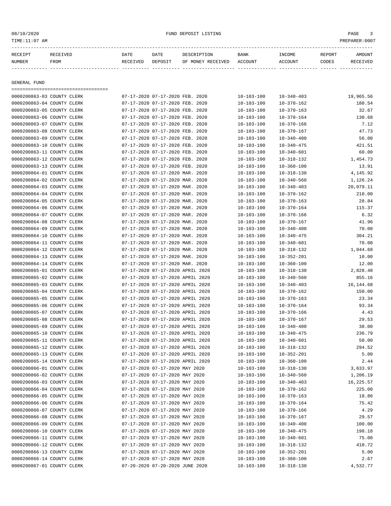08/10/2020 FUND DEPOSIT LISTING PAGE 3

| RECEIPT      | RECEIVED | DATE     | DATE    | DESCRIPTION       | <b>BANK</b> | INCOME  | REPORT | <b>AMOUNT</b> |  |  |  |
|--------------|----------|----------|---------|-------------------|-------------|---------|--------|---------------|--|--|--|
| NUMBER       | FROM     | RECEIVED | DEPOSIT | OF MONEY RECEIVED | ACCOUNT     | ACCOUNT | CODES  | RECEIVED      |  |  |  |
|              |          |          |         |                   |             |         |        |               |  |  |  |
|              |          |          |         |                   |             |         |        |               |  |  |  |
| GENERAL FUND |          |          |         |                   |             |         |        |               |  |  |  |
|              |          |          |         |                   |             |         |        |               |  |  |  |

| 0000200863-04 COUNTY CLERK<br>07-17-2020 07-17-2020 FEB. 2020<br>$10 - 103 - 100$<br>$10 - 370 - 162$<br>180.54<br>0000200863-05 COUNTY CLERK<br>07-17-2020 07-17-2020 FEB. 2020<br>$10 - 103 - 100$<br>$10 - 370 - 163$<br>32.67<br>0000200863-06 COUNTY CLERK<br>07-17-2020 07-17-2020 FEB. 2020<br>$10 - 370 - 164$<br>130.68<br>$10 - 103 - 100$<br>07-17-2020 07-17-2020 FEB. 2020<br>0000200863-07 COUNTY CLERK<br>$10 - 103 - 100$<br>$10 - 370 - 166$<br>7.12<br>0000200863-08 COUNTY CLERK<br>07-17-2020 07-17-2020 FEB. 2020<br>47.73<br>$10 - 103 - 100$<br>$10 - 370 - 167$<br>0000200863-09 COUNTY CLERK<br>07-17-2020 07-17-2020 FEB. 2020<br>56.00<br>$10 - 103 - 100$<br>$10 - 340 - 400$<br>07-17-2020 07-17-2020 FEB. 2020<br>421.51<br>0000200863-10 COUNTY CLERK<br>$10 - 103 - 100$<br>$10 - 340 - 475$<br>0000200863-11 COUNTY CLERK<br>07-17-2020 07-17-2020 FEB. 2020<br>$10 - 103 - 100$<br>60.00<br>$10 - 340 - 601$<br>0000200863-12 COUNTY CLERK<br>07-17-2020 07-17-2020 FEB. 2020<br>$10 - 103 - 100$<br>1,454.73<br>$10 - 318 - 132$<br>0000200863-13 COUNTY CLERK<br>07-17-2020 07-17-2020 FEB. 2020<br>13.91<br>$10 - 103 - 100$<br>$10 - 360 - 100$<br>0000200864-01 COUNTY CLERK<br>4,145.92<br>07-17-2020 07-17-2020 MAR. 2020<br>$10 - 103 - 100$<br>$10 - 318 - 130$<br>0000200864-02 COUNTY CLERK<br>07-17-2020 07-17-2020 MAR. 2020<br>$10 - 103 - 100$<br>1,126.24<br>$10 - 340 - 560$<br>0000200864-03 COUNTY CLERK<br>07-17-2020 07-17-2020 MAR. 2020<br>20,079.11<br>$10 - 103 - 100$<br>$10 - 340 - 403$<br>0000200864-04 COUNTY CLERK<br>07-17-2020 07-17-2020 MAR. 2020<br>210.00<br>$10 - 103 - 100$<br>$10 - 370 - 162$<br>07-17-2020 07-17-2020 MAR. 2020<br>0000200864-05 COUNTY CLERK<br>$10 - 103 - 100$<br>$10 - 370 - 163$<br>28.84<br>0000200864-06 COUNTY CLERK<br>07-17-2020 07-17-2020 MAR. 2020<br>115.37<br>$10 - 103 - 100$<br>$10 - 370 - 164$<br>0000200864-07 COUNTY CLERK<br>07-17-2020 07-17-2020 MAR. 2020<br>6.32<br>$10 - 103 - 100$<br>$10 - 370 - 166$<br>0000200864-08 COUNTY CLERK<br>07-17-2020 07-17-2020 MAR. 2020<br>41.96<br>$10 - 103 - 100$<br>$10 - 370 - 167$<br>0000200864-09 COUNTY CLERK<br>07-17-2020 07-17-2020 MAR. 2020<br>$10 - 103 - 100$<br>$10 - 340 - 400$<br>70.00<br>0000200864-10 COUNTY CLERK<br>07-17-2020 07-17-2020 MAR. 2020<br>$10 - 103 - 100$<br>$10 - 340 - 475$<br>304.21<br>0000200864-11 COUNTY CLERK<br>07-17-2020 07-17-2020 MAR. 2020<br>70.00<br>$10 - 103 - 100$<br>$10 - 340 - 601$<br>0000200864-12 COUNTY CLERK<br>07-17-2020 07-17-2020 MAR. 2020<br>1,044.68<br>$10 - 103 - 100$<br>$10 - 318 - 132$<br>0000200864-13 COUNTY CLERK<br>07-17-2020 07-17-2020 MAR. 2020<br>$10 - 103 - 100$<br>10.00<br>$10 - 352 - 201$<br>0000200864-14 COUNTY CLERK<br>07-17-2020 07-17-2020 MAR. 2020<br>$10 - 360 - 100$<br>12.00<br>$10 - 103 - 100$<br>0000200865-01 COUNTY CLERK<br>07-17-2020 07-17-2020 APRIL 2020<br>2,828.48<br>$10 - 103 - 100$<br>$10 - 318 - 130$<br>07-17-2020 07-17-2020 APRIL 2020<br>0000200865-02 COUNTY CLERK<br>$10 - 103 - 100$<br>$10 - 340 - 560$<br>855.16<br>0000200865-03 COUNTY CLERK<br>07-17-2020 07-17-2020 APRIL 2020<br>16, 144.68<br>$10 - 103 - 100$<br>$10 - 340 - 403$<br>07-17-2020 07-17-2020 APRIL 2020<br>150.00<br>0000200865-04 COUNTY CLERK<br>$10 - 103 - 100$<br>$10 - 370 - 162$<br>07-17-2020 07-17-2020 APRIL 2020<br>0000200865-05 COUNTY CLERK<br>$10 - 103 - 100$<br>$10 - 370 - 163$<br>23.34<br>0000200865-06 COUNTY CLERK<br>07-17-2020 07-17-2020 APRIL 2020<br>$10 - 103 - 100$<br>$10 - 370 - 164$<br>93.34<br>0000200865-07 COUNTY CLERK<br>07-17-2020 07-17-2020 APRIL 2020<br>$10 - 103 - 100$<br>$10 - 370 - 166$<br>4.43<br>0000200865-08 COUNTY CLERK<br>07-17-2020 07-17-2020 APRIL 2020<br>29.53<br>$10 - 103 - 100$<br>$10 - 370 - 167$<br>0000200865-09 COUNTY CLERK<br>07-17-2020 07-17-2020 APRIL 2020<br>38.00<br>$10 - 103 - 100$<br>$10 - 340 - 400$<br>0000200865-10 COUNTY CLERK<br>07-17-2020 07-17-2020 APRIL 2020<br>$10 - 103 - 100$<br>236.79<br>$10 - 340 - 475$<br>0000200865-11 COUNTY CLERK<br>07-17-2020 07-17-2020 APRIL 2020<br>50.00<br>$10 - 103 - 100$<br>$10 - 340 - 601$<br>0000200865-12 COUNTY CLERK<br>07-17-2020 07-17-2020 APRIL 2020<br>294.52<br>$10 - 103 - 100$<br>$10 - 318 - 132$<br>07-17-2020 07-17-2020 APRIL 2020<br>0000200865-13 COUNTY CLERK<br>$10 - 103 - 100$<br>$10 - 352 - 201$<br>5.00<br>0000200865-14 COUNTY CLERK<br>07-17-2020 07-17-2020 APRIL 2020<br>2.44<br>$10 - 103 - 100$<br>$10 - 360 - 100$<br>07-17-2020 07-17-2020 MAY 2020<br>3,633.97<br>0000200866-01 COUNTY CLERK<br>$10 - 103 - 100$<br>$10 - 318 - 130$<br>0000200866-02 COUNTY CLERK<br>07-17-2020 07-17-2020 MAY 2020<br>$10 - 103 - 100$<br>1,206.19<br>$10 - 340 - 560$<br>16,225.57<br>0000200866-03 COUNTY CLERK<br>07-17-2020 07-17-2020 MAY 2020<br>$10 - 103 - 100$<br>$10 - 340 - 403$<br>07-17-2020 07-17-2020 MAY 2020<br>225.00<br>0000200866-04 COUNTY CLERK<br>$10 - 103 - 100$<br>$10 - 370 - 162$<br>0000200866-05 COUNTY CLERK<br>07-17-2020 07-17-2020 MAY 2020<br>18.86<br>$10 - 103 - 100$<br>$10 - 370 - 163$<br>0000200866-06 COUNTY CLERK<br>75.42<br>07-17-2020 07-17-2020 MAY 2020<br>$10 - 103 - 100$<br>$10 - 370 - 164$<br>0000200866-07 COUNTY CLERK<br>07-17-2020 07-17-2020 MAY 2020<br>4.29<br>$10 - 103 - 100$<br>$10 - 370 - 166$<br>0000200866-08 COUNTY CLERK<br>07-17-2020 07-17-2020 MAY 2020<br>29.57<br>$10 - 103 - 100$<br>$10 - 370 - 167$<br>0000200866-09 COUNTY CLERK<br>07-17-2020 07-17-2020 MAY 2020<br>$10 - 103 - 100$<br>$10 - 340 - 400$<br>100.00<br>0000200866-10 COUNTY CLERK<br>07-17-2020 07-17-2020 MAY 2020<br>$10 - 103 - 100$<br>$10 - 340 - 475$<br>198.18<br>0000200866-11 COUNTY CLERK<br>07-17-2020 07-17-2020 MAY 2020<br>$10 - 103 - 100$<br>$10 - 340 - 601$<br>75.00<br>0000200866-12 COUNTY CLERK<br>07-17-2020 07-17-2020 MAY 2020<br>410.72<br>$10 - 103 - 100$<br>$10 - 318 - 132$<br>0000200866-13 COUNTY CLERK<br>07-17-2020 07-17-2020 MAY 2020<br>5.00<br>$10 - 103 - 100$<br>$10 - 352 - 201$<br>0000200866-14 COUNTY CLERK<br>07-17-2020 07-17-2020 MAY 2020<br>$10 - 360 - 100$<br>2.67<br>$10 - 103 - 100$<br>0000200867-01 COUNTY CLERK<br>07-20-2020 07-20-2020 JUNE 2020<br>4,532.77<br>$10 - 103 - 100$<br>$10 - 318 - 130$ | 0000200863-03 COUNTY CLERK | 07-17-2020 07-17-2020 FEB. 2020 | $10 - 103 - 100$ | $10 - 340 - 403$ | 19,965.56 |
|-----------------------------------------------------------------------------------------------------------------------------------------------------------------------------------------------------------------------------------------------------------------------------------------------------------------------------------------------------------------------------------------------------------------------------------------------------------------------------------------------------------------------------------------------------------------------------------------------------------------------------------------------------------------------------------------------------------------------------------------------------------------------------------------------------------------------------------------------------------------------------------------------------------------------------------------------------------------------------------------------------------------------------------------------------------------------------------------------------------------------------------------------------------------------------------------------------------------------------------------------------------------------------------------------------------------------------------------------------------------------------------------------------------------------------------------------------------------------------------------------------------------------------------------------------------------------------------------------------------------------------------------------------------------------------------------------------------------------------------------------------------------------------------------------------------------------------------------------------------------------------------------------------------------------------------------------------------------------------------------------------------------------------------------------------------------------------------------------------------------------------------------------------------------------------------------------------------------------------------------------------------------------------------------------------------------------------------------------------------------------------------------------------------------------------------------------------------------------------------------------------------------------------------------------------------------------------------------------------------------------------------------------------------------------------------------------------------------------------------------------------------------------------------------------------------------------------------------------------------------------------------------------------------------------------------------------------------------------------------------------------------------------------------------------------------------------------------------------------------------------------------------------------------------------------------------------------------------------------------------------------------------------------------------------------------------------------------------------------------------------------------------------------------------------------------------------------------------------------------------------------------------------------------------------------------------------------------------------------------------------------------------------------------------------------------------------------------------------------------------------------------------------------------------------------------------------------------------------------------------------------------------------------------------------------------------------------------------------------------------------------------------------------------------------------------------------------------------------------------------------------------------------------------------------------------------------------------------------------------------------------------------------------------------------------------------------------------------------------------------------------------------------------------------------------------------------------------------------------------------------------------------------------------------------------------------------------------------------------------------------------------------------------------------------------------------------------------------------------------------------------------------------------------------------------------------------------------------------------------------------------------------------------------------------------------------------------------------------------------------------------------------------------------------------------------------------------------------------------------------------------------------------------------------------------------------------------------------------------------------------------------------------------------------------------------------------------------------------------------------------------------------------------------------------------------------------------------------------------------------------------------------------------------------------------------------------------------------------------------------------------------------------------------------------------------------------------------------------------------------------------------------------------------------------------------------------------------------------------------------------------------------------------------------------------------------------------------------------------------------------------------------------------------------------------------------------------------------------------------------------------------------------------------------------------------------------------------------------------------------------------------------------------------------------------------------------------------|----------------------------|---------------------------------|------------------|------------------|-----------|
|                                                                                                                                                                                                                                                                                                                                                                                                                                                                                                                                                                                                                                                                                                                                                                                                                                                                                                                                                                                                                                                                                                                                                                                                                                                                                                                                                                                                                                                                                                                                                                                                                                                                                                                                                                                                                                                                                                                                                                                                                                                                                                                                                                                                                                                                                                                                                                                                                                                                                                                                                                                                                                                                                                                                                                                                                                                                                                                                                                                                                                                                                                                                                                                                                                                                                                                                                                                                                                                                                                                                                                                                                                                                                                                                                                                                                                                                                                                                                                                                                                                                                                                                                                                                                                                                                                                                                                                                                                                                                                                                                                                                                                                                                                                                                                                                                                                                                                                                                                                                                                                                                                                                                                                                                                                                                                                                                                                                                                                                                                                                                                                                                                                                                                                                                                                                                                                                                                                                                                                                                                                                                                                                                                                                                                                                                                                                   |                            |                                 |                  |                  |           |
|                                                                                                                                                                                                                                                                                                                                                                                                                                                                                                                                                                                                                                                                                                                                                                                                                                                                                                                                                                                                                                                                                                                                                                                                                                                                                                                                                                                                                                                                                                                                                                                                                                                                                                                                                                                                                                                                                                                                                                                                                                                                                                                                                                                                                                                                                                                                                                                                                                                                                                                                                                                                                                                                                                                                                                                                                                                                                                                                                                                                                                                                                                                                                                                                                                                                                                                                                                                                                                                                                                                                                                                                                                                                                                                                                                                                                                                                                                                                                                                                                                                                                                                                                                                                                                                                                                                                                                                                                                                                                                                                                                                                                                                                                                                                                                                                                                                                                                                                                                                                                                                                                                                                                                                                                                                                                                                                                                                                                                                                                                                                                                                                                                                                                                                                                                                                                                                                                                                                                                                                                                                                                                                                                                                                                                                                                                                                   |                            |                                 |                  |                  |           |
|                                                                                                                                                                                                                                                                                                                                                                                                                                                                                                                                                                                                                                                                                                                                                                                                                                                                                                                                                                                                                                                                                                                                                                                                                                                                                                                                                                                                                                                                                                                                                                                                                                                                                                                                                                                                                                                                                                                                                                                                                                                                                                                                                                                                                                                                                                                                                                                                                                                                                                                                                                                                                                                                                                                                                                                                                                                                                                                                                                                                                                                                                                                                                                                                                                                                                                                                                                                                                                                                                                                                                                                                                                                                                                                                                                                                                                                                                                                                                                                                                                                                                                                                                                                                                                                                                                                                                                                                                                                                                                                                                                                                                                                                                                                                                                                                                                                                                                                                                                                                                                                                                                                                                                                                                                                                                                                                                                                                                                                                                                                                                                                                                                                                                                                                                                                                                                                                                                                                                                                                                                                                                                                                                                                                                                                                                                                                   |                            |                                 |                  |                  |           |
|                                                                                                                                                                                                                                                                                                                                                                                                                                                                                                                                                                                                                                                                                                                                                                                                                                                                                                                                                                                                                                                                                                                                                                                                                                                                                                                                                                                                                                                                                                                                                                                                                                                                                                                                                                                                                                                                                                                                                                                                                                                                                                                                                                                                                                                                                                                                                                                                                                                                                                                                                                                                                                                                                                                                                                                                                                                                                                                                                                                                                                                                                                                                                                                                                                                                                                                                                                                                                                                                                                                                                                                                                                                                                                                                                                                                                                                                                                                                                                                                                                                                                                                                                                                                                                                                                                                                                                                                                                                                                                                                                                                                                                                                                                                                                                                                                                                                                                                                                                                                                                                                                                                                                                                                                                                                                                                                                                                                                                                                                                                                                                                                                                                                                                                                                                                                                                                                                                                                                                                                                                                                                                                                                                                                                                                                                                                                   |                            |                                 |                  |                  |           |
|                                                                                                                                                                                                                                                                                                                                                                                                                                                                                                                                                                                                                                                                                                                                                                                                                                                                                                                                                                                                                                                                                                                                                                                                                                                                                                                                                                                                                                                                                                                                                                                                                                                                                                                                                                                                                                                                                                                                                                                                                                                                                                                                                                                                                                                                                                                                                                                                                                                                                                                                                                                                                                                                                                                                                                                                                                                                                                                                                                                                                                                                                                                                                                                                                                                                                                                                                                                                                                                                                                                                                                                                                                                                                                                                                                                                                                                                                                                                                                                                                                                                                                                                                                                                                                                                                                                                                                                                                                                                                                                                                                                                                                                                                                                                                                                                                                                                                                                                                                                                                                                                                                                                                                                                                                                                                                                                                                                                                                                                                                                                                                                                                                                                                                                                                                                                                                                                                                                                                                                                                                                                                                                                                                                                                                                                                                                                   |                            |                                 |                  |                  |           |
|                                                                                                                                                                                                                                                                                                                                                                                                                                                                                                                                                                                                                                                                                                                                                                                                                                                                                                                                                                                                                                                                                                                                                                                                                                                                                                                                                                                                                                                                                                                                                                                                                                                                                                                                                                                                                                                                                                                                                                                                                                                                                                                                                                                                                                                                                                                                                                                                                                                                                                                                                                                                                                                                                                                                                                                                                                                                                                                                                                                                                                                                                                                                                                                                                                                                                                                                                                                                                                                                                                                                                                                                                                                                                                                                                                                                                                                                                                                                                                                                                                                                                                                                                                                                                                                                                                                                                                                                                                                                                                                                                                                                                                                                                                                                                                                                                                                                                                                                                                                                                                                                                                                                                                                                                                                                                                                                                                                                                                                                                                                                                                                                                                                                                                                                                                                                                                                                                                                                                                                                                                                                                                                                                                                                                                                                                                                                   |                            |                                 |                  |                  |           |
|                                                                                                                                                                                                                                                                                                                                                                                                                                                                                                                                                                                                                                                                                                                                                                                                                                                                                                                                                                                                                                                                                                                                                                                                                                                                                                                                                                                                                                                                                                                                                                                                                                                                                                                                                                                                                                                                                                                                                                                                                                                                                                                                                                                                                                                                                                                                                                                                                                                                                                                                                                                                                                                                                                                                                                                                                                                                                                                                                                                                                                                                                                                                                                                                                                                                                                                                                                                                                                                                                                                                                                                                                                                                                                                                                                                                                                                                                                                                                                                                                                                                                                                                                                                                                                                                                                                                                                                                                                                                                                                                                                                                                                                                                                                                                                                                                                                                                                                                                                                                                                                                                                                                                                                                                                                                                                                                                                                                                                                                                                                                                                                                                                                                                                                                                                                                                                                                                                                                                                                                                                                                                                                                                                                                                                                                                                                                   |                            |                                 |                  |                  |           |
|                                                                                                                                                                                                                                                                                                                                                                                                                                                                                                                                                                                                                                                                                                                                                                                                                                                                                                                                                                                                                                                                                                                                                                                                                                                                                                                                                                                                                                                                                                                                                                                                                                                                                                                                                                                                                                                                                                                                                                                                                                                                                                                                                                                                                                                                                                                                                                                                                                                                                                                                                                                                                                                                                                                                                                                                                                                                                                                                                                                                                                                                                                                                                                                                                                                                                                                                                                                                                                                                                                                                                                                                                                                                                                                                                                                                                                                                                                                                                                                                                                                                                                                                                                                                                                                                                                                                                                                                                                                                                                                                                                                                                                                                                                                                                                                                                                                                                                                                                                                                                                                                                                                                                                                                                                                                                                                                                                                                                                                                                                                                                                                                                                                                                                                                                                                                                                                                                                                                                                                                                                                                                                                                                                                                                                                                                                                                   |                            |                                 |                  |                  |           |
|                                                                                                                                                                                                                                                                                                                                                                                                                                                                                                                                                                                                                                                                                                                                                                                                                                                                                                                                                                                                                                                                                                                                                                                                                                                                                                                                                                                                                                                                                                                                                                                                                                                                                                                                                                                                                                                                                                                                                                                                                                                                                                                                                                                                                                                                                                                                                                                                                                                                                                                                                                                                                                                                                                                                                                                                                                                                                                                                                                                                                                                                                                                                                                                                                                                                                                                                                                                                                                                                                                                                                                                                                                                                                                                                                                                                                                                                                                                                                                                                                                                                                                                                                                                                                                                                                                                                                                                                                                                                                                                                                                                                                                                                                                                                                                                                                                                                                                                                                                                                                                                                                                                                                                                                                                                                                                                                                                                                                                                                                                                                                                                                                                                                                                                                                                                                                                                                                                                                                                                                                                                                                                                                                                                                                                                                                                                                   |                            |                                 |                  |                  |           |
|                                                                                                                                                                                                                                                                                                                                                                                                                                                                                                                                                                                                                                                                                                                                                                                                                                                                                                                                                                                                                                                                                                                                                                                                                                                                                                                                                                                                                                                                                                                                                                                                                                                                                                                                                                                                                                                                                                                                                                                                                                                                                                                                                                                                                                                                                                                                                                                                                                                                                                                                                                                                                                                                                                                                                                                                                                                                                                                                                                                                                                                                                                                                                                                                                                                                                                                                                                                                                                                                                                                                                                                                                                                                                                                                                                                                                                                                                                                                                                                                                                                                                                                                                                                                                                                                                                                                                                                                                                                                                                                                                                                                                                                                                                                                                                                                                                                                                                                                                                                                                                                                                                                                                                                                                                                                                                                                                                                                                                                                                                                                                                                                                                                                                                                                                                                                                                                                                                                                                                                                                                                                                                                                                                                                                                                                                                                                   |                            |                                 |                  |                  |           |
|                                                                                                                                                                                                                                                                                                                                                                                                                                                                                                                                                                                                                                                                                                                                                                                                                                                                                                                                                                                                                                                                                                                                                                                                                                                                                                                                                                                                                                                                                                                                                                                                                                                                                                                                                                                                                                                                                                                                                                                                                                                                                                                                                                                                                                                                                                                                                                                                                                                                                                                                                                                                                                                                                                                                                                                                                                                                                                                                                                                                                                                                                                                                                                                                                                                                                                                                                                                                                                                                                                                                                                                                                                                                                                                                                                                                                                                                                                                                                                                                                                                                                                                                                                                                                                                                                                                                                                                                                                                                                                                                                                                                                                                                                                                                                                                                                                                                                                                                                                                                                                                                                                                                                                                                                                                                                                                                                                                                                                                                                                                                                                                                                                                                                                                                                                                                                                                                                                                                                                                                                                                                                                                                                                                                                                                                                                                                   |                            |                                 |                  |                  |           |
|                                                                                                                                                                                                                                                                                                                                                                                                                                                                                                                                                                                                                                                                                                                                                                                                                                                                                                                                                                                                                                                                                                                                                                                                                                                                                                                                                                                                                                                                                                                                                                                                                                                                                                                                                                                                                                                                                                                                                                                                                                                                                                                                                                                                                                                                                                                                                                                                                                                                                                                                                                                                                                                                                                                                                                                                                                                                                                                                                                                                                                                                                                                                                                                                                                                                                                                                                                                                                                                                                                                                                                                                                                                                                                                                                                                                                                                                                                                                                                                                                                                                                                                                                                                                                                                                                                                                                                                                                                                                                                                                                                                                                                                                                                                                                                                                                                                                                                                                                                                                                                                                                                                                                                                                                                                                                                                                                                                                                                                                                                                                                                                                                                                                                                                                                                                                                                                                                                                                                                                                                                                                                                                                                                                                                                                                                                                                   |                            |                                 |                  |                  |           |
|                                                                                                                                                                                                                                                                                                                                                                                                                                                                                                                                                                                                                                                                                                                                                                                                                                                                                                                                                                                                                                                                                                                                                                                                                                                                                                                                                                                                                                                                                                                                                                                                                                                                                                                                                                                                                                                                                                                                                                                                                                                                                                                                                                                                                                                                                                                                                                                                                                                                                                                                                                                                                                                                                                                                                                                                                                                                                                                                                                                                                                                                                                                                                                                                                                                                                                                                                                                                                                                                                                                                                                                                                                                                                                                                                                                                                                                                                                                                                                                                                                                                                                                                                                                                                                                                                                                                                                                                                                                                                                                                                                                                                                                                                                                                                                                                                                                                                                                                                                                                                                                                                                                                                                                                                                                                                                                                                                                                                                                                                                                                                                                                                                                                                                                                                                                                                                                                                                                                                                                                                                                                                                                                                                                                                                                                                                                                   |                            |                                 |                  |                  |           |
|                                                                                                                                                                                                                                                                                                                                                                                                                                                                                                                                                                                                                                                                                                                                                                                                                                                                                                                                                                                                                                                                                                                                                                                                                                                                                                                                                                                                                                                                                                                                                                                                                                                                                                                                                                                                                                                                                                                                                                                                                                                                                                                                                                                                                                                                                                                                                                                                                                                                                                                                                                                                                                                                                                                                                                                                                                                                                                                                                                                                                                                                                                                                                                                                                                                                                                                                                                                                                                                                                                                                                                                                                                                                                                                                                                                                                                                                                                                                                                                                                                                                                                                                                                                                                                                                                                                                                                                                                                                                                                                                                                                                                                                                                                                                                                                                                                                                                                                                                                                                                                                                                                                                                                                                                                                                                                                                                                                                                                                                                                                                                                                                                                                                                                                                                                                                                                                                                                                                                                                                                                                                                                                                                                                                                                                                                                                                   |                            |                                 |                  |                  |           |
|                                                                                                                                                                                                                                                                                                                                                                                                                                                                                                                                                                                                                                                                                                                                                                                                                                                                                                                                                                                                                                                                                                                                                                                                                                                                                                                                                                                                                                                                                                                                                                                                                                                                                                                                                                                                                                                                                                                                                                                                                                                                                                                                                                                                                                                                                                                                                                                                                                                                                                                                                                                                                                                                                                                                                                                                                                                                                                                                                                                                                                                                                                                                                                                                                                                                                                                                                                                                                                                                                                                                                                                                                                                                                                                                                                                                                                                                                                                                                                                                                                                                                                                                                                                                                                                                                                                                                                                                                                                                                                                                                                                                                                                                                                                                                                                                                                                                                                                                                                                                                                                                                                                                                                                                                                                                                                                                                                                                                                                                                                                                                                                                                                                                                                                                                                                                                                                                                                                                                                                                                                                                                                                                                                                                                                                                                                                                   |                            |                                 |                  |                  |           |
|                                                                                                                                                                                                                                                                                                                                                                                                                                                                                                                                                                                                                                                                                                                                                                                                                                                                                                                                                                                                                                                                                                                                                                                                                                                                                                                                                                                                                                                                                                                                                                                                                                                                                                                                                                                                                                                                                                                                                                                                                                                                                                                                                                                                                                                                                                                                                                                                                                                                                                                                                                                                                                                                                                                                                                                                                                                                                                                                                                                                                                                                                                                                                                                                                                                                                                                                                                                                                                                                                                                                                                                                                                                                                                                                                                                                                                                                                                                                                                                                                                                                                                                                                                                                                                                                                                                                                                                                                                                                                                                                                                                                                                                                                                                                                                                                                                                                                                                                                                                                                                                                                                                                                                                                                                                                                                                                                                                                                                                                                                                                                                                                                                                                                                                                                                                                                                                                                                                                                                                                                                                                                                                                                                                                                                                                                                                                   |                            |                                 |                  |                  |           |
|                                                                                                                                                                                                                                                                                                                                                                                                                                                                                                                                                                                                                                                                                                                                                                                                                                                                                                                                                                                                                                                                                                                                                                                                                                                                                                                                                                                                                                                                                                                                                                                                                                                                                                                                                                                                                                                                                                                                                                                                                                                                                                                                                                                                                                                                                                                                                                                                                                                                                                                                                                                                                                                                                                                                                                                                                                                                                                                                                                                                                                                                                                                                                                                                                                                                                                                                                                                                                                                                                                                                                                                                                                                                                                                                                                                                                                                                                                                                                                                                                                                                                                                                                                                                                                                                                                                                                                                                                                                                                                                                                                                                                                                                                                                                                                                                                                                                                                                                                                                                                                                                                                                                                                                                                                                                                                                                                                                                                                                                                                                                                                                                                                                                                                                                                                                                                                                                                                                                                                                                                                                                                                                                                                                                                                                                                                                                   |                            |                                 |                  |                  |           |
|                                                                                                                                                                                                                                                                                                                                                                                                                                                                                                                                                                                                                                                                                                                                                                                                                                                                                                                                                                                                                                                                                                                                                                                                                                                                                                                                                                                                                                                                                                                                                                                                                                                                                                                                                                                                                                                                                                                                                                                                                                                                                                                                                                                                                                                                                                                                                                                                                                                                                                                                                                                                                                                                                                                                                                                                                                                                                                                                                                                                                                                                                                                                                                                                                                                                                                                                                                                                                                                                                                                                                                                                                                                                                                                                                                                                                                                                                                                                                                                                                                                                                                                                                                                                                                                                                                                                                                                                                                                                                                                                                                                                                                                                                                                                                                                                                                                                                                                                                                                                                                                                                                                                                                                                                                                                                                                                                                                                                                                                                                                                                                                                                                                                                                                                                                                                                                                                                                                                                                                                                                                                                                                                                                                                                                                                                                                                   |                            |                                 |                  |                  |           |
|                                                                                                                                                                                                                                                                                                                                                                                                                                                                                                                                                                                                                                                                                                                                                                                                                                                                                                                                                                                                                                                                                                                                                                                                                                                                                                                                                                                                                                                                                                                                                                                                                                                                                                                                                                                                                                                                                                                                                                                                                                                                                                                                                                                                                                                                                                                                                                                                                                                                                                                                                                                                                                                                                                                                                                                                                                                                                                                                                                                                                                                                                                                                                                                                                                                                                                                                                                                                                                                                                                                                                                                                                                                                                                                                                                                                                                                                                                                                                                                                                                                                                                                                                                                                                                                                                                                                                                                                                                                                                                                                                                                                                                                                                                                                                                                                                                                                                                                                                                                                                                                                                                                                                                                                                                                                                                                                                                                                                                                                                                                                                                                                                                                                                                                                                                                                                                                                                                                                                                                                                                                                                                                                                                                                                                                                                                                                   |                            |                                 |                  |                  |           |
|                                                                                                                                                                                                                                                                                                                                                                                                                                                                                                                                                                                                                                                                                                                                                                                                                                                                                                                                                                                                                                                                                                                                                                                                                                                                                                                                                                                                                                                                                                                                                                                                                                                                                                                                                                                                                                                                                                                                                                                                                                                                                                                                                                                                                                                                                                                                                                                                                                                                                                                                                                                                                                                                                                                                                                                                                                                                                                                                                                                                                                                                                                                                                                                                                                                                                                                                                                                                                                                                                                                                                                                                                                                                                                                                                                                                                                                                                                                                                                                                                                                                                                                                                                                                                                                                                                                                                                                                                                                                                                                                                                                                                                                                                                                                                                                                                                                                                                                                                                                                                                                                                                                                                                                                                                                                                                                                                                                                                                                                                                                                                                                                                                                                                                                                                                                                                                                                                                                                                                                                                                                                                                                                                                                                                                                                                                                                   |                            |                                 |                  |                  |           |
|                                                                                                                                                                                                                                                                                                                                                                                                                                                                                                                                                                                                                                                                                                                                                                                                                                                                                                                                                                                                                                                                                                                                                                                                                                                                                                                                                                                                                                                                                                                                                                                                                                                                                                                                                                                                                                                                                                                                                                                                                                                                                                                                                                                                                                                                                                                                                                                                                                                                                                                                                                                                                                                                                                                                                                                                                                                                                                                                                                                                                                                                                                                                                                                                                                                                                                                                                                                                                                                                                                                                                                                                                                                                                                                                                                                                                                                                                                                                                                                                                                                                                                                                                                                                                                                                                                                                                                                                                                                                                                                                                                                                                                                                                                                                                                                                                                                                                                                                                                                                                                                                                                                                                                                                                                                                                                                                                                                                                                                                                                                                                                                                                                                                                                                                                                                                                                                                                                                                                                                                                                                                                                                                                                                                                                                                                                                                   |                            |                                 |                  |                  |           |
|                                                                                                                                                                                                                                                                                                                                                                                                                                                                                                                                                                                                                                                                                                                                                                                                                                                                                                                                                                                                                                                                                                                                                                                                                                                                                                                                                                                                                                                                                                                                                                                                                                                                                                                                                                                                                                                                                                                                                                                                                                                                                                                                                                                                                                                                                                                                                                                                                                                                                                                                                                                                                                                                                                                                                                                                                                                                                                                                                                                                                                                                                                                                                                                                                                                                                                                                                                                                                                                                                                                                                                                                                                                                                                                                                                                                                                                                                                                                                                                                                                                                                                                                                                                                                                                                                                                                                                                                                                                                                                                                                                                                                                                                                                                                                                                                                                                                                                                                                                                                                                                                                                                                                                                                                                                                                                                                                                                                                                                                                                                                                                                                                                                                                                                                                                                                                                                                                                                                                                                                                                                                                                                                                                                                                                                                                                                                   |                            |                                 |                  |                  |           |
|                                                                                                                                                                                                                                                                                                                                                                                                                                                                                                                                                                                                                                                                                                                                                                                                                                                                                                                                                                                                                                                                                                                                                                                                                                                                                                                                                                                                                                                                                                                                                                                                                                                                                                                                                                                                                                                                                                                                                                                                                                                                                                                                                                                                                                                                                                                                                                                                                                                                                                                                                                                                                                                                                                                                                                                                                                                                                                                                                                                                                                                                                                                                                                                                                                                                                                                                                                                                                                                                                                                                                                                                                                                                                                                                                                                                                                                                                                                                                                                                                                                                                                                                                                                                                                                                                                                                                                                                                                                                                                                                                                                                                                                                                                                                                                                                                                                                                                                                                                                                                                                                                                                                                                                                                                                                                                                                                                                                                                                                                                                                                                                                                                                                                                                                                                                                                                                                                                                                                                                                                                                                                                                                                                                                                                                                                                                                   |                            |                                 |                  |                  |           |
|                                                                                                                                                                                                                                                                                                                                                                                                                                                                                                                                                                                                                                                                                                                                                                                                                                                                                                                                                                                                                                                                                                                                                                                                                                                                                                                                                                                                                                                                                                                                                                                                                                                                                                                                                                                                                                                                                                                                                                                                                                                                                                                                                                                                                                                                                                                                                                                                                                                                                                                                                                                                                                                                                                                                                                                                                                                                                                                                                                                                                                                                                                                                                                                                                                                                                                                                                                                                                                                                                                                                                                                                                                                                                                                                                                                                                                                                                                                                                                                                                                                                                                                                                                                                                                                                                                                                                                                                                                                                                                                                                                                                                                                                                                                                                                                                                                                                                                                                                                                                                                                                                                                                                                                                                                                                                                                                                                                                                                                                                                                                                                                                                                                                                                                                                                                                                                                                                                                                                                                                                                                                                                                                                                                                                                                                                                                                   |                            |                                 |                  |                  |           |
|                                                                                                                                                                                                                                                                                                                                                                                                                                                                                                                                                                                                                                                                                                                                                                                                                                                                                                                                                                                                                                                                                                                                                                                                                                                                                                                                                                                                                                                                                                                                                                                                                                                                                                                                                                                                                                                                                                                                                                                                                                                                                                                                                                                                                                                                                                                                                                                                                                                                                                                                                                                                                                                                                                                                                                                                                                                                                                                                                                                                                                                                                                                                                                                                                                                                                                                                                                                                                                                                                                                                                                                                                                                                                                                                                                                                                                                                                                                                                                                                                                                                                                                                                                                                                                                                                                                                                                                                                                                                                                                                                                                                                                                                                                                                                                                                                                                                                                                                                                                                                                                                                                                                                                                                                                                                                                                                                                                                                                                                                                                                                                                                                                                                                                                                                                                                                                                                                                                                                                                                                                                                                                                                                                                                                                                                                                                                   |                            |                                 |                  |                  |           |
|                                                                                                                                                                                                                                                                                                                                                                                                                                                                                                                                                                                                                                                                                                                                                                                                                                                                                                                                                                                                                                                                                                                                                                                                                                                                                                                                                                                                                                                                                                                                                                                                                                                                                                                                                                                                                                                                                                                                                                                                                                                                                                                                                                                                                                                                                                                                                                                                                                                                                                                                                                                                                                                                                                                                                                                                                                                                                                                                                                                                                                                                                                                                                                                                                                                                                                                                                                                                                                                                                                                                                                                                                                                                                                                                                                                                                                                                                                                                                                                                                                                                                                                                                                                                                                                                                                                                                                                                                                                                                                                                                                                                                                                                                                                                                                                                                                                                                                                                                                                                                                                                                                                                                                                                                                                                                                                                                                                                                                                                                                                                                                                                                                                                                                                                                                                                                                                                                                                                                                                                                                                                                                                                                                                                                                                                                                                                   |                            |                                 |                  |                  |           |
|                                                                                                                                                                                                                                                                                                                                                                                                                                                                                                                                                                                                                                                                                                                                                                                                                                                                                                                                                                                                                                                                                                                                                                                                                                                                                                                                                                                                                                                                                                                                                                                                                                                                                                                                                                                                                                                                                                                                                                                                                                                                                                                                                                                                                                                                                                                                                                                                                                                                                                                                                                                                                                                                                                                                                                                                                                                                                                                                                                                                                                                                                                                                                                                                                                                                                                                                                                                                                                                                                                                                                                                                                                                                                                                                                                                                                                                                                                                                                                                                                                                                                                                                                                                                                                                                                                                                                                                                                                                                                                                                                                                                                                                                                                                                                                                                                                                                                                                                                                                                                                                                                                                                                                                                                                                                                                                                                                                                                                                                                                                                                                                                                                                                                                                                                                                                                                                                                                                                                                                                                                                                                                                                                                                                                                                                                                                                   |                            |                                 |                  |                  |           |
|                                                                                                                                                                                                                                                                                                                                                                                                                                                                                                                                                                                                                                                                                                                                                                                                                                                                                                                                                                                                                                                                                                                                                                                                                                                                                                                                                                                                                                                                                                                                                                                                                                                                                                                                                                                                                                                                                                                                                                                                                                                                                                                                                                                                                                                                                                                                                                                                                                                                                                                                                                                                                                                                                                                                                                                                                                                                                                                                                                                                                                                                                                                                                                                                                                                                                                                                                                                                                                                                                                                                                                                                                                                                                                                                                                                                                                                                                                                                                                                                                                                                                                                                                                                                                                                                                                                                                                                                                                                                                                                                                                                                                                                                                                                                                                                                                                                                                                                                                                                                                                                                                                                                                                                                                                                                                                                                                                                                                                                                                                                                                                                                                                                                                                                                                                                                                                                                                                                                                                                                                                                                                                                                                                                                                                                                                                                                   |                            |                                 |                  |                  |           |
|                                                                                                                                                                                                                                                                                                                                                                                                                                                                                                                                                                                                                                                                                                                                                                                                                                                                                                                                                                                                                                                                                                                                                                                                                                                                                                                                                                                                                                                                                                                                                                                                                                                                                                                                                                                                                                                                                                                                                                                                                                                                                                                                                                                                                                                                                                                                                                                                                                                                                                                                                                                                                                                                                                                                                                                                                                                                                                                                                                                                                                                                                                                                                                                                                                                                                                                                                                                                                                                                                                                                                                                                                                                                                                                                                                                                                                                                                                                                                                                                                                                                                                                                                                                                                                                                                                                                                                                                                                                                                                                                                                                                                                                                                                                                                                                                                                                                                                                                                                                                                                                                                                                                                                                                                                                                                                                                                                                                                                                                                                                                                                                                                                                                                                                                                                                                                                                                                                                                                                                                                                                                                                                                                                                                                                                                                                                                   |                            |                                 |                  |                  |           |
|                                                                                                                                                                                                                                                                                                                                                                                                                                                                                                                                                                                                                                                                                                                                                                                                                                                                                                                                                                                                                                                                                                                                                                                                                                                                                                                                                                                                                                                                                                                                                                                                                                                                                                                                                                                                                                                                                                                                                                                                                                                                                                                                                                                                                                                                                                                                                                                                                                                                                                                                                                                                                                                                                                                                                                                                                                                                                                                                                                                                                                                                                                                                                                                                                                                                                                                                                                                                                                                                                                                                                                                                                                                                                                                                                                                                                                                                                                                                                                                                                                                                                                                                                                                                                                                                                                                                                                                                                                                                                                                                                                                                                                                                                                                                                                                                                                                                                                                                                                                                                                                                                                                                                                                                                                                                                                                                                                                                                                                                                                                                                                                                                                                                                                                                                                                                                                                                                                                                                                                                                                                                                                                                                                                                                                                                                                                                   |                            |                                 |                  |                  |           |
|                                                                                                                                                                                                                                                                                                                                                                                                                                                                                                                                                                                                                                                                                                                                                                                                                                                                                                                                                                                                                                                                                                                                                                                                                                                                                                                                                                                                                                                                                                                                                                                                                                                                                                                                                                                                                                                                                                                                                                                                                                                                                                                                                                                                                                                                                                                                                                                                                                                                                                                                                                                                                                                                                                                                                                                                                                                                                                                                                                                                                                                                                                                                                                                                                                                                                                                                                                                                                                                                                                                                                                                                                                                                                                                                                                                                                                                                                                                                                                                                                                                                                                                                                                                                                                                                                                                                                                                                                                                                                                                                                                                                                                                                                                                                                                                                                                                                                                                                                                                                                                                                                                                                                                                                                                                                                                                                                                                                                                                                                                                                                                                                                                                                                                                                                                                                                                                                                                                                                                                                                                                                                                                                                                                                                                                                                                                                   |                            |                                 |                  |                  |           |
|                                                                                                                                                                                                                                                                                                                                                                                                                                                                                                                                                                                                                                                                                                                                                                                                                                                                                                                                                                                                                                                                                                                                                                                                                                                                                                                                                                                                                                                                                                                                                                                                                                                                                                                                                                                                                                                                                                                                                                                                                                                                                                                                                                                                                                                                                                                                                                                                                                                                                                                                                                                                                                                                                                                                                                                                                                                                                                                                                                                                                                                                                                                                                                                                                                                                                                                                                                                                                                                                                                                                                                                                                                                                                                                                                                                                                                                                                                                                                                                                                                                                                                                                                                                                                                                                                                                                                                                                                                                                                                                                                                                                                                                                                                                                                                                                                                                                                                                                                                                                                                                                                                                                                                                                                                                                                                                                                                                                                                                                                                                                                                                                                                                                                                                                                                                                                                                                                                                                                                                                                                                                                                                                                                                                                                                                                                                                   |                            |                                 |                  |                  |           |
|                                                                                                                                                                                                                                                                                                                                                                                                                                                                                                                                                                                                                                                                                                                                                                                                                                                                                                                                                                                                                                                                                                                                                                                                                                                                                                                                                                                                                                                                                                                                                                                                                                                                                                                                                                                                                                                                                                                                                                                                                                                                                                                                                                                                                                                                                                                                                                                                                                                                                                                                                                                                                                                                                                                                                                                                                                                                                                                                                                                                                                                                                                                                                                                                                                                                                                                                                                                                                                                                                                                                                                                                                                                                                                                                                                                                                                                                                                                                                                                                                                                                                                                                                                                                                                                                                                                                                                                                                                                                                                                                                                                                                                                                                                                                                                                                                                                                                                                                                                                                                                                                                                                                                                                                                                                                                                                                                                                                                                                                                                                                                                                                                                                                                                                                                                                                                                                                                                                                                                                                                                                                                                                                                                                                                                                                                                                                   |                            |                                 |                  |                  |           |
|                                                                                                                                                                                                                                                                                                                                                                                                                                                                                                                                                                                                                                                                                                                                                                                                                                                                                                                                                                                                                                                                                                                                                                                                                                                                                                                                                                                                                                                                                                                                                                                                                                                                                                                                                                                                                                                                                                                                                                                                                                                                                                                                                                                                                                                                                                                                                                                                                                                                                                                                                                                                                                                                                                                                                                                                                                                                                                                                                                                                                                                                                                                                                                                                                                                                                                                                                                                                                                                                                                                                                                                                                                                                                                                                                                                                                                                                                                                                                                                                                                                                                                                                                                                                                                                                                                                                                                                                                                                                                                                                                                                                                                                                                                                                                                                                                                                                                                                                                                                                                                                                                                                                                                                                                                                                                                                                                                                                                                                                                                                                                                                                                                                                                                                                                                                                                                                                                                                                                                                                                                                                                                                                                                                                                                                                                                                                   |                            |                                 |                  |                  |           |
|                                                                                                                                                                                                                                                                                                                                                                                                                                                                                                                                                                                                                                                                                                                                                                                                                                                                                                                                                                                                                                                                                                                                                                                                                                                                                                                                                                                                                                                                                                                                                                                                                                                                                                                                                                                                                                                                                                                                                                                                                                                                                                                                                                                                                                                                                                                                                                                                                                                                                                                                                                                                                                                                                                                                                                                                                                                                                                                                                                                                                                                                                                                                                                                                                                                                                                                                                                                                                                                                                                                                                                                                                                                                                                                                                                                                                                                                                                                                                                                                                                                                                                                                                                                                                                                                                                                                                                                                                                                                                                                                                                                                                                                                                                                                                                                                                                                                                                                                                                                                                                                                                                                                                                                                                                                                                                                                                                                                                                                                                                                                                                                                                                                                                                                                                                                                                                                                                                                                                                                                                                                                                                                                                                                                                                                                                                                                   |                            |                                 |                  |                  |           |
|                                                                                                                                                                                                                                                                                                                                                                                                                                                                                                                                                                                                                                                                                                                                                                                                                                                                                                                                                                                                                                                                                                                                                                                                                                                                                                                                                                                                                                                                                                                                                                                                                                                                                                                                                                                                                                                                                                                                                                                                                                                                                                                                                                                                                                                                                                                                                                                                                                                                                                                                                                                                                                                                                                                                                                                                                                                                                                                                                                                                                                                                                                                                                                                                                                                                                                                                                                                                                                                                                                                                                                                                                                                                                                                                                                                                                                                                                                                                                                                                                                                                                                                                                                                                                                                                                                                                                                                                                                                                                                                                                                                                                                                                                                                                                                                                                                                                                                                                                                                                                                                                                                                                                                                                                                                                                                                                                                                                                                                                                                                                                                                                                                                                                                                                                                                                                                                                                                                                                                                                                                                                                                                                                                                                                                                                                                                                   |                            |                                 |                  |                  |           |
|                                                                                                                                                                                                                                                                                                                                                                                                                                                                                                                                                                                                                                                                                                                                                                                                                                                                                                                                                                                                                                                                                                                                                                                                                                                                                                                                                                                                                                                                                                                                                                                                                                                                                                                                                                                                                                                                                                                                                                                                                                                                                                                                                                                                                                                                                                                                                                                                                                                                                                                                                                                                                                                                                                                                                                                                                                                                                                                                                                                                                                                                                                                                                                                                                                                                                                                                                                                                                                                                                                                                                                                                                                                                                                                                                                                                                                                                                                                                                                                                                                                                                                                                                                                                                                                                                                                                                                                                                                                                                                                                                                                                                                                                                                                                                                                                                                                                                                                                                                                                                                                                                                                                                                                                                                                                                                                                                                                                                                                                                                                                                                                                                                                                                                                                                                                                                                                                                                                                                                                                                                                                                                                                                                                                                                                                                                                                   |                            |                                 |                  |                  |           |
|                                                                                                                                                                                                                                                                                                                                                                                                                                                                                                                                                                                                                                                                                                                                                                                                                                                                                                                                                                                                                                                                                                                                                                                                                                                                                                                                                                                                                                                                                                                                                                                                                                                                                                                                                                                                                                                                                                                                                                                                                                                                                                                                                                                                                                                                                                                                                                                                                                                                                                                                                                                                                                                                                                                                                                                                                                                                                                                                                                                                                                                                                                                                                                                                                                                                                                                                                                                                                                                                                                                                                                                                                                                                                                                                                                                                                                                                                                                                                                                                                                                                                                                                                                                                                                                                                                                                                                                                                                                                                                                                                                                                                                                                                                                                                                                                                                                                                                                                                                                                                                                                                                                                                                                                                                                                                                                                                                                                                                                                                                                                                                                                                                                                                                                                                                                                                                                                                                                                                                                                                                                                                                                                                                                                                                                                                                                                   |                            |                                 |                  |                  |           |
|                                                                                                                                                                                                                                                                                                                                                                                                                                                                                                                                                                                                                                                                                                                                                                                                                                                                                                                                                                                                                                                                                                                                                                                                                                                                                                                                                                                                                                                                                                                                                                                                                                                                                                                                                                                                                                                                                                                                                                                                                                                                                                                                                                                                                                                                                                                                                                                                                                                                                                                                                                                                                                                                                                                                                                                                                                                                                                                                                                                                                                                                                                                                                                                                                                                                                                                                                                                                                                                                                                                                                                                                                                                                                                                                                                                                                                                                                                                                                                                                                                                                                                                                                                                                                                                                                                                                                                                                                                                                                                                                                                                                                                                                                                                                                                                                                                                                                                                                                                                                                                                                                                                                                                                                                                                                                                                                                                                                                                                                                                                                                                                                                                                                                                                                                                                                                                                                                                                                                                                                                                                                                                                                                                                                                                                                                                                                   |                            |                                 |                  |                  |           |
|                                                                                                                                                                                                                                                                                                                                                                                                                                                                                                                                                                                                                                                                                                                                                                                                                                                                                                                                                                                                                                                                                                                                                                                                                                                                                                                                                                                                                                                                                                                                                                                                                                                                                                                                                                                                                                                                                                                                                                                                                                                                                                                                                                                                                                                                                                                                                                                                                                                                                                                                                                                                                                                                                                                                                                                                                                                                                                                                                                                                                                                                                                                                                                                                                                                                                                                                                                                                                                                                                                                                                                                                                                                                                                                                                                                                                                                                                                                                                                                                                                                                                                                                                                                                                                                                                                                                                                                                                                                                                                                                                                                                                                                                                                                                                                                                                                                                                                                                                                                                                                                                                                                                                                                                                                                                                                                                                                                                                                                                                                                                                                                                                                                                                                                                                                                                                                                                                                                                                                                                                                                                                                                                                                                                                                                                                                                                   |                            |                                 |                  |                  |           |
|                                                                                                                                                                                                                                                                                                                                                                                                                                                                                                                                                                                                                                                                                                                                                                                                                                                                                                                                                                                                                                                                                                                                                                                                                                                                                                                                                                                                                                                                                                                                                                                                                                                                                                                                                                                                                                                                                                                                                                                                                                                                                                                                                                                                                                                                                                                                                                                                                                                                                                                                                                                                                                                                                                                                                                                                                                                                                                                                                                                                                                                                                                                                                                                                                                                                                                                                                                                                                                                                                                                                                                                                                                                                                                                                                                                                                                                                                                                                                                                                                                                                                                                                                                                                                                                                                                                                                                                                                                                                                                                                                                                                                                                                                                                                                                                                                                                                                                                                                                                                                                                                                                                                                                                                                                                                                                                                                                                                                                                                                                                                                                                                                                                                                                                                                                                                                                                                                                                                                                                                                                                                                                                                                                                                                                                                                                                                   |                            |                                 |                  |                  |           |
|                                                                                                                                                                                                                                                                                                                                                                                                                                                                                                                                                                                                                                                                                                                                                                                                                                                                                                                                                                                                                                                                                                                                                                                                                                                                                                                                                                                                                                                                                                                                                                                                                                                                                                                                                                                                                                                                                                                                                                                                                                                                                                                                                                                                                                                                                                                                                                                                                                                                                                                                                                                                                                                                                                                                                                                                                                                                                                                                                                                                                                                                                                                                                                                                                                                                                                                                                                                                                                                                                                                                                                                                                                                                                                                                                                                                                                                                                                                                                                                                                                                                                                                                                                                                                                                                                                                                                                                                                                                                                                                                                                                                                                                                                                                                                                                                                                                                                                                                                                                                                                                                                                                                                                                                                                                                                                                                                                                                                                                                                                                                                                                                                                                                                                                                                                                                                                                                                                                                                                                                                                                                                                                                                                                                                                                                                                                                   |                            |                                 |                  |                  |           |
|                                                                                                                                                                                                                                                                                                                                                                                                                                                                                                                                                                                                                                                                                                                                                                                                                                                                                                                                                                                                                                                                                                                                                                                                                                                                                                                                                                                                                                                                                                                                                                                                                                                                                                                                                                                                                                                                                                                                                                                                                                                                                                                                                                                                                                                                                                                                                                                                                                                                                                                                                                                                                                                                                                                                                                                                                                                                                                                                                                                                                                                                                                                                                                                                                                                                                                                                                                                                                                                                                                                                                                                                                                                                                                                                                                                                                                                                                                                                                                                                                                                                                                                                                                                                                                                                                                                                                                                                                                                                                                                                                                                                                                                                                                                                                                                                                                                                                                                                                                                                                                                                                                                                                                                                                                                                                                                                                                                                                                                                                                                                                                                                                                                                                                                                                                                                                                                                                                                                                                                                                                                                                                                                                                                                                                                                                                                                   |                            |                                 |                  |                  |           |
|                                                                                                                                                                                                                                                                                                                                                                                                                                                                                                                                                                                                                                                                                                                                                                                                                                                                                                                                                                                                                                                                                                                                                                                                                                                                                                                                                                                                                                                                                                                                                                                                                                                                                                                                                                                                                                                                                                                                                                                                                                                                                                                                                                                                                                                                                                                                                                                                                                                                                                                                                                                                                                                                                                                                                                                                                                                                                                                                                                                                                                                                                                                                                                                                                                                                                                                                                                                                                                                                                                                                                                                                                                                                                                                                                                                                                                                                                                                                                                                                                                                                                                                                                                                                                                                                                                                                                                                                                                                                                                                                                                                                                                                                                                                                                                                                                                                                                                                                                                                                                                                                                                                                                                                                                                                                                                                                                                                                                                                                                                                                                                                                                                                                                                                                                                                                                                                                                                                                                                                                                                                                                                                                                                                                                                                                                                                                   |                            |                                 |                  |                  |           |
|                                                                                                                                                                                                                                                                                                                                                                                                                                                                                                                                                                                                                                                                                                                                                                                                                                                                                                                                                                                                                                                                                                                                                                                                                                                                                                                                                                                                                                                                                                                                                                                                                                                                                                                                                                                                                                                                                                                                                                                                                                                                                                                                                                                                                                                                                                                                                                                                                                                                                                                                                                                                                                                                                                                                                                                                                                                                                                                                                                                                                                                                                                                                                                                                                                                                                                                                                                                                                                                                                                                                                                                                                                                                                                                                                                                                                                                                                                                                                                                                                                                                                                                                                                                                                                                                                                                                                                                                                                                                                                                                                                                                                                                                                                                                                                                                                                                                                                                                                                                                                                                                                                                                                                                                                                                                                                                                                                                                                                                                                                                                                                                                                                                                                                                                                                                                                                                                                                                                                                                                                                                                                                                                                                                                                                                                                                                                   |                            |                                 |                  |                  |           |
|                                                                                                                                                                                                                                                                                                                                                                                                                                                                                                                                                                                                                                                                                                                                                                                                                                                                                                                                                                                                                                                                                                                                                                                                                                                                                                                                                                                                                                                                                                                                                                                                                                                                                                                                                                                                                                                                                                                                                                                                                                                                                                                                                                                                                                                                                                                                                                                                                                                                                                                                                                                                                                                                                                                                                                                                                                                                                                                                                                                                                                                                                                                                                                                                                                                                                                                                                                                                                                                                                                                                                                                                                                                                                                                                                                                                                                                                                                                                                                                                                                                                                                                                                                                                                                                                                                                                                                                                                                                                                                                                                                                                                                                                                                                                                                                                                                                                                                                                                                                                                                                                                                                                                                                                                                                                                                                                                                                                                                                                                                                                                                                                                                                                                                                                                                                                                                                                                                                                                                                                                                                                                                                                                                                                                                                                                                                                   |                            |                                 |                  |                  |           |
|                                                                                                                                                                                                                                                                                                                                                                                                                                                                                                                                                                                                                                                                                                                                                                                                                                                                                                                                                                                                                                                                                                                                                                                                                                                                                                                                                                                                                                                                                                                                                                                                                                                                                                                                                                                                                                                                                                                                                                                                                                                                                                                                                                                                                                                                                                                                                                                                                                                                                                                                                                                                                                                                                                                                                                                                                                                                                                                                                                                                                                                                                                                                                                                                                                                                                                                                                                                                                                                                                                                                                                                                                                                                                                                                                                                                                                                                                                                                                                                                                                                                                                                                                                                                                                                                                                                                                                                                                                                                                                                                                                                                                                                                                                                                                                                                                                                                                                                                                                                                                                                                                                                                                                                                                                                                                                                                                                                                                                                                                                                                                                                                                                                                                                                                                                                                                                                                                                                                                                                                                                                                                                                                                                                                                                                                                                                                   |                            |                                 |                  |                  |           |
|                                                                                                                                                                                                                                                                                                                                                                                                                                                                                                                                                                                                                                                                                                                                                                                                                                                                                                                                                                                                                                                                                                                                                                                                                                                                                                                                                                                                                                                                                                                                                                                                                                                                                                                                                                                                                                                                                                                                                                                                                                                                                                                                                                                                                                                                                                                                                                                                                                                                                                                                                                                                                                                                                                                                                                                                                                                                                                                                                                                                                                                                                                                                                                                                                                                                                                                                                                                                                                                                                                                                                                                                                                                                                                                                                                                                                                                                                                                                                                                                                                                                                                                                                                                                                                                                                                                                                                                                                                                                                                                                                                                                                                                                                                                                                                                                                                                                                                                                                                                                                                                                                                                                                                                                                                                                                                                                                                                                                                                                                                                                                                                                                                                                                                                                                                                                                                                                                                                                                                                                                                                                                                                                                                                                                                                                                                                                   |                            |                                 |                  |                  |           |
|                                                                                                                                                                                                                                                                                                                                                                                                                                                                                                                                                                                                                                                                                                                                                                                                                                                                                                                                                                                                                                                                                                                                                                                                                                                                                                                                                                                                                                                                                                                                                                                                                                                                                                                                                                                                                                                                                                                                                                                                                                                                                                                                                                                                                                                                                                                                                                                                                                                                                                                                                                                                                                                                                                                                                                                                                                                                                                                                                                                                                                                                                                                                                                                                                                                                                                                                                                                                                                                                                                                                                                                                                                                                                                                                                                                                                                                                                                                                                                                                                                                                                                                                                                                                                                                                                                                                                                                                                                                                                                                                                                                                                                                                                                                                                                                                                                                                                                                                                                                                                                                                                                                                                                                                                                                                                                                                                                                                                                                                                                                                                                                                                                                                                                                                                                                                                                                                                                                                                                                                                                                                                                                                                                                                                                                                                                                                   |                            |                                 |                  |                  |           |
|                                                                                                                                                                                                                                                                                                                                                                                                                                                                                                                                                                                                                                                                                                                                                                                                                                                                                                                                                                                                                                                                                                                                                                                                                                                                                                                                                                                                                                                                                                                                                                                                                                                                                                                                                                                                                                                                                                                                                                                                                                                                                                                                                                                                                                                                                                                                                                                                                                                                                                                                                                                                                                                                                                                                                                                                                                                                                                                                                                                                                                                                                                                                                                                                                                                                                                                                                                                                                                                                                                                                                                                                                                                                                                                                                                                                                                                                                                                                                                                                                                                                                                                                                                                                                                                                                                                                                                                                                                                                                                                                                                                                                                                                                                                                                                                                                                                                                                                                                                                                                                                                                                                                                                                                                                                                                                                                                                                                                                                                                                                                                                                                                                                                                                                                                                                                                                                                                                                                                                                                                                                                                                                                                                                                                                                                                                                                   |                            |                                 |                  |                  |           |
|                                                                                                                                                                                                                                                                                                                                                                                                                                                                                                                                                                                                                                                                                                                                                                                                                                                                                                                                                                                                                                                                                                                                                                                                                                                                                                                                                                                                                                                                                                                                                                                                                                                                                                                                                                                                                                                                                                                                                                                                                                                                                                                                                                                                                                                                                                                                                                                                                                                                                                                                                                                                                                                                                                                                                                                                                                                                                                                                                                                                                                                                                                                                                                                                                                                                                                                                                                                                                                                                                                                                                                                                                                                                                                                                                                                                                                                                                                                                                                                                                                                                                                                                                                                                                                                                                                                                                                                                                                                                                                                                                                                                                                                                                                                                                                                                                                                                                                                                                                                                                                                                                                                                                                                                                                                                                                                                                                                                                                                                                                                                                                                                                                                                                                                                                                                                                                                                                                                                                                                                                                                                                                                                                                                                                                                                                                                                   |                            |                                 |                  |                  |           |
|                                                                                                                                                                                                                                                                                                                                                                                                                                                                                                                                                                                                                                                                                                                                                                                                                                                                                                                                                                                                                                                                                                                                                                                                                                                                                                                                                                                                                                                                                                                                                                                                                                                                                                                                                                                                                                                                                                                                                                                                                                                                                                                                                                                                                                                                                                                                                                                                                                                                                                                                                                                                                                                                                                                                                                                                                                                                                                                                                                                                                                                                                                                                                                                                                                                                                                                                                                                                                                                                                                                                                                                                                                                                                                                                                                                                                                                                                                                                                                                                                                                                                                                                                                                                                                                                                                                                                                                                                                                                                                                                                                                                                                                                                                                                                                                                                                                                                                                                                                                                                                                                                                                                                                                                                                                                                                                                                                                                                                                                                                                                                                                                                                                                                                                                                                                                                                                                                                                                                                                                                                                                                                                                                                                                                                                                                                                                   |                            |                                 |                  |                  |           |
|                                                                                                                                                                                                                                                                                                                                                                                                                                                                                                                                                                                                                                                                                                                                                                                                                                                                                                                                                                                                                                                                                                                                                                                                                                                                                                                                                                                                                                                                                                                                                                                                                                                                                                                                                                                                                                                                                                                                                                                                                                                                                                                                                                                                                                                                                                                                                                                                                                                                                                                                                                                                                                                                                                                                                                                                                                                                                                                                                                                                                                                                                                                                                                                                                                                                                                                                                                                                                                                                                                                                                                                                                                                                                                                                                                                                                                                                                                                                                                                                                                                                                                                                                                                                                                                                                                                                                                                                                                                                                                                                                                                                                                                                                                                                                                                                                                                                                                                                                                                                                                                                                                                                                                                                                                                                                                                                                                                                                                                                                                                                                                                                                                                                                                                                                                                                                                                                                                                                                                                                                                                                                                                                                                                                                                                                                                                                   |                            |                                 |                  |                  |           |
|                                                                                                                                                                                                                                                                                                                                                                                                                                                                                                                                                                                                                                                                                                                                                                                                                                                                                                                                                                                                                                                                                                                                                                                                                                                                                                                                                                                                                                                                                                                                                                                                                                                                                                                                                                                                                                                                                                                                                                                                                                                                                                                                                                                                                                                                                                                                                                                                                                                                                                                                                                                                                                                                                                                                                                                                                                                                                                                                                                                                                                                                                                                                                                                                                                                                                                                                                                                                                                                                                                                                                                                                                                                                                                                                                                                                                                                                                                                                                                                                                                                                                                                                                                                                                                                                                                                                                                                                                                                                                                                                                                                                                                                                                                                                                                                                                                                                                                                                                                                                                                                                                                                                                                                                                                                                                                                                                                                                                                                                                                                                                                                                                                                                                                                                                                                                                                                                                                                                                                                                                                                                                                                                                                                                                                                                                                                                   |                            |                                 |                  |                  |           |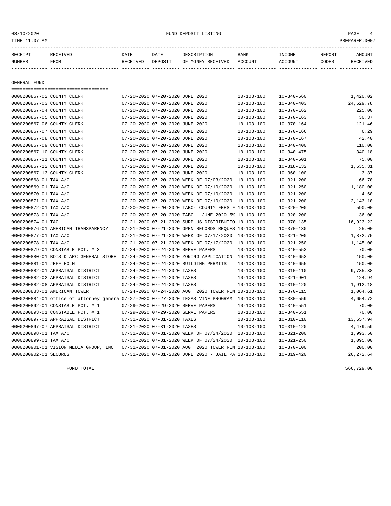#### 08/10/2020 PAGE 4

| <b>NUMBER</b> | FROM            | RECEIVED | DEPOSIT     | OF MONEY RECEIVED ACCOUNT |      | ACCOUNT       | CODES  | <b>RECEIVED</b> |
|---------------|-----------------|----------|-------------|---------------------------|------|---------------|--------|-----------------|
| RECEIPT       | <b>RECEIVED</b> | DATE     | <b>DATE</b> | DESCRIPTION               | BANK | <b>TNCOME</b> | REPORT | AMOUNT          |
|               |                 |          |             |                           |      |               |        |                 |

GENERAL FUND

=================================== 0000200867-02 COUNTY CLERK 07-20-2020 07-20-2020 JUNE 2020 10-103-100 10-340-560 1,420.02 0000200867-03 COUNTY CLERK 07-20-2020 07-20-2020 JUNE 2020 10-103-100 10-340-403 24,529.78 0000200867-04 COUNTY CLERK 07-20-2020 07-20-2020 JUNE 2020 10-103-100 10-370-162 225.00 0000200867-05 COUNTY CLERK 07-20-2020 07-20-2020 JUNE 2020 10-103-100 10-370-163 30.37 0000200867-06 COUNTY CLERK 07-20-2020 07-20-2020 JUNE 2020 10-103-100 10-370-164 121.46 0000200867-07 COUNTY CLERK 07-20-2020 07-20-2020 JUNE 2020 10-103-100 10-370-166 6.29 0000200867-08 COUNTY CLERK 07-20-2020 07-20-2020 JUNE 2020 10-103-100 10-370-167 42.40 0000200867-09 COUNTY CLERK 07-20-2020 07-20-2020 JUNE 2020 10-103-100 10-340-400 110.00 0000200867-10 COUNTY CLERK 07-20-2020 07-20-2020 JUNE 2020 10-103-100 10-340-475 340.18 0000200867-11 COUNTY CLERK 07-20-2020 07-20-2020 JUNE 2020 10-103-100 10-340-601 75.00 0000200867-12 COUNTY CLERK 07-20-2020 07-20-2020 JUNE 2020 10-103-100 10-318-132 1,535.31 0000200867-13 COUNTY CLERK 07-20-2020 07-20-2020 JUNE 2020 10-103-100 10-360-100 3.37 0000200868-01 TAX A/C 07-20-2020 07-20-2020 07-20-2020 WEEK OF 07/03/2020 10-103-100 10-321-200 66.70 0000200869-01 TAX A/C 07-20-2020 07-20-2020 WEEK OF 07/10/2020 10-103-100 10-321-250 1,180.00 0000200870-01 TAX A/C 07-20-2020 07-20-2020 WEEK OF 07/10/2020 10-103-100 10-321-200 4.60 0000200871-01 TAX A/C 07-20-2020 07-20-2020 WEEK OF 07/10/2020 10-103-100 10-321-200 2,143.10 0000200872-01 TAX A/C 07-20-2020 07-20-2020 TABC- COUNTY FEES F 10-103-100 10-320-200 590.00 0000200873-01 TAX A/C 07-20-2020 07-20-2020 TABC - JUNE 2020 5% 10-103-100 10-320-200 36.00 0000200874-01 TAC 07-21-2020 07-21-2020 SURPLUS DISTRIBUTIO 10-103-100 10-370-135 16,923.22 0000200876-01 AMERICAN TRANSPARENCY 07-21-2020 07-21-2020 OPEN RECORDS REQUES 10-103-100 10-370-130 25.00 0000200877-01 TAX A/C 07-21-2020 07-21-2020 WEEK OF 07/17/2020 10-103-100 10-321-200 1,872.75 0000200878-01 TAX A/C 07-21-2020 07-21-2020 WEEK OF 07/17/2020 10-103-100 10-321-250 1,145.00 0000200879-01 CONSTABLE PCT. # 3 07-24-2020 07-24-2020 SERVE PAPERS 10-103-100 10-340-553 70.00 0000200880-01 BOIS D'ARC GENERAL STORE 07-24-2020 07-24-2020 ZONING APPLICATION 10-103-100 10-340-653 150.00 0000200881-01 JEFF HOLM 07-24-2020 07-24-2020 BUILDING PERMITS 10-103-100 10-340-655 150.00 0000200882-01 APPRAISAL DISTRICT 07-24-2020 07-24-2020 TAXES 10-103-100 10-310-110 9,735.38 0000200882-02 APPRAISAL DISTRICT 07-24-2020 07-24-2020 TAXES 10-103-100 10-321-901 124.94 0000200882-08 APPRAISAL DISTRICT 07-24-2020 07-24-2020 TAXES 10-103-100 10-310-120 1,912.18 0000200883-01 AMERICAN TOWER 07-24-2020 07-24-2020 AUG. 2020 TOWER REN 10-103-100 10-370-115 1,064.61 0000200884-01 office of attorney genera 07-27-2020 07-27-2020 TEXAS VINE PROGRAM 10-103-100 10-330-559 4,654.72 0000200892-01 CONSTABLE PCT. # 1 07-29-2020 07-29-2020 SERVE PAPERS 10-103-100 10-340-551 70.00 0000200893-01 CONSTABLE PCT. # 1 07-29-2020 07-29-2020 SERVE PAPERS 10-103-100 10-340-551 70.00 0000200897-01 APPRAISAL DISTRICT 07-31-2020 07-31-2020 TAXES 10-103-100 10-310-110 13,657.94 0000200897-07 APPRAISAL DISTRICT 07-31-2020 07-31-2020 TAXES 10-103-100 10-310-120 4,479.59 0000200898-01 TAX A/C 07-31-2020 07-31-2020 WEEK OF 07/24/2020 10-103-100 10-321-200 1,993.50 0000200899-01 TAX A/C 07-31-2020 07-31-2020 WEEK OF 07/24/2020 10-103-100 10-321-250 1,095.00 0000200901-01 VISION MEDIA GROUP, INC. 07-31-2020 07-31-2020 AUG. 2020 TOWER REN 10-103-100 10-370-100 200.00 0000200902-01 SECURUS 07-31-2020 07-31-2020 JUNE 2020 - JAIL PA 10-103-100 10-319-420 26,272.64

FUND TOTAL 566,729.00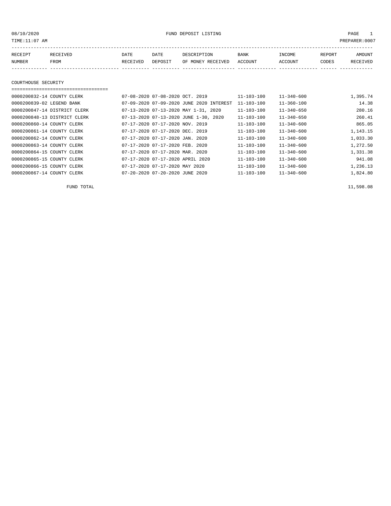08/10/2020 FUND DEPOSIT LISTING PAGE 1

| RECEIPT | <b>RECEIVED</b> | DATE            | DATE    | DESCRIPTION       | <b>BANK</b> | <b>TNCOME</b> | REPORT | AMOUNT          |
|---------|-----------------|-----------------|---------|-------------------|-------------|---------------|--------|-----------------|
| NUMBER  | FROM            | <b>RECEIVED</b> | DEPOSIT | OF MONEY RECEIVED | ACCOUNT     | ACCOUNT       | CODES  | <b>RECEIVED</b> |
|         |                 |                 |         |                   |             |               |        |                 |

COURTHOUSE SECURITY

#### ===================================

| 0000200832-14 COUNTY CLERK   | 07-08-2020 07-08-2020 OCT, 2019          | 11-103-100       | $11 - 340 - 600$ | 1,395.74 |
|------------------------------|------------------------------------------|------------------|------------------|----------|
| 0000200839-02 LEGEND BANK    | 07-09-2020 07-09-2020 JUNE 2020 INTEREST | $11 - 103 - 100$ | $11 - 360 - 100$ | 14.38    |
| 0000200847-14 DISTRICT CLERK | 07-13-2020 07-13-2020 MAY 1-31, 2020     | $11 - 103 - 100$ | $11 - 340 - 650$ | 280.16   |
| 0000200848-13 DISTRICT CLERK | 07-13-2020 07-13-2020 JUNE 1-30, 2020    | 11-103-100       | $11 - 340 - 650$ | 260.41   |
| 0000200860-14 COUNTY CLERK   | 07-17-2020 07-17-2020 NOV. 2019          | 11-103-100       | $11 - 340 - 600$ | 865.05   |
| 0000200861-14 COUNTY CLERK   | 07-17-2020 07-17-2020 DEC. 2019          | 11-103-100       | $11 - 340 - 600$ | 1,143.15 |
| 0000200862-14 COUNTY CLERK   | $07-17-2020$ $07-17-2020$ JAN. 2020      | 11-103-100       | $11 - 340 - 600$ | 1,033.30 |
| 0000200863-14 COUNTY CLERK   | 07-17-2020 07-17-2020 FEB. 2020          | 11-103-100       | $11 - 340 - 600$ | 1,272.50 |
| 0000200864-15 COUNTY CLERK   | 07-17-2020 07-17-2020 MAR. 2020          | 11-103-100       | $11 - 340 - 600$ | 1,331.38 |
| 0000200865-15 COUNTY CLERK   | 07-17-2020 07-17-2020 APRIL 2020         | $11 - 103 - 100$ | $11 - 340 - 600$ | 941.08   |
| 0000200866-15 COUNTY CLERK   | 07-17-2020 07-17-2020 MAY 2020           | $11 - 103 - 100$ | $11 - 340 - 600$ | 1,236.13 |
| 0000200867-14 COUNTY CLERK   | 07-20-2020 07-20-2020 JUNE 2020          | $11 - 103 - 100$ | $11 - 340 - 600$ | 1,824.80 |

FUND TOTAL 11,598.08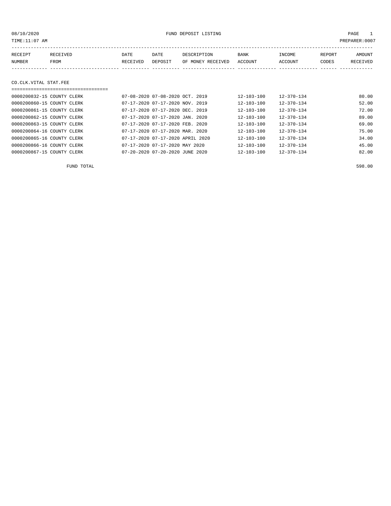| TIME: 11:07 AM             |          |          |                                 |                   |                  |                  |        | PREPARER: 0007 |
|----------------------------|----------|----------|---------------------------------|-------------------|------------------|------------------|--------|----------------|
| RECEIPT                    | RECEIVED | DATE     | DATE                            | DESCRIPTION       | <b>BANK</b>      | INCOME           | REPORT | AMOUNT         |
| NUMBER                     | FROM     | RECEIVED | DEPOSIT                         | OF MONEY RECEIVED | ACCOUNT          | ACCOUNT          | CODES  | RECEIVED       |
|                            |          |          |                                 |                   |                  |                  |        |                |
|                            |          |          |                                 |                   |                  |                  |        |                |
| CO.CLK.VITAL STAT.FEE      |          |          |                                 |                   |                  |                  |        |                |
|                            |          |          |                                 |                   |                  |                  |        |                |
| 0000200832-15 COUNTY CLERK |          |          | 07-08-2020 07-08-2020 OCT. 2019 |                   | $12 - 103 - 100$ | $12 - 370 - 134$ |        | 80.00          |
| 0000200860-15 COUNTY CLERK |          |          | 07-17-2020 07-17-2020 NOV. 2019 |                   | $12 - 103 - 100$ | $12 - 370 - 134$ |        | 52.00          |
| 0000200861-15 COUNTY CLERK |          |          | 07-17-2020 07-17-2020 DEC. 2019 |                   | $12 - 103 - 100$ | $12 - 370 - 134$ |        | 72.00          |

| 0000200862-15 COUNTY CLERK | 07-17-2020 07-17-2020 JAN. 2020  | $12 - 103 - 100$ | $12 - 370 - 134$ | 89.00 |
|----------------------------|----------------------------------|------------------|------------------|-------|
| 0000200863-15 COUNTY CLERK | 07-17-2020 07-17-2020 FEB. 2020  | $12 - 103 - 100$ | $12 - 370 - 134$ | 69.00 |
| 0000200864-16 COUNTY CLERK | 07-17-2020 07-17-2020 MAR. 2020  | $12 - 103 - 100$ | 12-370-134       | 75.00 |
| 0000200865-16 COUNTY CLERK | 07-17-2020 07-17-2020 APRIL 2020 | $12 - 103 - 100$ | $12 - 370 - 134$ | 34.00 |
| 0000200866-16 COUNTY CLERK | 07-17-2020 07-17-2020 MAY 2020   | $12 - 103 - 100$ | 12-370-134       | 45.00 |
| 0000200867-15 COUNTY CLERK | 07-20-2020 07-20-2020 JUNE 2020  | $12 - 103 - 100$ | $12 - 370 - 134$ | 82.00 |

FUND TOTAL 598.00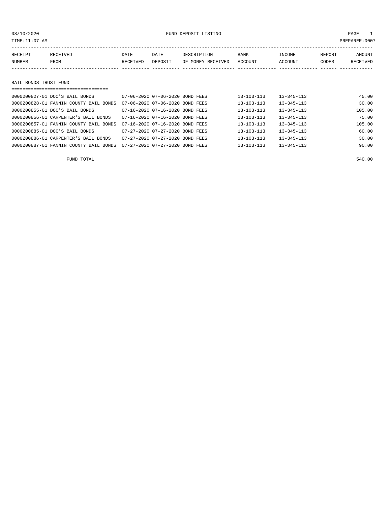#### 08/10/2020 FUND DEPOSIT LISTING PAGE 1

| RECEIPT               | RECEIVED | DATE     | DATE    | DESCRIPTION       | BANK    | INCOME  | REPORT | <b>AMOUNT</b> |
|-----------------------|----------|----------|---------|-------------------|---------|---------|--------|---------------|
| NUMBER                | FROM     | RECEIVED | DEPOSIT | OF MONEY RECEIVED | ACCOUNT | ACCOUNT | CODES  | RECEIVED      |
|                       |          |          |         |                   |         |         |        |               |
|                       |          |          |         |                   |         |         |        |               |
| BAIL BONDS TRUST FUND |          |          |         |                   |         |         |        |               |

===================================

| 0000200827-01 DOC'S BAIL BONDS         | 07-06-2020 07-06-2020 BOND FEES |  | $13 - 103 - 113$ | $13 - 345 - 113$ | 45.00  |
|----------------------------------------|---------------------------------|--|------------------|------------------|--------|
| 0000200828-01 FANNIN COUNTY BAIL BONDS | 07-06-2020 07-06-2020 BOND FEES |  | $13 - 103 - 113$ | $13 - 345 - 113$ | 30.00  |
| 0000200855-01 DOC'S BAIL BONDS         | 07-16-2020 07-16-2020 BOND FEES |  | 13-103-113       | $13 - 345 - 113$ | 105.00 |
| 0000200856-01 CARPENTER'S BAIL BONDS   | 07-16-2020 07-16-2020 BOND FEES |  | $13 - 103 - 113$ | $13 - 345 - 113$ | 75.00  |
| 0000200857-01 FANNIN COUNTY BAIL BONDS | 07-16-2020 07-16-2020 BOND FEES |  | $13 - 103 - 113$ | $13 - 345 - 113$ | 105.00 |
| 0000200885-01 DOC'S BAIL BONDS         | 07-27-2020 07-27-2020 BOND FEES |  | $13 - 103 - 113$ | $13 - 345 - 113$ | 60.00  |
| 0000200886-01 CARPENTER'S BAIL BONDS   | 07-27-2020 07-27-2020 BOND FEES |  | $13 - 103 - 113$ | $13 - 345 - 113$ | 30.00  |
| 0000200887-01 FANNIN COUNTY BAIL BONDS | 07-27-2020 07-27-2020 BOND FEES |  | $13 - 103 - 113$ | $13 - 345 - 113$ | 90.00  |

FUND TOTAL 540.00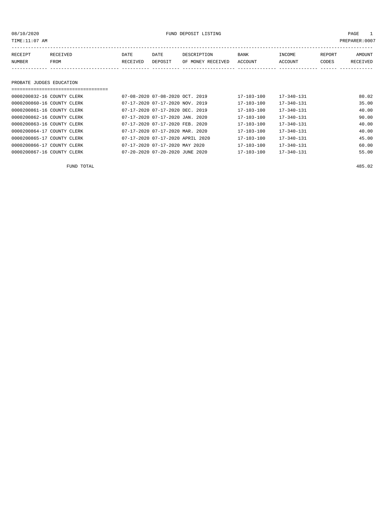| 08/10/2020<br>TIME:11:07 AM |          |          | FUND DEPOSIT LISTING            |                   | PAGE<br>PREPARER: 0007 |                  |        |          |
|-----------------------------|----------|----------|---------------------------------|-------------------|------------------------|------------------|--------|----------|
| RECEIPT                     | RECEIVED | DATE     | DATE                            | DESCRIPTION       | BANK                   | INCOME           | REPORT | AMOUNT   |
| NUMBER                      | FROM     | RECEIVED | DEPOSIT                         | OF MONEY RECEIVED | ACCOUNT                | ACCOUNT          | CODES  | RECEIVED |
|                             |          |          |                                 |                   |                        |                  |        |          |
| PROBATE JUDGES EDUCATION    |          |          |                                 |                   |                        |                  |        |          |
|                             |          |          |                                 |                   |                        |                  |        |          |
| 0000200832-16 COUNTY CLERK  |          |          | 07-08-2020 07-08-2020 OCT. 2019 |                   | $17 - 103 - 100$       | $17 - 340 - 131$ |        | 80.02    |
| 0000200860-16 COUNTY CLERK  |          |          | 07-17-2020 07-17-2020 NOV. 2019 |                   | $17 - 103 - 100$       | $17 - 340 - 131$ |        | 35.00    |
| 0000200861-16 COUNTY CLERK  |          |          | 07-17-2020 07-17-2020 DEC. 2019 |                   | $17 - 103 - 100$       | $17 - 340 - 131$ |        | 40.00    |

| 0000200862-16 COUNTY CLERK | 07-17-2020 07-17-2020 JAN. 2020  | 17-103-100       | 17-340-131       | 90.00 |
|----------------------------|----------------------------------|------------------|------------------|-------|
|                            |                                  |                  |                  |       |
| 0000200863-16 COUNTY CLERK | 07-17-2020 07-17-2020 FEB. 2020  | $17 - 103 - 100$ | $17 - 340 - 131$ | 40.00 |
| 0000200864-17 COUNTY CLERK | 07-17-2020 07-17-2020 MAR. 2020  | $17 - 103 - 100$ | $17 - 340 - 131$ | 40.00 |
| 0000200865-17 COUNTY CLERK | 07-17-2020 07-17-2020 APRIL 2020 | $17 - 103 - 100$ | $17 - 340 - 131$ | 45.00 |
| 0000200866-17 COUNTY CLERK | 07-17-2020 07-17-2020 MAY 2020   | $17 - 103 - 100$ | $17 - 340 - 131$ | 60.00 |
| 0000200867-16 COUNTY CLERK | 07-20-2020 07-20-2020 JUNE 2020  | 17-103-100       | 17-340-131       | 55.00 |

FUND TOTAL 485.02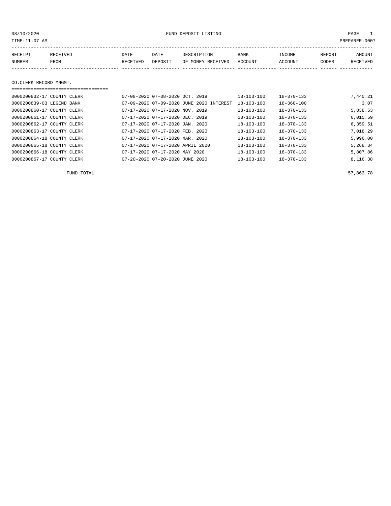08/10/2020 FUND DEPOSIT LISTING PAGE 1

| RECEIPT | <b>RECEIVED</b> | DATE            | DATE    | DESCRIPTION       | <b>BANK</b> | INCOME  | REPORT | AMOUNT   |
|---------|-----------------|-----------------|---------|-------------------|-------------|---------|--------|----------|
| NUMBER  | FROM            | <b>RECEIVED</b> | DEPOSIT | OF MONEY RECEIVED | ACCOUNT     | ACCOUNT | CODES  | RECEIVED |
|         |                 |                 |         |                   |             |         |        |          |

#### CO.CLERK RECORD MNGMT.

#### ===================================

| 0000200832-17 COUNTY CLERK |  | 07-08-2020 07-08-2020 OCT. 2019     |                                          | 18-103-100       | $18 - 370 - 133$ | 7,440.21 |
|----------------------------|--|-------------------------------------|------------------------------------------|------------------|------------------|----------|
| 0000200839-03 LEGEND BANK  |  |                                     | 07-09-2020 07-09-2020 JUNE 2020 INTEREST | $18 - 103 - 100$ | $18 - 360 - 100$ | 3.07     |
| 0000200860-17 COUNTY CLERK |  | 07-17-2020 07-17-2020 NOV. 2019     |                                          | $18 - 103 - 100$ | $18 - 370 - 133$ | 5,838.53 |
| 0000200861-17 COUNTY CLERK |  | 07-17-2020 07-17-2020 DEC. 2019     |                                          | $18 - 103 - 100$ | $18 - 370 - 133$ | 6,015.59 |
| 0000200862-17 COUNTY CLERK |  | $07-17-2020$ $07-17-2020$ JAN. 2020 |                                          | $18 - 103 - 100$ | $18 - 370 - 133$ | 6,359.51 |
| 0000200863-17 COUNTY CLERK |  | 07-17-2020 07-17-2020 FEB. 2020     |                                          | $18 - 103 - 100$ | $18 - 370 - 133$ | 7.018.29 |
| 0000200864-18 COUNTY CLERK |  | 07-17-2020 07-17-2020 MAR. 2020     |                                          | $18 - 103 - 100$ | $18 - 370 - 133$ | 5,996.00 |
| 0000200865-18 COUNTY CLERK |  | 07-17-2020 07-17-2020 APRIL 2020    |                                          | $18 - 103 - 100$ | $18 - 370 - 133$ | 5,268.34 |
| 0000200866-18 COUNTY CLERK |  | 07-17-2020 07-17-2020 MAY 2020      |                                          | 18-103-100       | $18 - 370 - 133$ | 5,807.86 |
| 0000200867-17 COUNTY CLERK |  | 07-20-2020 07-20-2020 JUNE 2020     |                                          | $18 - 103 - 100$ | $18 - 370 - 133$ | 8,116.38 |

FUND TOTAL  $57,863.78$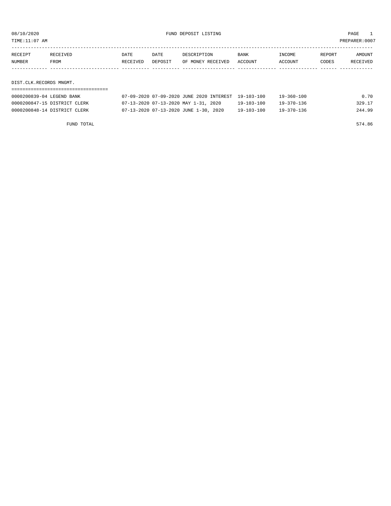08/10/2020 FUND DEPOSIT LISTING PAGE 1

| RECEIPT | RECEIVED | DATE     | DATE    | DESCRIPTION       | <b>BANK</b> | INCOME  | REPORT | AMOUNT          |
|---------|----------|----------|---------|-------------------|-------------|---------|--------|-----------------|
| NUMBER  | FROM     | RECEIVED | DEPOSIT | OF MONEY RECEIVED | ACCOUNT     | ACCOUNT | CODES  | <b>RECEIVED</b> |
|         |          |          |         |                   |             |         |        |                 |
|         |          |          |         |                   |             |         |        |                 |

DIST.CLK.RECORDS MNGMT.

| 0000200839-04 LEGEND BANK    | 07-09-2020 07-09-2020 JUNE 2020 INTEREST 19-103-100 |                  | 19-360-100       | 0.70   |
|------------------------------|-----------------------------------------------------|------------------|------------------|--------|
| 0000200847-15 DISTRICT CLERK | 07-13-2020 07-13-2020 MAY 1-31, 2020                | $19 - 103 - 100$ | $19 - 370 - 136$ | 329.17 |
| 0000200848-14 DISTRICT CLERK | 07-13-2020 07-13-2020 JUNE 1-30, 2020               | 19-103-100       | $19 - 370 - 136$ | 244.99 |

FUND TOTAL 574.86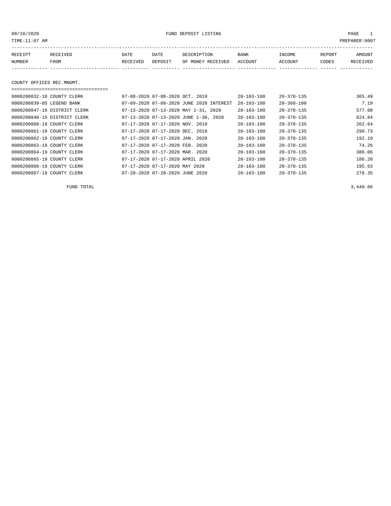08/10/2020 FUND DEPOSIT LISTING PAGE 1

| RECEIPT | <b>RECEIVED</b> | DATE            | DATE    | DESCRIPTION       | <b>BANK</b> | INCOME  | REPORT | AMOUNT          |
|---------|-----------------|-----------------|---------|-------------------|-------------|---------|--------|-----------------|
| NUMBER  | FROM            | <b>RECEIVED</b> | DEPOSIT | OF MONEY RECEIVED | ACCOUNT     | ACCOUNT | CODES  | <b>RECEIVED</b> |
|         |                 |                 |         |                   |             |         |        |                 |

#### COUNTY OFFICES REC.MNGMT.

===================================

| 0000200832-18 COUNTY CLERK   | $07 - 08 - 2020$ $07 - 08 - 2020$ $0CT$ . 2019 | $20 - 103 - 100$ | $20 - 370 - 135$ | 365.49 |
|------------------------------|------------------------------------------------|------------------|------------------|--------|
| 0000200839-05 LEGEND BANK    | 07-09-2020 07-09-2020 JUNE 2020 INTEREST       | $20 - 103 - 100$ | $20 - 360 - 100$ | 7.19   |
| 0000200847-16 DISTRICT CLERK | 07-13-2020 07-13-2020 MAY 1-31, 2020           | $20 - 103 - 100$ | $20 - 370 - 135$ | 577.08 |
| 0000200848-15 DISTRICT CLERK | 07-13-2020 07-13-2020 JUNE 1-30, 2020          | $20 - 103 - 100$ | $20 - 370 - 135$ | 624.84 |
| 0000200860-18 COUNTY CLERK   | 07-17-2020 07-17-2020 NOV. 2019                | $20 - 103 - 100$ | $20 - 370 - 135$ | 262.64 |
| 0000200861-18 COUNTY CLERK   | 07-17-2020 07-17-2020 DEC. 2019                | $20 - 103 - 100$ | $20 - 370 - 135$ | 299.73 |
| 0000200862-18 COUNTY CLERK   | $07 - 17 - 2020$ $07 - 17 - 2020$ JAN. 2020    | $20 - 103 - 100$ | $20 - 370 - 135$ | 192.19 |
| 0000200863-18 COUNTY CLERK   | 07-17-2020 07-17-2020 FEB. 2020                | 20-103-100       | $20 - 370 - 135$ | 74.26  |
| 0000200864-19 COUNTY CLERK   | 07-17-2020 07-17-2020 MAR. 2020                | $20 - 103 - 100$ | $20 - 370 - 135$ | 386.06 |
| 0000200865-19 COUNTY CLERK   | 07-17-2020 07-17-2020 APRIL 2020               | $20 - 103 - 100$ | $20 - 370 - 135$ | 186.20 |
| 0000200866-19 COUNTY CLERK   | 07-17-2020 07-17-2020 MAY 2020                 | $20 - 103 - 100$ | $20 - 370 - 135$ | 195.63 |
| 0000200867-18 COUNTY CLERK   | 07-20-2020 07-20-2020 JUNE 2020                | $20 - 103 - 100$ | $20 - 370 - 135$ | 278.35 |

FUND TOTAL 3,449.66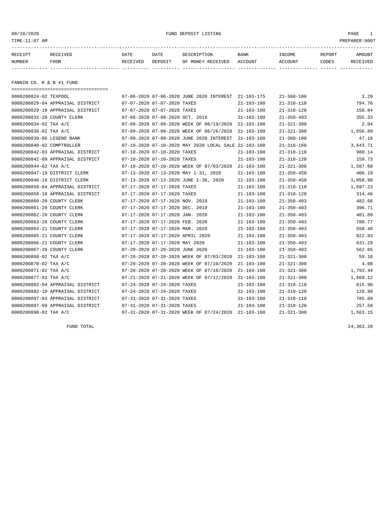08/10/2020 FUND DEPOSIT LISTING PAGE 1

| RECEIPT | RECEIVED | DATE            | DATE    | DESCRIPTION       | <b>BANK</b> | <b>INCOME</b> | REPORT | AMOUNT          |
|---------|----------|-----------------|---------|-------------------|-------------|---------------|--------|-----------------|
| NUMBER  | FROM     | <b>RECEIVED</b> | DEPOSIT | OF MONEY RECEIVED | ACCOUNT     | ACCOUNT       | CODES  | <b>RECEIVED</b> |
|         |          |                 |         |                   |             |               |        |                 |

FANNIN CO. R & B #1 FUND

===================================

| 0000200824-02 TEXPOOL        |                                  |                                  | 07-06-2020 07-06-2020 JUNE 2020 INTEREST 21-103-175  |                  | $21 - 360 - 100$ | 3.29     |
|------------------------------|----------------------------------|----------------------------------|------------------------------------------------------|------------------|------------------|----------|
|                              | 0000200829-04 APPRAISAL DISTRICT | 07-07-2020 07-07-2020 TAXES      |                                                      | $21 - 103 - 100$ | $21 - 310 - 110$ | 794.76   |
|                              | 0000200829-10 APPRAISAL DISTRICT | 07-07-2020 07-07-2020 TAXES      |                                                      | $21 - 103 - 100$ | $21 - 310 - 120$ | 150.84   |
| 0000200832-20 COUNTY CLERK   |                                  | 07-08-2020 07-08-2020 OCT. 2019  |                                                      | $21 - 103 - 100$ | $21 - 350 - 403$ | 355.33   |
| 0000200834-02 TAX A/C        |                                  |                                  | 07-09-2020 07-09-2020 WEEK OF 06/19/2020             | 21-103-100       | $21 - 321 - 300$ | 2.04     |
| 0000200836-02 TAX A/C        |                                  |                                  | 07-09-2020 07-09-2020 WEEK OF 06/26/2020             | 21-103-100       | $21 - 321 - 300$ | 1,656.89 |
| 0000200839-06 LEGEND BANK    |                                  |                                  | 07-09-2020 07-09-2020 JUNE 2020 INTEREST             | $21 - 103 - 100$ | $21 - 360 - 100$ | 47.18    |
| 0000200840-02 COMPTROLLER    |                                  |                                  | 07-10-2020 07-10-2020 MAY 2020 LOCAL SALE 21-103-100 |                  | $21 - 318 - 160$ | 3,643.71 |
|                              | 0000200842-03 APPRAISAL DISTRICT | 07-10-2020 07-10-2020 TAXES      |                                                      | $21 - 103 - 100$ | $21 - 310 - 110$ | 980.14   |
|                              | 0000200842-09 APPRAISAL DISTRICT | 07-10-2020 07-10-2020 TAXES      |                                                      | $21 - 103 - 100$ | $21 - 310 - 120$ | 159.73   |
| 0000200844-02 TAX A/C        |                                  |                                  | 07-10-2020 07-10-2020 WEEK OF 07/03/2020             | 21-103-100       | $21 - 321 - 300$ | 1,587.60 |
| 0000200847-19 DISTRICT CLERK |                                  |                                  | 07-13-2020 07-13-2020 MAY 1-31, 2020                 | $21 - 103 - 100$ | $21 - 350 - 450$ | 406.19   |
| 0000200848-18 DISTRICT CLERK |                                  |                                  | 07-13-2020 07-13-2020 JUNE 1-30, 2020                | $21 - 103 - 100$ | $21 - 350 - 450$ | 1,058.98 |
|                              | 0000200858-04 APPRAISAL DISTRICT | 07-17-2020 07-17-2020 TAXES      |                                                      | $21 - 103 - 100$ | $21 - 310 - 110$ | 1,697.23 |
|                              | 0000200858-10 APPRAISAL DISTRICT | 07-17-2020 07-17-2020 TAXES      |                                                      | $21 - 103 - 100$ | $21 - 310 - 120$ | 314.46   |
| 0000200860-20 COUNTY CLERK   |                                  | 07-17-2020 07-17-2020 NOV. 2019  |                                                      | $21 - 103 - 100$ | $21 - 350 - 403$ | 482.66   |
| 0000200861-20 COUNTY CLERK   |                                  | 07-17-2020 07-17-2020 DEC. 2019  |                                                      | $21 - 103 - 100$ | $21 - 350 - 403$ | 396.71   |
| 0000200862-20 COUNTY CLERK   |                                  | 07-17-2020 07-17-2020 JAN. 2020  |                                                      | 21-103-100       | $21 - 350 - 403$ | 401.09   |
| 0000200863-20 COUNTY CLERK   |                                  | 07-17-2020 07-17-2020 FEB. 2020  |                                                      | $21 - 103 - 100$ | $21 - 350 - 403$ | 780.77   |
| 0000200864-21 COUNTY CLERK   |                                  | 07-17-2020 07-17-2020 MAR. 2020  |                                                      | $21 - 103 - 100$ | $21 - 350 - 403$ | 558.48   |
| 0000200865-21 COUNTY CLERK   |                                  | 07-17-2020 07-17-2020 APRIL 2020 |                                                      | $21 - 103 - 100$ | $21 - 350 - 403$ | 822.83   |
| 0000200866-21 COUNTY CLERK   |                                  | 07-17-2020 07-17-2020 MAY 2020   |                                                      | $21 - 103 - 100$ | $21 - 350 - 403$ | 631.29   |
| 0000200867-20 COUNTY CLERK   |                                  | 07-20-2020 07-20-2020 JUNE 2020  |                                                      | $21 - 103 - 100$ | $21 - 350 - 403$ | 562.65   |
| 0000200868-02 TAX A/C        |                                  |                                  | 07-20-2020 07-20-2020 WEEK OF 07/03/2020             | 21-103-100       | $21 - 321 - 300$ | 59.10    |
| 0000200870-02 TAX A/C        |                                  |                                  | 07-20-2020 07-20-2020 WEEK OF 07/10/2020             | $21 - 103 - 100$ | $21 - 321 - 300$ | 4.08     |
| 0000200871-02 TAX A/C        |                                  |                                  | 07-20-2020 07-20-2020 WEEK OF 07/10/2020             | $21 - 103 - 100$ | $21 - 321 - 300$ | 1,793.44 |
| 0000200877-02 TAX A/C        |                                  |                                  | 07-21-2020 07-21-2020 WEEK OF 07/17/2020             | $21 - 103 - 100$ | $21 - 321 - 300$ | 1,669.12 |
|                              | 0000200882-04 APPRAISAL DISTRICT | 07-24-2020 07-24-2020 TAXES      |                                                      | $21 - 103 - 100$ | $21 - 310 - 110$ | 615.96   |
|                              | 0000200882-10 APPRAISAL DISTRICT | 07-24-2020 07-24-2020 TAXES      |                                                      | $21 - 103 - 100$ | $21 - 310 - 120$ | 120.99   |
|                              | 0000200897-03 APPRAISAL DISTRICT | 07-31-2020 07-31-2020 TAXES      |                                                      | $21 - 103 - 100$ | $21 - 310 - 110$ | 785.09   |
|                              | 0000200897-09 APPRAISAL DISTRICT | 07-31-2020 07-31-2020 TAXES      |                                                      | $21 - 103 - 100$ | $21 - 310 - 120$ | 257.50   |
| 0000200898-02 TAX A/C        |                                  |                                  | 07-31-2020 07-31-2020 WEEK OF 07/24/2020             | $21 - 103 - 100$ | $21 - 321 - 300$ | 1,563.15 |

FUND TOTAL 24,363.28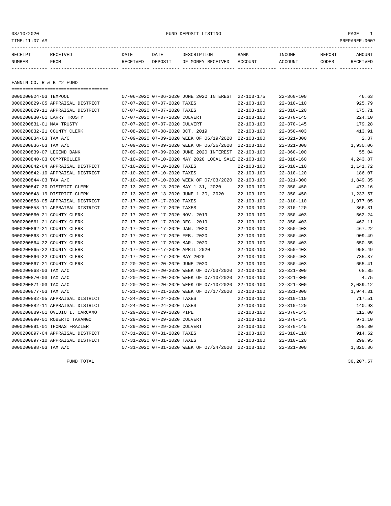#### 08/10/2020 FUND DEPOSIT LISTING PAGE 1

| RECEIPT | <b>RECEIVED</b> | DATE     | DATE    | DESCRIPTION          | <b>BANK</b>    | INCOME  | <b>REPORT</b> | AMOUNT          |
|---------|-----------------|----------|---------|----------------------|----------------|---------|---------------|-----------------|
| NUMBER  | FROM            | RECEIVED | DEPOSIT | RECEIVED<br>OF MONEY | <b>ACCOUNT</b> | ACCOUNT | CODES         | <b>RECEIVED</b> |
|         |                 |          |         |                      |                |         |               |                 |

FANNIN CO. R & B #2 FUND

===================================

| 0000200824-03 TEXPOOL      |                                  |                                  | 07-06-2020 07-06-2020 JUNE 2020 INTEREST 22-103-175  |                  | $22 - 360 - 100$ | 46.63    |
|----------------------------|----------------------------------|----------------------------------|------------------------------------------------------|------------------|------------------|----------|
|                            | 0000200829-05 APPRAISAL DISTRICT | 07-07-2020 07-07-2020 TAXES      |                                                      | $22 - 103 - 100$ | $22 - 310 - 110$ | 925.79   |
|                            | 0000200829-11 APPRAISAL DISTRICT | 07-07-2020 07-07-2020 TAXES      |                                                      | $22 - 103 - 100$ | $22 - 310 - 120$ | 175.71   |
| 0000200830-01 LARRY TRUSTY |                                  | 07-07-2020 07-07-2020 CULVERT    |                                                      | $22 - 103 - 100$ | $22 - 370 - 145$ | 224.10   |
| 0000200831-01 MAX TRUSTY   |                                  | 07-07-2020 07-07-2020 CULVERT    |                                                      | $22 - 103 - 100$ | $22 - 370 - 145$ | 179.28   |
| 0000200832-21 COUNTY CLERK |                                  | 07-08-2020 07-08-2020 OCT. 2019  |                                                      | $22 - 103 - 100$ | $22 - 350 - 403$ | 413.91   |
| 0000200834-03 TAX A/C      |                                  |                                  | 07-09-2020 07-09-2020 WEEK OF 06/19/2020             | 22-103-100       | $22 - 321 - 300$ | 2.37     |
| 0000200836-03 TAX A/C      |                                  |                                  | 07-09-2020 07-09-2020 WEEK OF 06/26/2020             | $22 - 103 - 100$ | $22 - 321 - 300$ | 1,930.06 |
| 0000200839-07 LEGEND BANK  |                                  |                                  | 07-09-2020 07-09-2020 JUNE 2020 INTEREST             | $22 - 103 - 100$ | $22 - 360 - 100$ | 55.04    |
| 0000200840-03 COMPTROLLER  |                                  |                                  | 07-10-2020 07-10-2020 MAY 2020 LOCAL SALE 22-103-100 |                  | $22 - 318 - 160$ | 4,243.87 |
|                            | 0000200842-04 APPRAISAL DISTRICT | 07-10-2020 07-10-2020 TAXES      |                                                      | $22 - 103 - 100$ | $22 - 310 - 110$ | 1,141.72 |
|                            | 0000200842-10 APPRAISAL DISTRICT | 07-10-2020 07-10-2020 TAXES      |                                                      | $22 - 103 - 100$ | $22 - 310 - 120$ | 186.07   |
| 0000200844-03 TAX A/C      |                                  |                                  | 07-10-2020 07-10-2020 WEEK OF 07/03/2020             | $22 - 103 - 100$ | $22 - 321 - 300$ | 1,849.35 |
|                            | 0000200847-20 DISTRICT CLERK     |                                  | 07-13-2020 07-13-2020 MAY 1-31, 2020                 | $22 - 103 - 100$ | $22 - 350 - 450$ | 473.16   |
|                            | 0000200848-19 DISTRICT CLERK     |                                  | 07-13-2020 07-13-2020 JUNE 1-30, 2020                | $22 - 103 - 100$ | $22 - 350 - 450$ | 1,233.57 |
|                            | 0000200858-05 APPRAISAL DISTRICT | 07-17-2020 07-17-2020 TAXES      |                                                      | $22 - 103 - 100$ | $22 - 310 - 110$ | 1,977.05 |
|                            | 0000200858-11 APPRAISAL DISTRICT | 07-17-2020 07-17-2020 TAXES      |                                                      | $22 - 103 - 100$ | $22 - 310 - 120$ | 366.31   |
| 0000200860-21 COUNTY CLERK |                                  | 07-17-2020 07-17-2020 NOV. 2019  |                                                      | $22 - 103 - 100$ | $22 - 350 - 403$ | 562.24   |
| 0000200861-21 COUNTY CLERK |                                  | 07-17-2020 07-17-2020 DEC. 2019  |                                                      | $22 - 103 - 100$ | $22 - 350 - 403$ | 462.11   |
| 0000200862-21 COUNTY CLERK |                                  | 07-17-2020 07-17-2020 JAN. 2020  |                                                      | $22 - 103 - 100$ | $22 - 350 - 403$ | 467.22   |
| 0000200863-21 COUNTY CLERK |                                  | 07-17-2020 07-17-2020 FEB. 2020  |                                                      | $22 - 103 - 100$ | $22 - 350 - 403$ | 909.49   |
| 0000200864-22 COUNTY CLERK |                                  | 07-17-2020 07-17-2020 MAR. 2020  |                                                      | $22 - 103 - 100$ | $22 - 350 - 403$ | 650.55   |
| 0000200865-22 COUNTY CLERK |                                  | 07-17-2020 07-17-2020 APRIL 2020 |                                                      | $22 - 103 - 100$ | $22 - 350 - 403$ | 958.49   |
| 0000200866-22 COUNTY CLERK |                                  | 07-17-2020 07-17-2020 MAY 2020   |                                                      | $22 - 103 - 100$ | $22 - 350 - 403$ | 735.37   |
| 0000200867-21 COUNTY CLERK |                                  | 07-20-2020 07-20-2020 JUNE 2020  |                                                      | $22 - 103 - 100$ | $22 - 350 - 403$ | 655.41   |
| 0000200868-03 TAX A/C      |                                  |                                  | 07-20-2020 07-20-2020 WEEK OF 07/03/2020             | $22 - 103 - 100$ | $22 - 321 - 300$ | 68.85    |
| 0000200870-03 TAX A/C      |                                  |                                  | 07-20-2020 07-20-2020 WEEK OF 07/10/2020             | $22 - 103 - 100$ | $22 - 321 - 300$ | 4.75     |
| 0000200871-03 TAX A/C      |                                  |                                  | 07-20-2020 07-20-2020 WEEK OF 07/10/2020             | $22 - 103 - 100$ | $22 - 321 - 300$ | 2,089.12 |
| 0000200877-03 TAX A/C      |                                  |                                  | 07-21-2020 07-21-2020 WEEK OF 07/17/2020             | $22 - 103 - 100$ | $22 - 321 - 300$ | 1,944.31 |
|                            | 0000200882-05 APPRAISAL DISTRICT | 07-24-2020 07-24-2020 TAXES      |                                                      | $22 - 103 - 100$ | $22 - 310 - 110$ | 717.51   |
|                            | 0000200882-11 APPRAISAL DISTRICT | 07-24-2020 07-24-2020 TAXES      |                                                      | $22 - 103 - 100$ | $22 - 310 - 120$ | 140.93   |
|                            | 0000200889-01 OVIDIO I. CARCAMO  | 07-29-2020 07-29-2020 PIPE       |                                                      | $22 - 103 - 100$ | $22 - 370 - 145$ | 112.00   |
|                            | 0000200890-01 ROBERTO TARANGO    | 07-29-2020 07-29-2020 CULVERT    |                                                      | $22 - 103 - 100$ | $22 - 370 - 145$ | 971.10   |
|                            | 0000200891-01 THOMAS FRAZIER     | 07-29-2020 07-29-2020 CULVERT    |                                                      | $22 - 103 - 100$ | $22 - 370 - 145$ | 298.80   |
|                            | 0000200897-04 APPRAISAL DISTRICT | 07-31-2020 07-31-2020 TAXES      |                                                      | $22 - 103 - 100$ | $22 - 310 - 110$ | 914.52   |
|                            | 0000200897-10 APPRAISAL DISTRICT | 07-31-2020 07-31-2020 TAXES      |                                                      | $22 - 103 - 100$ | $22 - 310 - 120$ | 299.95   |
| 0000200898-03 TAX A/C      |                                  |                                  | 07-31-2020 07-31-2020 WEEK OF 07/24/2020 22-103-100  |                  | $22 - 321 - 300$ | 1,820.86 |

FUND TOTAL  $30,207.57$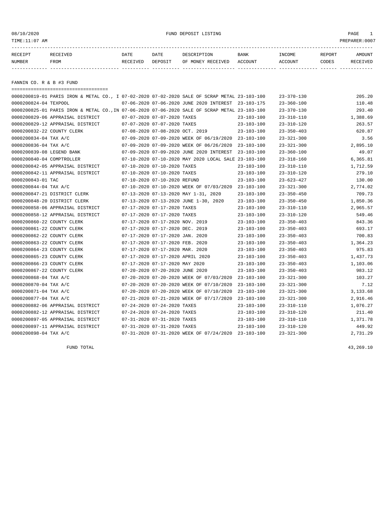08/10/2020 FUND DEPOSIT LISTING PAGE 1

| RECEIPT | RECEIVED | DATE     | DATE    | DESCRIPTION               | <b>BANK</b> | INCOME         | REPORT | AMOUNT          |
|---------|----------|----------|---------|---------------------------|-------------|----------------|--------|-----------------|
| NUMBER  | FROM     | RECEIVED | DEPOSIT | OF MONEY RECEIVED ACCOUNT |             | <b>ACCOUNT</b> | CODES  | <b>RECEIVED</b> |
|         |          |          |         |                           |             |                |        |                 |

FANNIN CO. R & B #3 FUND

| =====================================                                                         |                                 |                                                      |                  |                  |          |
|-----------------------------------------------------------------------------------------------|---------------------------------|------------------------------------------------------|------------------|------------------|----------|
| 0000200819-01 PARIS IRON & METAL CO., I 07-02-2020 07-02-2020 SALE OF SCRAP METAL 23-103-100  |                                 |                                                      |                  | $23 - 370 - 130$ | 205.20   |
| 0000200824-04 TEXPOOL                                                                         |                                 | 07-06-2020 07-06-2020 JUNE 2020 INTEREST 23-103-175  |                  | $23 - 360 - 100$ | 110.48   |
| 0000200825-01 PARIS IRON & METAL CO., IN 07-06-2020 07-06-2020 SALE OF SCRAP METAL 23-103-100 |                                 |                                                      |                  | $23 - 370 - 130$ | 293.40   |
| 0000200829-06 APPRAISAL DISTRICT                                                              | 07-07-2020 07-07-2020 TAXES     |                                                      | $23 - 103 - 100$ | $23 - 310 - 110$ | 1,388.69 |
| 0000200829-12 APPRAISAL DISTRICT                                                              | 07-07-2020 07-07-2020 TAXES     |                                                      | $23 - 103 - 100$ | $23 - 310 - 120$ | 263.57   |
| 0000200832-22 COUNTY CLERK                                                                    | 07-08-2020 07-08-2020 OCT. 2019 |                                                      | $23 - 103 - 100$ | $23 - 350 - 403$ | 620.87   |
| 0000200834-04 TAX A/C                                                                         |                                 | 07-09-2020 07-09-2020 WEEK OF 06/19/2020 23-103-100  |                  | $23 - 321 - 300$ | 3.56     |
| 0000200836-04 TAX A/C                                                                         |                                 | 07-09-2020 07-09-2020 WEEK OF 06/26/2020 23-103-100  |                  | $23 - 321 - 300$ | 2,895.10 |
| 0000200839-08 LEGEND BANK                                                                     |                                 | 07-09-2020 07-09-2020 JUNE 2020 INTEREST             | 23-103-100       | $23 - 360 - 100$ | 49.07    |
| 0000200840-04 COMPTROLLER                                                                     |                                 | 07-10-2020 07-10-2020 MAY 2020 LOCAL SALE 23-103-100 |                  | $23 - 318 - 160$ | 6,365.81 |
| 0000200842-05 APPRAISAL DISTRICT                                                              | 07-10-2020 07-10-2020 TAXES     |                                                      | $23 - 103 - 100$ | $23 - 310 - 110$ | 1,712.59 |
| 0000200842-11 APPRAISAL DISTRICT                                                              | 07-10-2020 07-10-2020 TAXES     |                                                      | $23 - 103 - 100$ | $23 - 310 - 120$ | 279.10   |
| 0000200843-01 TAC                                                                             | 07-10-2020 07-10-2020 REFUND    |                                                      | $23 - 103 - 100$ | $23 - 623 - 427$ | 130.00   |
| 0000200844-04 TAX A/C                                                                         |                                 | 07-10-2020 07-10-2020 WEEK OF 07/03/2020 23-103-100  |                  | $23 - 321 - 300$ | 2,774.02 |
| 0000200847-21 DISTRICT CLERK                                                                  |                                 | 07-13-2020 07-13-2020 MAY 1-31, 2020                 | $23 - 103 - 100$ | $23 - 350 - 450$ | 709.73   |
| 0000200848-20 DISTRICT CLERK                                                                  |                                 | 07-13-2020 07-13-2020 JUNE 1-30, 2020                | $23 - 103 - 100$ | $23 - 350 - 450$ | 1,850.36 |
| 0000200858-06 APPRAISAL DISTRICT                                                              | 07-17-2020 07-17-2020 TAXES     |                                                      | $23 - 103 - 100$ | $23 - 310 - 110$ | 2,965.57 |
| 0000200858-12 APPRAISAL DISTRICT                                                              | 07-17-2020 07-17-2020 TAXES     |                                                      | $23 - 103 - 100$ | $23 - 310 - 120$ | 549.46   |
| 0000200860-22 COUNTY CLERK                                                                    | 07-17-2020 07-17-2020 NOV. 2019 |                                                      | $23 - 103 - 100$ | $23 - 350 - 403$ | 843.36   |
| 0000200861-22 COUNTY CLERK                                                                    | 07-17-2020 07-17-2020 DEC. 2019 |                                                      | $23 - 103 - 100$ | $23 - 350 - 403$ | 693.17   |
| 0000200862-22 COUNTY CLERK                                                                    | 07-17-2020 07-17-2020 JAN. 2020 |                                                      | $23 - 103 - 100$ | $23 - 350 - 403$ | 700.83   |
| 0000200863-22 COUNTY CLERK                                                                    | 07-17-2020 07-17-2020 FEB. 2020 |                                                      | $23 - 103 - 100$ | $23 - 350 - 403$ | 1,364.23 |
| 0000200864-23 COUNTY CLERK                                                                    | 07-17-2020 07-17-2020 MAR. 2020 |                                                      | $23 - 103 - 100$ | $23 - 350 - 403$ | 975.83   |
| 0000200865-23 COUNTY CLERK                                                                    |                                 | 07-17-2020 07-17-2020 APRIL 2020                     | $23 - 103 - 100$ | $23 - 350 - 403$ | 1,437.73 |
| 0000200866-23 COUNTY CLERK                                                                    | 07-17-2020 07-17-2020 MAY 2020  |                                                      | $23 - 103 - 100$ | $23 - 350 - 403$ | 1,103.06 |
| 0000200867-22 COUNTY CLERK                                                                    | 07-20-2020 07-20-2020 JUNE 2020 |                                                      | $23 - 103 - 100$ | $23 - 350 - 403$ | 983.12   |
| 0000200868-04 TAX A/C                                                                         |                                 | 07-20-2020 07-20-2020 WEEK OF 07/03/2020             | 23-103-100       | $23 - 321 - 300$ | 103.27   |
| 0000200870-04 TAX A/C                                                                         |                                 | 07-20-2020 07-20-2020 WEEK OF 07/10/2020             | 23-103-100       | $23 - 321 - 300$ | 7.12     |
| 0000200871-04 TAX A/C                                                                         |                                 | 07-20-2020 07-20-2020 WEEK OF 07/10/2020             | $23 - 103 - 100$ | $23 - 321 - 300$ | 3,133.68 |
| 0000200877-04 TAX A/C                                                                         |                                 | 07-21-2020 07-21-2020 WEEK OF 07/17/2020             | $23 - 103 - 100$ | $23 - 321 - 300$ | 2,916.46 |
| 0000200882-06 APPRAISAL DISTRICT                                                              | 07-24-2020 07-24-2020 TAXES     |                                                      | $23 - 103 - 100$ | $23 - 310 - 110$ | 1,076.27 |
| 0000200882-12 APPRAISAL DISTRICT                                                              | 07-24-2020 07-24-2020 TAXES     |                                                      | $23 - 103 - 100$ | $23 - 310 - 120$ | 211.40   |
| 0000200897-05 APPRAISAL DISTRICT                                                              | 07-31-2020 07-31-2020 TAXES     |                                                      | 23-103-100       | 23-310-110       | 1,371.78 |
| 0000200897-11 APPRAISAL DISTRICT                                                              | 07-31-2020 07-31-2020 TAXES     |                                                      | $23 - 103 - 100$ | $23 - 310 - 120$ | 449.92   |
| 0000200898-04 TAX A/C                                                                         |                                 | 07-31-2020 07-31-2020 WEEK OF 07/24/2020 23-103-100  |                  | $23 - 321 - 300$ | 2,731.29 |

FUND TOTAL 43,269.10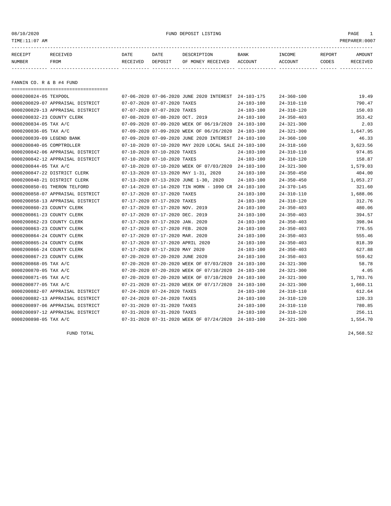08/10/2020 FUND DEPOSIT LISTING PAGE 1

| RECEIPT | <b>RECEIVED</b> | DATE     | DATE    | DESCRIPTION          | <b>BANK</b>    | INCOME  | <b>REPORT</b> | AMOUNT          |
|---------|-----------------|----------|---------|----------------------|----------------|---------|---------------|-----------------|
| NUMBER  | FROM            | RECEIVED | DEPOSIT | RECEIVED<br>OF MONEY | <b>ACCOUNT</b> | ACCOUNT | CODES         | <b>RECEIVED</b> |
|         |                 |          |         |                      |                |         |               |                 |

FANNIN CO. R & B #4 FUND

===================================

| 0000200824-05 TEXPOOL      |                                  |                                  |                                 | 07-06-2020 07-06-2020 JUNE 2020 INTEREST 24-103-175  |                  | $24 - 360 - 100$ | 19.49    |
|----------------------------|----------------------------------|----------------------------------|---------------------------------|------------------------------------------------------|------------------|------------------|----------|
|                            | 0000200829-07 APPRAISAL DISTRICT | 07-07-2020 07-07-2020 TAXES      |                                 |                                                      | $24 - 103 - 100$ | $24 - 310 - 110$ | 790.47   |
|                            | 0000200829-13 APPRAISAL DISTRICT |                                  | 07-07-2020 07-07-2020 TAXES     |                                                      | $24 - 103 - 100$ | $24 - 310 - 120$ | 150.03   |
| 0000200832-23 COUNTY CLERK |                                  |                                  | 07-08-2020 07-08-2020 OCT. 2019 |                                                      | $24 - 103 - 100$ | $24 - 350 - 403$ | 353.42   |
| 0000200834-05 TAX A/C      |                                  |                                  |                                 | 07-09-2020 07-09-2020 WEEK OF 06/19/2020             | $24 - 103 - 100$ | $24 - 321 - 300$ | 2.03     |
| 0000200836-05 TAX A/C      |                                  |                                  |                                 | 07-09-2020 07-09-2020 WEEK OF 06/26/2020             | $24 - 103 - 100$ | $24 - 321 - 300$ | 1,647.95 |
| 0000200839-09 LEGEND BANK  |                                  |                                  |                                 | 07-09-2020 07-09-2020 JUNE 2020 INTEREST             | $24 - 103 - 100$ | $24 - 360 - 100$ | 46.33    |
| 0000200840-05 COMPTROLLER  |                                  |                                  |                                 | 07-10-2020 07-10-2020 MAY 2020 LOCAL SALE 24-103-100 |                  | $24 - 318 - 160$ | 3,623.56 |
|                            | 0000200842-06 APPRAISAL DISTRICT |                                  | 07-10-2020 07-10-2020 TAXES     |                                                      | $24 - 103 - 100$ | $24 - 310 - 110$ | 974.85   |
|                            | 0000200842-12 APPRAISAL DISTRICT |                                  | 07-10-2020 07-10-2020 TAXES     |                                                      | $24 - 103 - 100$ | $24 - 310 - 120$ | 158.87   |
| 0000200844-05 TAX A/C      |                                  |                                  |                                 | 07-10-2020 07-10-2020 WEEK OF 07/03/2020             | $24 - 103 - 100$ | $24 - 321 - 300$ | 1,579.03 |
|                            | 0000200847-22 DISTRICT CLERK     |                                  |                                 | 07-13-2020 07-13-2020 MAY 1-31, 2020                 | $24 - 103 - 100$ | $24 - 350 - 450$ | 404.00   |
|                            | 0000200848-21 DISTRICT CLERK     |                                  |                                 | 07-13-2020 07-13-2020 JUNE 1-30, 2020                | $24 - 103 - 100$ | $24 - 350 - 450$ | 1,053.27 |
|                            | 0000200850-01 THERON TELFORD     |                                  |                                 | 07-14-2020 07-14-2020 TIN HORN - 1090 CR             | 24-103-100       | $24 - 370 - 145$ | 321.60   |
|                            | 0000200858-07 APPRAISAL DISTRICT |                                  | 07-17-2020 07-17-2020 TAXES     |                                                      | $24 - 103 - 100$ | $24 - 310 - 110$ | 1,688.06 |
|                            | 0000200858-13 APPRAISAL DISTRICT |                                  | 07-17-2020 07-17-2020 TAXES     |                                                      | $24 - 103 - 100$ | $24 - 310 - 120$ | 312.76   |
| 0000200860-23 COUNTY CLERK |                                  |                                  | 07-17-2020 07-17-2020 NOV. 2019 |                                                      | $24 - 103 - 100$ | $24 - 350 - 403$ | 480.06   |
| 0000200861-23 COUNTY CLERK |                                  |                                  | 07-17-2020 07-17-2020 DEC. 2019 |                                                      | $24 - 103 - 100$ | $24 - 350 - 403$ | 394.57   |
| 0000200862-23 COUNTY CLERK |                                  |                                  | 07-17-2020 07-17-2020 JAN. 2020 |                                                      | $24 - 103 - 100$ | $24 - 350 - 403$ | 398.94   |
| 0000200863-23 COUNTY CLERK |                                  |                                  | 07-17-2020 07-17-2020 FEB. 2020 |                                                      | $24 - 103 - 100$ | $24 - 350 - 403$ | 776.55   |
| 0000200864-24 COUNTY CLERK |                                  |                                  | 07-17-2020 07-17-2020 MAR. 2020 |                                                      | $24 - 103 - 100$ | $24 - 350 - 403$ | 555.46   |
| 0000200865-24 COUNTY CLERK |                                  | 07-17-2020 07-17-2020 APRIL 2020 |                                 |                                                      | $24 - 103 - 100$ | $24 - 350 - 403$ | 818.39   |
| 0000200866-24 COUNTY CLERK |                                  |                                  | 07-17-2020 07-17-2020 MAY 2020  |                                                      | $24 - 103 - 100$ | $24 - 350 - 403$ | 627.88   |
| 0000200867-23 COUNTY CLERK |                                  |                                  | 07-20-2020 07-20-2020 JUNE 2020 |                                                      | $24 - 103 - 100$ | $24 - 350 - 403$ | 559.62   |
| 0000200868-05 TAX A/C      |                                  |                                  |                                 | 07-20-2020 07-20-2020 WEEK OF 07/03/2020             | 24-103-100       | $24 - 321 - 300$ | 58.78    |
| 0000200870-05 TAX A/C      |                                  |                                  |                                 | 07-20-2020 07-20-2020 WEEK OF 07/10/2020             | $24 - 103 - 100$ | $24 - 321 - 300$ | 4.05     |
| 0000200871-05 TAX A/C      |                                  |                                  |                                 | 07-20-2020 07-20-2020 WEEK OF 07/10/2020             | $24 - 103 - 100$ | $24 - 321 - 300$ | 1,783.76 |
| 0000200877-05 TAX A/C      |                                  |                                  |                                 | 07-21-2020 07-21-2020 WEEK OF 07/17/2020             | 24-103-100       | $24 - 321 - 300$ | 1,660.11 |
|                            | 0000200882-07 APPRAISAL DISTRICT |                                  | 07-24-2020 07-24-2020 TAXES     |                                                      | $24 - 103 - 100$ | $24 - 310 - 110$ | 612.64   |
|                            | 0000200882-13 APPRAISAL DISTRICT |                                  | 07-24-2020 07-24-2020 TAXES     |                                                      | $24 - 103 - 100$ | $24 - 310 - 120$ | 120.33   |
|                            | 0000200897-06 APPRAISAL DISTRICT |                                  | 07-31-2020 07-31-2020 TAXES     |                                                      | $24 - 103 - 100$ | $24 - 310 - 110$ | 780.85   |
|                            | 0000200897-12 APPRAISAL DISTRICT | 07-31-2020 07-31-2020 TAXES      |                                 |                                                      | $24 - 103 - 100$ | $24 - 310 - 120$ | 256.11   |
| 0000200898-05 TAX A/C      |                                  |                                  |                                 | 07-31-2020 07-31-2020 WEEK OF 07/24/2020             | 24-103-100       | $24 - 321 - 300$ | 1,554.70 |

FUND TOTAL 24,568.52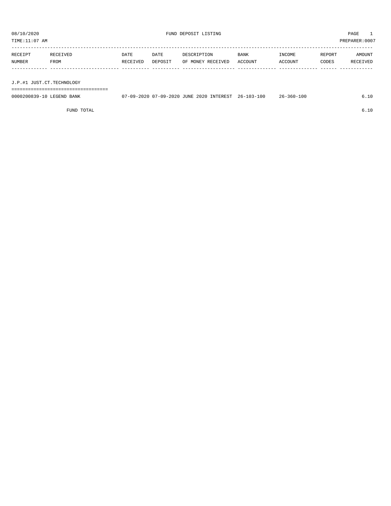TIME:11:07 AM PREPARER:0007

| RECEIPT | RECEIVED | DATE     | DATE    | DESCRIPTION       | <b>BANK</b> | <b>TNCOME</b> | REPORT | AMOUNT   |
|---------|----------|----------|---------|-------------------|-------------|---------------|--------|----------|
| NUMBER  | FROM     | RECEIVED | DEPOSIT | OF MONEY RECEIVED | ACCOUNT     | ACCOUNT       | CODES  | RECEIVED |
|         |          |          |         |                   |             |               |        |          |

J.P.#1 JUST.CT.TECHNOLOGY

===================================

| 0000200839-10 LEGEND BANK | 07-09-2020 07-09-2020 JUNE 2020 INTEREST 26-103-100 |  | 26-360-100 |  |
|---------------------------|-----------------------------------------------------|--|------------|--|
|                           |                                                     |  |            |  |

FUND TOTAL 6.10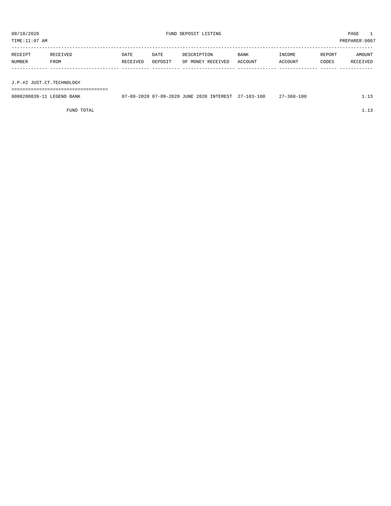TIME:11:07 AM PREPARER:0007

| RECEIPT | RECEIVED | DATE     | DATE    | DESCRIPTION       | <b>BANK</b> | INCOME  | REPORT | AMOUNT   |
|---------|----------|----------|---------|-------------------|-------------|---------|--------|----------|
| NUMBER  | FROM     | RECEIVED | DEPOSIT | OF MONEY RECEIVED | ACCOUNT     | ACCOUNT | CODES  | RECEIVED |
|         |          |          |         |                   |             |         |        |          |
|         |          |          |         |                   |             |         |        |          |

J.P.#2 JUST.CT.TECHNOLOGY

===================================

| 0000200839-11<br>LEGEND BANK | 07-09-2020 07-09-2020 JUNE 2020 INTEREST | $27 - 103 - 100$ | $7 - 360 - 100$ |  |
|------------------------------|------------------------------------------|------------------|-----------------|--|
|                              |                                          |                  |                 |  |

FUND TOTAL  $1.13$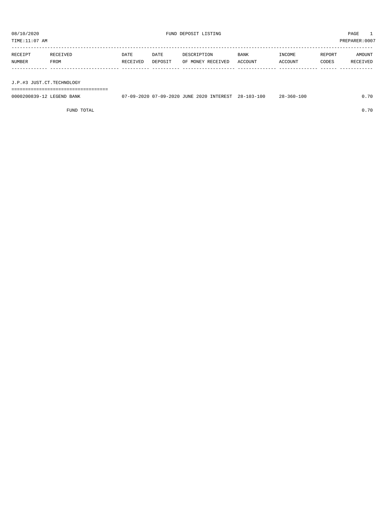TIME:11:07 AM PREPARER:0007

| RECEIPT | RECEIVED | DATE     | DATE    | DESCRIPTION       | <b>BANK</b> | <b>TNCOME</b>  | REPORT | AMOUNT          |
|---------|----------|----------|---------|-------------------|-------------|----------------|--------|-----------------|
| NUMBER  | FROM     | RECEIVED | DEPOSIT | OF MONEY RECEIVED | ACCOUNT     | <b>ACCOUNT</b> | CODES  | <b>RECEIVED</b> |
|         |          |          |         |                   |             |                |        |                 |

J.P.#3 JUST.CT.TECHNOLOGY

===================================

| 0000200839-12 LEGEND BANK | 07-09-2020 07-09-2020 JUNE 2020 INTEREST 28-103-100 |  | $28 - 360 - 100$ | 0.70 |
|---------------------------|-----------------------------------------------------|--|------------------|------|
|                           |                                                     |  |                  |      |

FUND TOTAL 0.70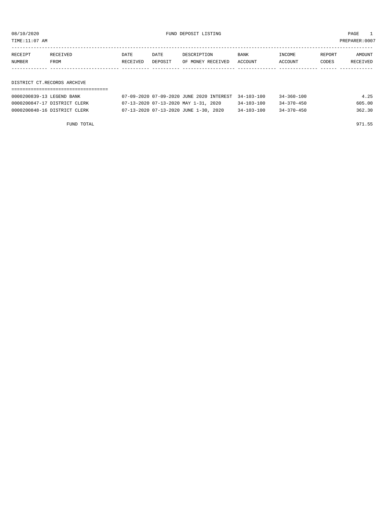08/10/2020 FUND DEPOSIT LISTING PAGE 1

| RECEIPT | <b>RECEIVED</b> | DATE     | DATE    | DESCRIPTION       | <b>BANK</b> | INCOME  | REPORT | AMOUNT   |
|---------|-----------------|----------|---------|-------------------|-------------|---------|--------|----------|
| NUMBER  | FROM            | RECEIVED | DEPOSIT | OF MONEY RECEIVED | ACCOUNT     | ACCOUNT | CODES  | RECEIVED |
|         |                 |          |         |                   |             |         |        |          |

DISTRICT CT.RECORDS ARCHIVE

| 0000200839-13 LEGEND BANK    | 07-09-2020 07-09-2020 JUNE 2020 INTEREST 34-103-100 |                  | 34-360-100       | 4.25   |
|------------------------------|-----------------------------------------------------|------------------|------------------|--------|
| 0000200847-17 DISTRICT CLERK | 07-13-2020 07-13-2020 MAY 1-31, 2020                | $34 - 103 - 100$ | $34 - 370 - 450$ | 605.00 |
| 0000200848-16 DISTRICT CLERK | 07-13-2020 07-13-2020 JUNE 1-30, 2020               | $34 - 103 - 100$ | 34-370-450       | 362.30 |

FUND TOTAL 971.55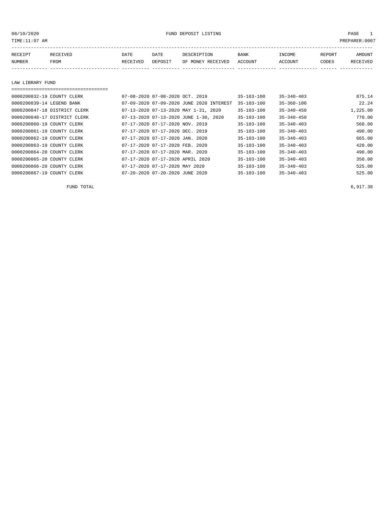08/10/2020 PAGE 1 PAGE 1

| RECEIPT       | <b>RECEIVED</b> | DATE     | DATE    | DESCRIPTION       | BANK    | <b>TNCOME</b>  | REPORT | MOUNT |
|---------------|-----------------|----------|---------|-------------------|---------|----------------|--------|-------|
| <b>NUMBER</b> | <b>FROM</b>     | RECEIVED | DEPOSIT | OF MONEY RECEIVED | ACCOUNT | <b>ACCOUNT</b> | CODES  |       |
|               |                 |          |         |                   |         |                |        |       |

LAW LIBRARY FUND

#### =================================== 0000200832-19 COUNTY CLERK 07-08-2020 07-08-2020 OCT. 2019 35-103-100 35-340-403 875.14 0000200839-14 LEGEND BANK 07-09-2020 07-09-2020 JUNE 2020 INTEREST 35-103-100 35-360-100 22.24 0000200847-18 DISTRICT CLERK 07-13-2020 07-13-2020 MAY 1-31, 2020 35-103-100 35-340-450 1,225.00 0000200848-17 DISTRICT CLERK 07-13-2020 07-13-2020 JUNE 1-30, 2020 35-103-100 35-340-450 770.00 0000200860-19 COUNTY CLERK 07-17-2020 07-17-2020 NOV. 2019 35-103-100 35-340-403 560.00 0000200861-19 COUNTY CLERK 07-17-2020 07-17-2020 DEC. 2019 35-103-100 35-340-403 490.00 0000200862-19 COUNTY CLERK 07-17-2020 07-17-2020 JAN. 2020 35-103-100 35-340-403 665.00 0000200863-19 COUNTY CLERK 07-17-2020 07-17-2020 FEB. 2020 35-103-100 35-340-403<br>0000200864-20 COUNTY CLERK 07-17-2020 07-17-2020 MAR. 2020 35-103-100 35-340-403 490.00 0000200864-20 COUNTY CLERK 07-17-2020 07-17-2020 MAR. 2020 35-103-100 35-340-403 490.00 0000200865-20 COUNTY CLERK 07-17-2020 07-17-2020 APRIL 2020 35-103-100 35-340-403<br>0000200866-20 COUNTY CLERK 07-17-2020 07-17-2020 MAY 2020 35-103-100 35-340-403 525.00 07-17-2020 07-17-2020 MAY 2020 35-103-100 35-340-403 525.00 0000200867-19 COUNTY CLERK 07-20-2020 07-20-2020 JUNE 2020 35-103-100 35-340-403

FUND TOTAL  $6,917.38$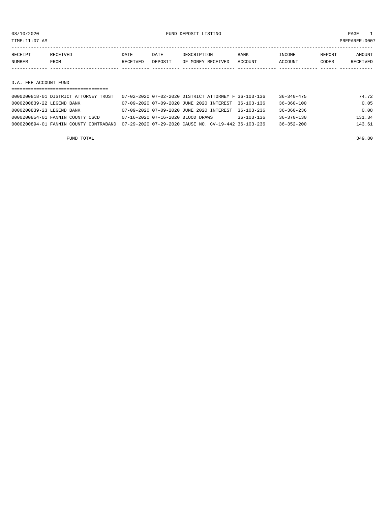08/10/2020 FUND DEPOSIT LISTING PAGE 1

| RECEIPT | RECEIVED | DATE            | DATE    | DESCRIPTION       | BANK    | INCOME  | REPORT | AMOUNT          |
|---------|----------|-----------------|---------|-------------------|---------|---------|--------|-----------------|
| NUMBER  | FROM     | <b>RECEIVED</b> | DEPOSIT | OF MONEY RECEIVED | ACCOUNT | ACCOUNT | CODES  | <b>RECEIVED</b> |
|         |          |                 |         |                   |         |         |        |                 |

D.A. FEE ACCOUNT FUND

| 0000200818-01 DISTRICT ATTORNEY TRUST  | 07-02-2020 07-02-2020 DISTRICT ATTORNEY F 36-103-136 |                  | $36 - 340 - 475$ | 74.72  |
|----------------------------------------|------------------------------------------------------|------------------|------------------|--------|
| 0000200839-22 LEGEND BANK              | 07-09-2020 07-09-2020 JUNE 2020 INTEREST 36-103-136  |                  | $36 - 360 - 100$ | 0.05   |
| 0000200839-23 LEGEND BANK              | 07-09-2020 07-09-2020 JUNE 2020 INTEREST             | $36 - 103 - 236$ | $36 - 360 - 236$ | 0.08   |
| 0000200854-01 FANNIN COUNTY CSCD       | 07-16-2020 07-16-2020 BLOOD DRAWS                    | $36 - 103 - 136$ | $36 - 370 - 130$ | 131.34 |
| 0000200894-01 FANNIN COUNTY CONTRABAND | 07-29-2020 07-29-2020 CAUSE NO. CV-19-442 36-103-236 |                  | $36 - 352 - 200$ | 143.61 |
|                                        |                                                      |                  |                  |        |

FUND TOTAL 349.80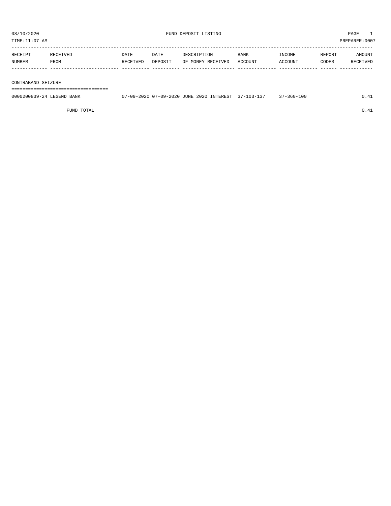| RECEIPT | RECEIVED | DATE     | DATE    | DESCRIPTION       | <b>BANK</b> | INCOME  | REPORT | <b>AMOUNT</b>   |
|---------|----------|----------|---------|-------------------|-------------|---------|--------|-----------------|
| NUMBER  | FROM     | RECEIVED | DEPOSIT | OF MONEY RECEIVED | ACCOUNT     | ACCOUNT | CODES  | <b>RECEIVED</b> |
|         |          |          |         |                   |             |         |        |                 |

#### CONTRABAND SEIZURE

===================================

| 0000200839-24 LEGEND BANK | 7-09-2020 07-09-2020 JUNE 2020 INTEREST |  | $\Omega$<br>$37 - 103 - 1$ | $-360 - 100$ | $\sim$ |
|---------------------------|-----------------------------------------|--|----------------------------|--------------|--------|
|                           |                                         |  |                            |              |        |

FUND TOTAL  $0.41$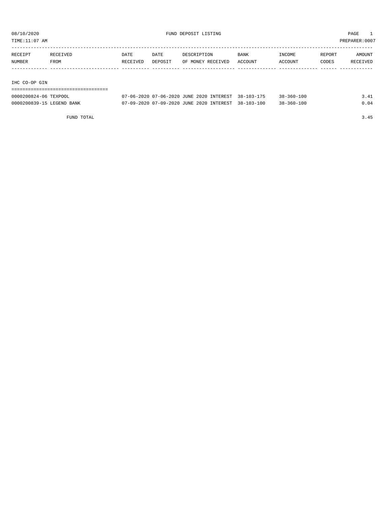TIME:11:07 AM PREPARER:0007

| RECEIPT | RECEIVED | <b>DATE</b> | <b>DATE</b> | DESCRIPTION       | <b>BANK</b> | INCOME  | REPORT | AMOUNT   |
|---------|----------|-------------|-------------|-------------------|-------------|---------|--------|----------|
| NUMBER  | FROM     | RECEIVED    | DEPOSIT     | OF MONEY RECEIVED | ACCOUNT     | ACCOUNT | CODES  | RECEIVED |
|         |          |             |             |                   |             |         |        |          |
|         |          |             |             |                   |             |         |        |          |

IHC CO-OP GIN

| 0000200824-06 TEXPOOL     | 07-06-2020 07-06-2020 JUNE 2020 INTEREST 38-103-175 | 38-360-100       | 3.41 |
|---------------------------|-----------------------------------------------------|------------------|------|
| 0000200839-15 LEGEND BANK | 07-09-2020 07-09-2020 JUNE 2020 INTEREST 38-103-100 | $38 - 360 - 100$ | 0.04 |

FUND TOTAL 3.45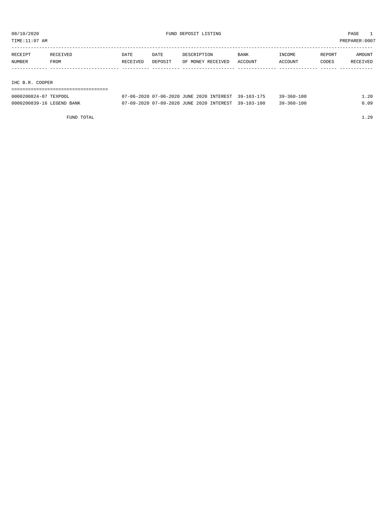TIME:11:07 AM PREPARER:0007

| RECEIPT | RECEIVED        | <b>DATE</b> | DATE    | DESCRIPTION       | <b>BANK</b> | INCOME  | REPORT | AMOUNT   |  |
|---------|-----------------|-------------|---------|-------------------|-------------|---------|--------|----------|--|
| NUMBER  | FROM            | RECEIVED    | DEPOSIT | OF MONEY RECEIVED | ACCOUNT     | ACCOUNT | CODES  | RECEIVED |  |
|         |                 |             |         |                   |             |         |        |          |  |
|         |                 |             |         |                   |             |         |        |          |  |
|         | IHC B.R. COOPER |             |         |                   |             |         |        |          |  |
|         |                 |             |         |                   |             |         |        |          |  |

| 0000200824-07 TEXPOOL     | 07-06-2020 07-06-2020 JUNE 2020 INTEREST 39-103-175 | $39 - 360 - 100$ | . . 20 |
|---------------------------|-----------------------------------------------------|------------------|--------|
| 0000200839-16 LEGEND BANK | 07-09-2020 07-09-2020 JUNE 2020 INTEREST 39-103-100 | $39 - 360 - 100$ | 0.09   |

FUND TOTAL  $1.29$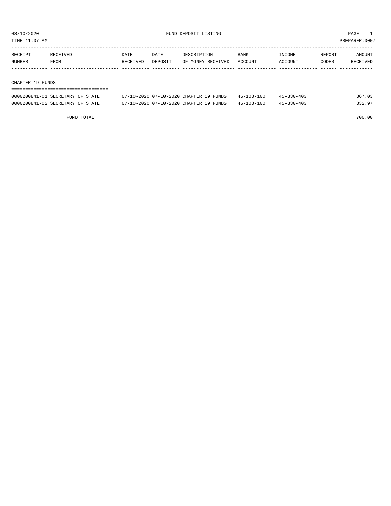TIME:11:07 AM PREPARER:0007

| RECEIPT | RECEIVED | DATE     | DATE    | DESCRIPTION       | <b>BANK</b> | INCOME  | REPORT | AMOUNT   |
|---------|----------|----------|---------|-------------------|-------------|---------|--------|----------|
| NUMBER  | FROM     | RECEIVED | DEPOSIT | OF MONEY RECEIVED | ACCOUNT     | ACCOUNT | CODES  | RECEIVED |
|         |          |          |         |                   |             |         |        |          |
|         |          |          |         |                   |             |         |        |          |

#### CHAPTER 19 FUNDS

| ---------------------------------- |                                        |                  |            |        |
|------------------------------------|----------------------------------------|------------------|------------|--------|
| 0000200841-01 SECRETARY OF STATE   | 07-10-2020 07-10-2020 CHAPTER 19 FUNDS | $45 - 103 - 100$ | 45-330-403 | 367.03 |
| 0000200841-02 SECRETARY OF STATE   | 07-10-2020 07-10-2020 CHAPTER 19 FUNDS | 45-103-100       | 45-330-403 | 332.97 |

FUND TOTAL 700.00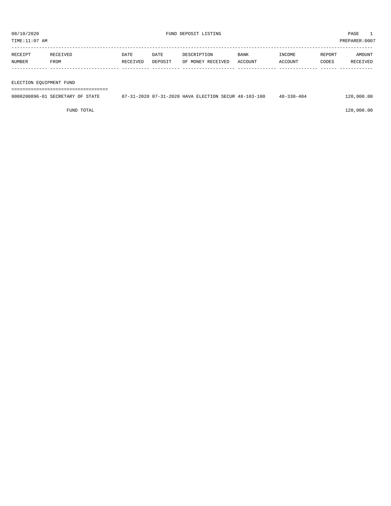| RECEIPT | RECEIVED    | <b>DATE</b> | DATE    | DESCRIPTION       | <b>BANK</b> | INCOME         | REPORT | AMOUNT   |
|---------|-------------|-------------|---------|-------------------|-------------|----------------|--------|----------|
| NUMBER  | <b>FROM</b> | RECEIVED    | DEPOSIT | OF MONEY RECEIVED | ACCOUNT     | <b>ACCOUNT</b> | CODES  | RECEIVED |
|         |             |             |         |                   |             |                |        |          |
|         |             |             |         |                   |             |                |        |          |

ELECTION EQUIPMENT FUND

===================================

| 0000200896-01 SECRETARY OF STATE | 07-31-2020 07-31-2020 HAVA ELECTION SECUR 48-103-100 |  | $48 - 330 - 404$ | 120,000.00 |
|----------------------------------|------------------------------------------------------|--|------------------|------------|
|                                  |                                                      |  |                  |            |

 $FUND$  to the contract of  $120,000.00$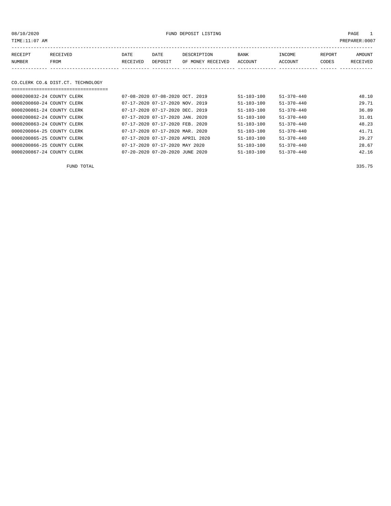08/10/2020 FUND DEPOSIT LISTING PAGE 1

| RECEIPT | RECEIVED                          | DATE     | DATE                            | DESCRIPTION |                   | BANK             | INCOME           | REPORT | AMOUNT   |
|---------|-----------------------------------|----------|---------------------------------|-------------|-------------------|------------------|------------------|--------|----------|
| NUMBER  | FROM                              | RECEIVED | DEPOSIT                         |             | OF MONEY RECEIVED | <b>ACCOUNT</b>   | ACCOUNT          | CODES  | RECEIVED |
|         |                                   |          |                                 |             |                   |                  |                  |        |          |
|         |                                   |          |                                 |             |                   |                  |                  |        |          |
|         | CO.CLERK CO.& DIST.CT. TECHNOLOGY |          |                                 |             |                   |                  |                  |        |          |
|         | ------------------------------    |          |                                 |             |                   |                  |                  |        |          |
|         | 0000200832-24 COUNTY CLERK        |          | 07-08-2020 07-08-2020 OCT. 2019 |             |                   | $51 - 103 - 100$ | $51 - 370 - 440$ |        | 48.10    |

| UUUUAUUOJATAT COUNII CHERR | $(11 - 0.0 - 2.02.0 - 0.1 - 0.0 - 2.02.0 - 0.01 - 2.01 - 2.01 - 0.01 - 0.01 - 0.01 - 0.01 - 0.01 - 0.01 - 0.01 - 0.01 - 0.01 - 0.01 - 0.01 - 0.01 - 0.01 - 0.01 - 0.01 - 0.01 - 0.01 - 0.01 - 0.01 - 0.01 - 0.01 - 0.01 - 0.01 - 0.01 - 0.01 - 0.01 - 0.01 - 0.01$ | $.11 - 1.0.2 - 1.00$ | $.11 - .111 - .711$ | <b>TO.LU</b> |
|----------------------------|--------------------------------------------------------------------------------------------------------------------------------------------------------------------------------------------------------------------------------------------------------------------|----------------------|---------------------|--------------|
| 0000200860-24 COUNTY CLERK | 07-17-2020 07-17-2020 NOV. 2019                                                                                                                                                                                                                                    | $51 - 103 - 100$     | $51 - 370 - 440$    | 29.71        |
| 0000200861-24 COUNTY CLERK | 07-17-2020 07-17-2020 DEC. 2019                                                                                                                                                                                                                                    | $51 - 103 - 100$     | $51 - 370 - 440$    | 36.89        |
| 0000200862-24 COUNTY CLERK | 07-17-2020 07-17-2020 JAN. 2020                                                                                                                                                                                                                                    | $51 - 103 - 100$     | $51 - 370 - 440$    | 31.01        |
| 0000200863-24 COUNTY CLERK | 07-17-2020 07-17-2020 FEB. 2020                                                                                                                                                                                                                                    | $51 - 103 - 100$     | $51 - 370 - 440$    | 48.23        |
| 0000200864-25 COUNTY CLERK | 07-17-2020 07-17-2020 MAR. 2020                                                                                                                                                                                                                                    | $51 - 103 - 100$     | $51 - 370 - 440$    | 41.71        |
| 0000200865-25 COUNTY CLERK | 07-17-2020 07-17-2020 APRIL 2020                                                                                                                                                                                                                                   | $51 - 103 - 100$     | $51 - 370 - 440$    | 29.27        |
| 0000200866-25 COUNTY CLERK | 07-17-2020 07-17-2020 MAY 2020                                                                                                                                                                                                                                     | $51 - 103 - 100$     | $51 - 370 - 440$    | 28.67        |
| 0000200867-24 COUNTY CLERK | 07-20-2020 07-20-2020 JUNE 2020                                                                                                                                                                                                                                    | $51 - 103 - 100$     | $51 - 370 - 440$    | 42.16        |

FUND TOTAL 335.75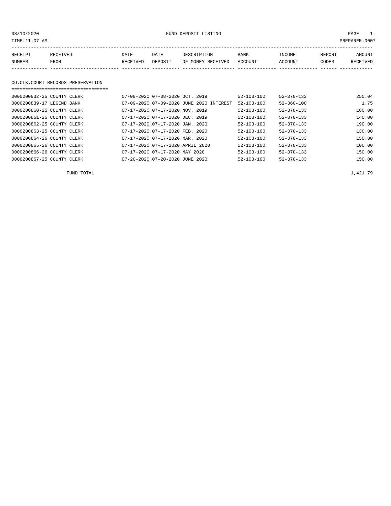08/10/2020 FUND DEPOSIT LISTING PAGE 1

| RECEIPT | <b>RECEIVED</b> | DATE            | DATE    | DESCRIPTION       | <b>BANK</b> | INCOME  | REPORT | AMOUNT          |
|---------|-----------------|-----------------|---------|-------------------|-------------|---------|--------|-----------------|
| NUMBER  | FROM            | <b>RECEIVED</b> | DEPOSIT | OF MONEY RECEIVED | ACCOUNT     | ACCOUNT | CODES  | <b>RECEIVED</b> |
|         |                 |                 |         |                   |             |         |        |                 |

#### CO.CLK.COURT RECORDS PRESERVATION ===================================

| 0000200832-25 COUNTY CLERK | $07 - 08 - 2020$ $07 - 08 - 2020$ $0CT$ , 2019 | $52 - 103 - 100$ | $52 - 370 - 133$ | 250.04 |
|----------------------------|------------------------------------------------|------------------|------------------|--------|
| 0000200839-17 LEGEND BANK  | 07-09-2020 07-09-2020 JUNE 2020 INTEREST       | $52 - 103 - 100$ | $52 - 360 - 100$ | 1.75   |
| 0000200860-25 COUNTY CLERK | 07-17-2020 07-17-2020 NOV. 2019                | $52 - 103 - 100$ | $52 - 370 - 133$ | 160.00 |
| 0000200861-25 COUNTY CLERK | 07-17-2020 07-17-2020 DEC. 2019                | $52 - 103 - 100$ | $52 - 370 - 133$ | 140.00 |
| 0000200862-25 COUNTY CLERK | $07-17-2020$ $07-17-2020$ JAN. 2020            | $52 - 103 - 100$ | $52 - 370 - 133$ | 190.00 |
| 0000200863-25 COUNTY CLERK | 07-17-2020 07-17-2020 FEB. 2020                | $52 - 103 - 100$ | $52 - 370 - 133$ | 130.00 |
| 0000200864-26 COUNTY CLERK | 07-17-2020 07-17-2020 MAR. 2020                | $52 - 103 - 100$ | $52 - 370 - 133$ | 150.00 |
| 0000200865-26 COUNTY CLERK | 07-17-2020 07-17-2020 APRIL 2020               | $52 - 103 - 100$ | $52 - 370 - 133$ | 100.00 |
| 0000200866-26 COUNTY CLERK | 07-17-2020 07-17-2020 MAY 2020                 | $52 - 103 - 100$ | $52 - 370 - 133$ | 150.00 |
| 0000200867-25 COUNTY CLERK | $07 - 20 - 2020$ $07 - 20 - 2020$ JUNE 2020    | $52 - 103 - 100$ | $52 - 370 - 133$ | 150.00 |

FUND TOTAL  $1,421.79$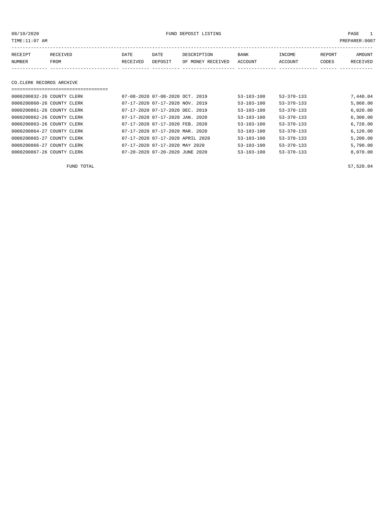PAGE 1<br>PREPARER:0007

| 08/10/2020                 |                 |                                 | FUND DEPOSIT LISTING                                                                                                                                                                                                                                                                                                                                                                 |                   |                     |                   |        |                |  |
|----------------------------|-----------------|---------------------------------|--------------------------------------------------------------------------------------------------------------------------------------------------------------------------------------------------------------------------------------------------------------------------------------------------------------------------------------------------------------------------------------|-------------------|---------------------|-------------------|--------|----------------|--|
| TIME:11:07 AM              |                 |                                 |                                                                                                                                                                                                                                                                                                                                                                                      |                   |                     |                   |        | PREPARER: 000' |  |
|                            |                 |                                 |                                                                                                                                                                                                                                                                                                                                                                                      |                   |                     |                   |        |                |  |
| RECEIPT                    | <b>RECEIVED</b> | DATE                            | DATE                                                                                                                                                                                                                                                                                                                                                                                 | DESCRIPTION       | BANK                | INCOME            | REPORT | AMOUNT         |  |
| NUMBER                     | FROM            | RECEIVED                        | DEPOSIT                                                                                                                                                                                                                                                                                                                                                                              | OF MONEY RECEIVED | ACCOUNT             | ACCOUNT           | CODES  | RECEIVED       |  |
|                            |                 |                                 |                                                                                                                                                                                                                                                                                                                                                                                      |                   |                     |                   |        |                |  |
|                            |                 |                                 |                                                                                                                                                                                                                                                                                                                                                                                      |                   |                     |                   |        |                |  |
| CO.CLERK RECORDS ARCHIVE   |                 |                                 |                                                                                                                                                                                                                                                                                                                                                                                      |                   |                     |                   |        |                |  |
|                            |                 |                                 |                                                                                                                                                                                                                                                                                                                                                                                      |                   |                     |                   |        |                |  |
| 0000200832-26 COUNTY CLERK |                 |                                 | 07-08-2020 07-08-2020 OCT. 2019                                                                                                                                                                                                                                                                                                                                                      |                   | $53 - 103 - 100$    | $53 - 370 - 133$  |        | 7,440.04       |  |
| 0000200860-26 COUNTY CLERK |                 | 07-17-2020 07-17-2020 NOV. 2019 |                                                                                                                                                                                                                                                                                                                                                                                      |                   | $53 - 103 - 100$    | $53 - 370 - 133$  |        | 5,860.00       |  |
|                            |                 |                                 | $\overline{0}$ $\overline{1}$ $\overline{1}$ $\overline{0}$ $\overline{0}$ $\overline{0}$ $\overline{0}$ $\overline{0}$ $\overline{0}$ $\overline{1}$ $\overline{1}$ $\overline{0}$ $\overline{0}$ $\overline{1}$ $\overline{0}$ $\overline{0}$ $\overline{1}$ $\overline{0}$ $\overline{0}$ $\overline{1}$ $\overline{0}$ $\overline{0}$ $\overline{1}$ $\overline{0}$ $\overline{$ |                   | <b>FO. 100.100.</b> | <b>FO ORA 199</b> |        | $\sim$ 000 00  |  |

| 0000200861-26 COUNTY CLERK |  | 07-17-2020 07-17-2020 DEC. 2019  | $53 - 103 - 100$ | $53 - 370 - 133$ | 6,020.00 |
|----------------------------|--|----------------------------------|------------------|------------------|----------|
| 0000200862-26 COUNTY CLERK |  | 07-17-2020 07-17-2020 JAN. 2020  | $53 - 103 - 100$ | $53 - 370 - 133$ | 6,300.00 |
| 0000200863-26 COUNTY CLERK |  | 07-17-2020 07-17-2020 FEB. 2020  | $53 - 103 - 100$ | $53 - 370 - 133$ | 6,720.00 |
| 0000200864-27 COUNTY CLERK |  | 07-17-2020 07-17-2020 MAR. 2020  | $53 - 103 - 100$ | $53 - 370 - 133$ | 6,120.00 |
| 0000200865-27 COUNTY CLERK |  | 07-17-2020 07-17-2020 APRIL 2020 | $53 - 103 - 100$ | $53 - 370 - 133$ | 5,200.00 |
| 0000200866-27 COUNTY CLERK |  | 07-17-2020 07-17-2020 MAY 2020   | $53 - 103 - 100$ | $53 - 370 - 133$ | 5,790.00 |
| 0000200867-26 COUNTY CLERK |  | 07-20-2020 07-20-2020 JUNE 2020  | $53 - 103 - 100$ | $53 - 370 - 133$ | 8,070.00 |

 $FUND$  TOTAL 57,520.04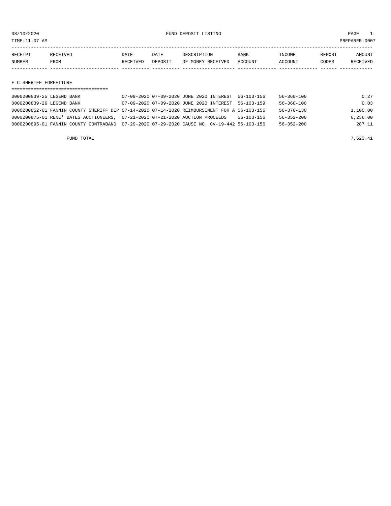TIME:11:07 AM PREPARER:0007

| RECEIPT       | <b>RECEIVED</b> | DATE     | DATE    | DESCRIPTION       | BANK           | <b>NCOME</b> | REPORT | AMOUNT          |
|---------------|-----------------|----------|---------|-------------------|----------------|--------------|--------|-----------------|
| <b>NUMBER</b> | FROM            | RECEIVED | DEPOSIT | OF MONEY RECEIVED | <b>ACCOUNT</b> | CCOUNT       | CODES  | <b>RECEIVED</b> |
|               |                 |          |         |                   |                |              |        |                 |

F C SHERIFF FORFEITURE

| 0000200839-25 LEGEND BANK                                                                    |  | 07-09-2020 07-09-2020 JUNE 2020 INTEREST 56-103-156 |                  | 56-360-100       | 0.27     |
|----------------------------------------------------------------------------------------------|--|-----------------------------------------------------|------------------|------------------|----------|
| 0000200839-26 LEGEND BANK                                                                    |  | 07-09-2020 07-09-2020 JUNE 2020 INTEREST 56-103-159 |                  | $56 - 360 - 100$ | 0.03     |
| 0000200852-01 FANNIN COUNTY SHERIFF DEP 07-14-2020 07-14-2020 REIMBURSEMENT FOR A 56-103-156 |  |                                                     |                  | $56 - 370 - 130$ | 1,100.00 |
| 0000200875-01 RENE' BATES AUCTIONEERS, 07-21-2020 07-21-2020 AUCTION PROCEEDS                |  |                                                     | $56 - 103 - 156$ | $56 - 352 - 200$ | 6.236.00 |
| 0000200895-01 FANNIN COUNTY CONTRABAND 07-29-2020 07-29-2020 CAUSE NO. CV-19-442 56-103-156  |  |                                                     |                  | $56 - 352 - 200$ | 287.11   |
|                                                                                              |  |                                                     |                  |                  |          |

FUND TOTAL  $7,623.41$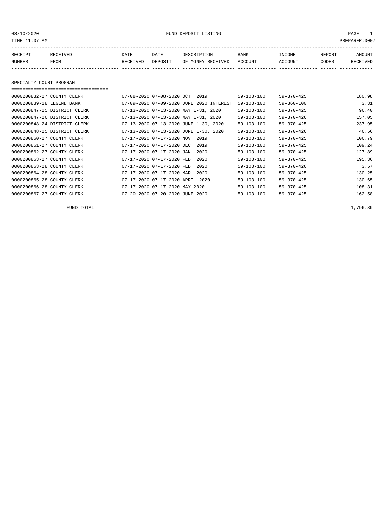#### 08/10/2020 PAGE 1 PAGE 1

| RECEIPT       | TE TVED | DATE     | DATE    | DESCRIPTION          | <b>BANK</b>    | <b>INCOME</b> | REPORT | MOUNT  |
|---------------|---------|----------|---------|----------------------|----------------|---------------|--------|--------|
| <b>NUMBER</b> | FROM    | RECEIVED | DEPOSIT | RECEIVED<br>OF MONEY | <b>ACCOUNT</b> | ACCOUNT       | CODES  | CEIVED |
|               |         |          |         |                      |                |               |        |        |

SPECIALTY COURT PROGRAM

===================================

#### 0000200832-27 COUNTY CLERK 07-08-2020 07-08-2020 OCT. 2019 59-103-100 59-370-425 180.98 0000200839-18 LEGEND BANK 07-09-2020 07-09-2020 JUNE 2020 INTEREST 59-103-100 59-360-100 3.31 0000200847-25 DISTRICT CLERK 07-13-2020 07-13-2020 MAY 1-31, 2020 59-103-100 59-370-425 96.40 0000200847-26 DISTRICT CLERK 07-13-2020 07-13-2020 MAY 1-31, 2020 59-103-100 59-370-426 157.05 0000200848-24 DISTRICT CLERK 07-13-2020 07-13-2020 JUNE 1-30, 2020 59-103-100 59-370-425 237.95 0000200848-25 DISTRICT CLERK 07-13-2020 07-13-2020 JUNE 1-30, 2020 59-103-100 59-370-426 46.56 0000200860-27 COUNTY CLERK 07-17-2020 07-17-2020 NOV. 2019 59-103-100 59-370-425 106.79 0000200861-27 COUNTY CLERK 07-17-2020 07-17-2020 DEC. 2019 59-103-100 59-370-425 109.24 0000200862-27 COUNTY CLERK 607-17-2020 07-17-2020 JAN. 2020 59-103-100 59-370-425 127.89<br>0000200863-27 COUNTY CLERK 607-17-2020 07-17-2020 FEB. 2020 59-103-100 59-370-425 195.36 07-17-2020 07-17-2020 FEB. 2020 59-103-100 59-370-425 195.36 0000200863-28 COUNTY CLERK 07-17-2020 07-17-2020 FEB. 2020 59-103-100 59-370-426 3.57 0000200864-28 COUNTY CLERK 07-17-2020 07-17-2020 MAR. 2020 59-103-100 59-370-425 130.25 0000200865-28 COUNTY CLERK 07-17-2020 07-17-2020 APRIL 2020 59-103-100 59-370-425 130.65 0000200866-28 COUNTY CLERK 07-17-2020 07-17-2020 MAY 2020 59-103-100 59-370-425 108.31 0000200867-27 COUNTY CLERK 07-20-2020 07-20-2020 JUNE 2020 59-103-100 59-370-425 162.58

FUND TOTAL  $1,796.89$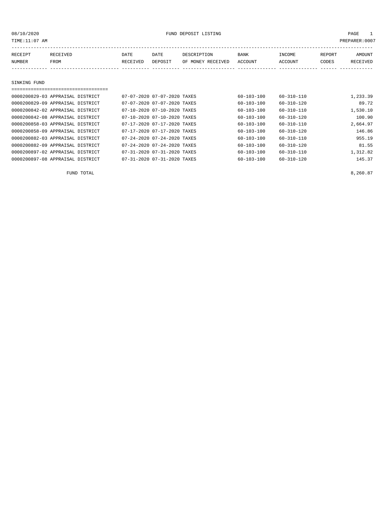| TIME:11:07 AM                    |          |          |                             |                   |                  |                  |        | PREPARER: 0007  |
|----------------------------------|----------|----------|-----------------------------|-------------------|------------------|------------------|--------|-----------------|
| RECEIPT                          | RECEIVED | DATE     | DATE                        | DESCRIPTION       | BANK             | INCOME           | REPORT | AMOUNT          |
| <b>NUMBER</b>                    | FROM     | RECEIVED | DEPOSIT                     | OF MONEY RECEIVED | ACCOUNT          | ACCOUNT          | CODES  | <b>RECEIVED</b> |
|                                  |          |          |                             |                   |                  |                  |        |                 |
|                                  |          |          |                             |                   |                  |                  |        |                 |
| SINKING FUND                     |          |          |                             |                   |                  |                  |        |                 |
|                                  |          |          |                             |                   |                  |                  |        |                 |
| 0000200829-03 APPRAISAL DISTRICT |          |          | 07-07-2020 07-07-2020 TAXES |                   | $60 - 103 - 100$ | $60 - 310 - 110$ |        | 1,233.39        |
| 0000200829-09 APPRAISAL DISTRICT |          |          | 07-07-2020 07-07-2020 TAXES |                   | $60 - 103 - 100$ | $60 - 310 - 120$ |        | 89.72           |
| 0000200842-02 APPRAISAL DISTRICT |          |          | 07-10-2020 07-10-2020 TAXES |                   | 60-103-100       | 60-310-110       |        | 1,530.10        |
| 0000200842-08 APPRAISAL DISTRICT |          |          | 07-10-2020 07-10-2020 TAXES |                   | $60 - 103 - 100$ | $60 - 310 - 120$ |        | 100.90          |
| 0000200858-03 APPRAISAL DISTRICT |          |          | 07-17-2020 07-17-2020 TAXES |                   | $60 - 103 - 100$ | $60 - 310 - 110$ |        | 2,664.97        |
| 0000200858-09 APPRAISAL DISTRICT |          |          | 07-17-2020 07-17-2020 TAXES |                   | $60 - 103 - 100$ | $60 - 310 - 120$ |        | 146.86          |
| 0000200882-03 APPRAISAL DISTRICT |          |          | 07-24-2020 07-24-2020 TAXES |                   | 60-103-100       | $60 - 310 - 110$ |        | 955.19          |
| 0000200882-09 APPRAISAL DISTRICT |          |          | 07-24-2020 07-24-2020 TAXES |                   | $60 - 103 - 100$ | $60 - 310 - 120$ |        | 81.55           |
| 0000200897-02 APPRAISAL DISTRICT |          |          | 07-31-2020 07-31-2020 TAXES |                   | $60 - 103 - 100$ | $60 - 310 - 110$ |        | 1,312.82        |

0000200897-08 APPRAISAL DISTRICT 07-31-2020 07-31-2020 TAXES 60-103-100 60-310-120 145.37

FUND TOTAL  $8,260.87$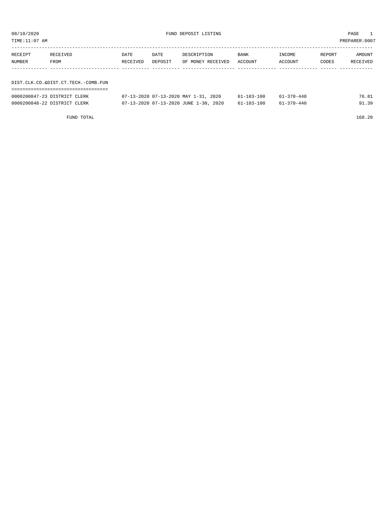TIME:11:07 AM PREPARER:0007

| RECEIPT | RECEIVED                            | DATE     | DATE    | DESCRIPTION       | BANK    | INCOME  | REPORT | AMOUNT   |
|---------|-------------------------------------|----------|---------|-------------------|---------|---------|--------|----------|
| NUMBER  | FROM                                | RECEIVED | DEPOSIT | OF MONEY RECEIVED | ACCOUNT | ACCOUNT | CODES  | RECEIVED |
|         |                                     |          |         |                   |         |         |        |          |
|         |                                     |          |         |                   |         |         |        |          |
|         | DIST.CLK.CO.&DIST.CT.TECH.-COMB.FUN |          |         |                   |         |         |        |          |
|         |                                     |          |         |                   |         |         |        |          |

| 0000200847-23 DISTRICT CLERK | 07-13-2020 07-13-2020 MAY 1-31, 2020  | 61-103-100       | $61 - 370 - 440$ | 76.81 |
|------------------------------|---------------------------------------|------------------|------------------|-------|
| 0000200848-22 DISTRICT CLERK | 07-13-2020 07-13-2020 JUNE 1-30, 2020 | $61 - 103 - 100$ | $61 - 370 - 440$ | 91.39 |

FUND TOTAL 168.20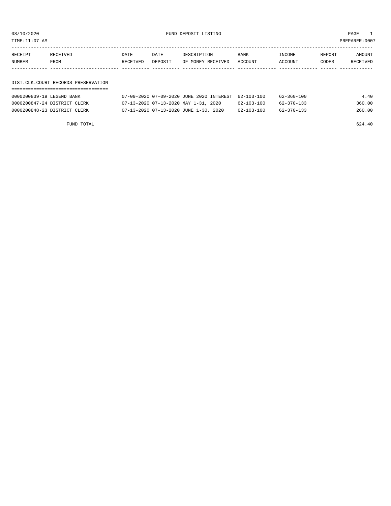08/10/2020 FUND DEPOSIT LISTING PAGE 1

| RECEIPT | RECEIVED | DATE     | DATE    | DESCRIPTION               | BANK | INCOME  | REPORT | AMOUNT   |
|---------|----------|----------|---------|---------------------------|------|---------|--------|----------|
| NUMBER  | FROM     | RECEIVED | DEPOSIT | OF MONEY RECEIVED ACCOUNT |      | ACCOUNT | CODES  | RECEIVED |
|         |          |          |         |                           |      |         |        |          |
|         |          |          |         |                           |      |         |        |          |

#### DIST.CLK.COURT RECORDS PRESERVATION ===================================

| 0000200839-19 LEGEND BANK    | 07-09-2020 07-09-2020 JUNE 2020 INTEREST 62-103-100 |            | $62 - 360 - 100$ | 4.40   |
|------------------------------|-----------------------------------------------------|------------|------------------|--------|
| 0000200847-24 DISTRICT CLERK | 07-13-2020 07-13-2020 MAY 1-31, 2020                | 62-103-100 | 62-370-133       | 360.00 |
| 0000200848-23 DISTRICT CLERK | 07-13-2020 07-13-2020 JUNE 1-30, 2020               | 62-103-100 | 62-370-133       | 260.00 |

FUND TOTAL 624.40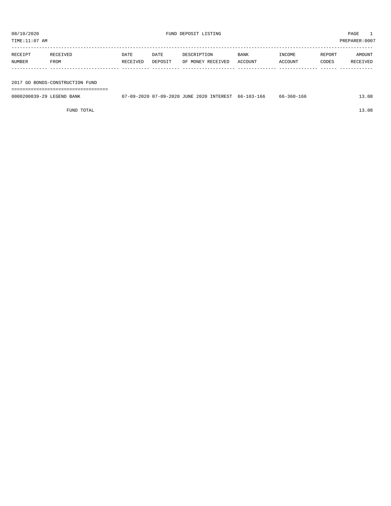TIME:11:07 AM PREPARER:0007

| RECEIPT | RECEIVED    | DATE     | DATE    | DESCRIPTION       | <b>BANK</b> | INCOME  | REPORT | AMOUNT   |
|---------|-------------|----------|---------|-------------------|-------------|---------|--------|----------|
| NUMBER  | <b>FROM</b> | RECEIVED | DEPOSIT | OF MONEY RECEIVED | ACCOUNT     | ACCOUNT | CODES  | RECEIVED |
|         |             |          |         |                   |             |         |        |          |
|         |             |          |         |                   |             |         |        |          |

2017 GO BONDS-CONSTRUCTION FUND

===================================

| 0000200839-29 LEGEND BANK | /-09-2020 07-09-2020 JUNE 2020 INTEREST | 66-103-166 | 66-360-166 | .3.08 |
|---------------------------|-----------------------------------------|------------|------------|-------|
|                           |                                         |            |            |       |
|                           |                                         |            |            |       |

FUND TOTAL 13.08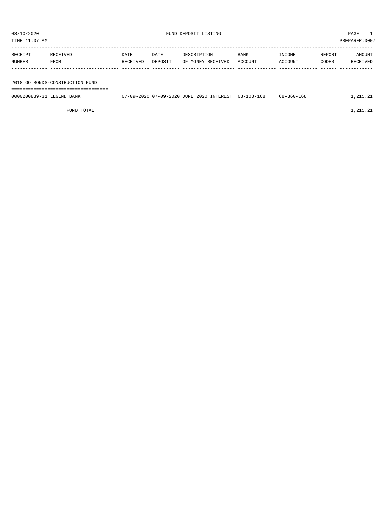| TIME:11:07 AM |                                 |          |         |                   |         |         |        | PREPARER: 0007 |
|---------------|---------------------------------|----------|---------|-------------------|---------|---------|--------|----------------|
| RECEIPT       | RECEIVED                        | DATE     | DATE    | DESCRIPTION       | BANK    | INCOME  | REPORT | AMOUNT         |
|               |                                 |          |         |                   | ACCOUNT |         |        |                |
| NUMBER        | FROM                            | RECEIVED | DEPOSIT | OF MONEY RECEIVED |         | ACCOUNT | CODES  | RECEIVED       |
|               |                                 |          |         |                   |         |         |        |                |
|               | 2018 GO BONDS-CONSTRUCTION FUND |          |         |                   |         |         |        |                |

===================================

| 0000200839-31 LEGEND BANK | 07-09-2020 07-09-2020 JUNE 2020 INTEREST 68-103-168 |  | 68-360-168 | 1,215.21 |
|---------------------------|-----------------------------------------------------|--|------------|----------|
|                           |                                                     |  |            |          |

FUND TOTAL  $1,215.21$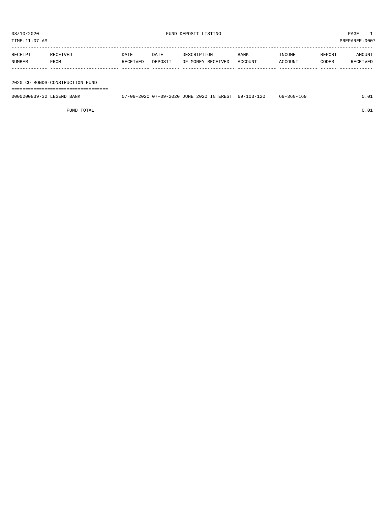TIME:11:07 AM PREPARER:0007

| RECEIPT | RECEIVED | DATE     | DATE    | DESCRIPTION       | <b>BANK</b> | INCOME  | REPORT | AMOUNT   |
|---------|----------|----------|---------|-------------------|-------------|---------|--------|----------|
| NUMBER  | FROM     | RECEIVED | DEPOSIT | OF MONEY RECEIVED | ACCOUNT     | ACCOUNT | CODES  | RECEIVED |
|         |          |          |         |                   |             |         |        |          |
|         |          |          |         |                   |             |         |        |          |

2020 CO BONDS-CONSTRUCTION FUND

===================================

| 0000200839-32<br>LEGEND.<br>BANK | )7-09-2020<br>2020<br>റാ - | 2020<br>INTEREST<br><b>JUNE</b> | $-120$<br>$103 - x$<br>$69-$ | .69<br>$5011 -$ |  |
|----------------------------------|----------------------------|---------------------------------|------------------------------|-----------------|--|
|                                  |                            |                                 |                              |                 |  |

FUND TOTAL  $0.01$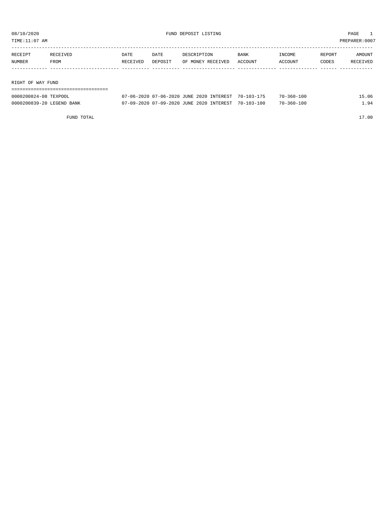TIME:11:07 AM PREPARER:0007

| RECEIPT | RECEIVED          | DATE     | DATE    | DESCRIPTION       | BANK    | INCOME  | REPORT | AMOUNT   |  |
|---------|-------------------|----------|---------|-------------------|---------|---------|--------|----------|--|
| NUMBER  | FROM              | RECEIVED | DEPOSIT | OF MONEY RECEIVED | ACCOUNT | ACCOUNT | CODES  | RECEIVED |  |
|         |                   |          |         |                   |         |         |        |          |  |
|         |                   |          |         |                   |         |         |        |          |  |
|         | RIGHT OF WAY FUND |          |         |                   |         |         |        |          |  |
|         |                   |          |         |                   |         |         |        |          |  |

| 0000200824-08 TEXPOOL     | 07-06-2020 07-06-2020 JUNE 2020 INTEREST 70-103-175 | 70-360-100       |  |
|---------------------------|-----------------------------------------------------|------------------|--|
| 0000200839-20 LEGEND BANK | 07-09-2020 07-09-2020 JUNE 2020 INTEREST 70-103-100 | $70 - 360 - 100$ |  |

FUND TOTAL 17.00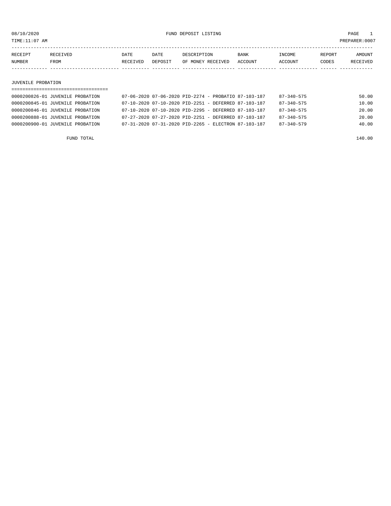TIME:11:07 AM PREPARER:0007

| RECEIPT | RECEIVED | DATE     | DATE    | DESCRIPTION       | <b>BANK</b> | <b>INCOME</b> | <b>REPORT</b> | AMOUNT          |
|---------|----------|----------|---------|-------------------|-------------|---------------|---------------|-----------------|
| NUMBER  | FROM     | RECEIVED | DEPOSIT | OF MONEY RECEIVED | ACCOUNT     | ACCOUNT       | CODES         | <b>RECEIVED</b> |
|         |          |          |         |                   |             |               |               |                 |

#### JUVENILE PROBATION

### =================================== 0000200826-01 JUVENILE PROBATION 07-06-2020 07-06-2020 PID-2274 - PROBATIO 87-103-187 87-340-575 50.00 0000200845-01 JUVENILE PROBATION 07-10-2020 07-10-2020 PID-2251 - DEFERRED 87-103-187 87-340-575 10.00 0000200846-01 JUVENILE PROBATION 07-10-2020 07-10-2020 PID-2295 - DEFERRED 87-103-187 87-340-575 20.00 0000200888-01 JUVENILE PROBATION 07-27-2020 07-27-2020 PID-2251 - DEFERRED 87-103-187 87-340-575 20.00 0000200900-01 JUVENILE PROBATION 07-31-2020 07-31-2020 PID-2265 - ELECTRON 87-103-187 87-340-579 40.00

FUND TOTAL 140.00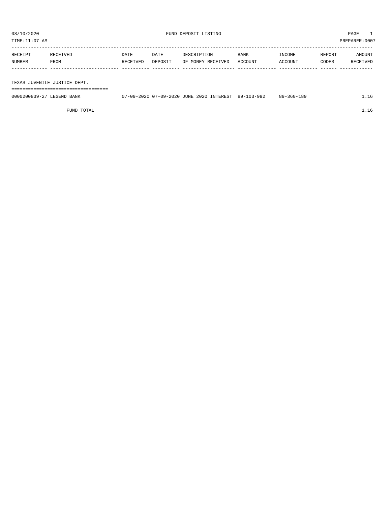| TIME:11:07 AM       |          |         |                   |         |         | PREPARER:0007 |          |
|---------------------|----------|---------|-------------------|---------|---------|---------------|----------|
| RECEIVED<br>RECEIPT | DATE     | DATE    | DESCRIPTION       | BANK    | INCOME  | REPORT        | AMOUNT   |
| NUMBER<br>FROM      | RECEIVED | DEPOSIT | OF MONEY RECEIVED | ACCOUNT | ACCOUNT | CODES         | RECEIVED |
|                     |          |         |                   |         |         |               |          |
|                     |          |         |                   |         |         |               |          |

TEXAS JUVENILE JUSTICE DEPT.

| --------------------------------<br>-----<br>------------------------------ |                                                   |            |                  |  |
|-----------------------------------------------------------------------------|---------------------------------------------------|------------|------------------|--|
| 0000200839-27<br>LEGEND BANK                                                | 7-09-2020 07-09-2020 JUNE 2020 INTEREST<br>$\cap$ | 89-103-992 | $89 - 360 - 189$ |  |

FUND TOTAL  $1.16$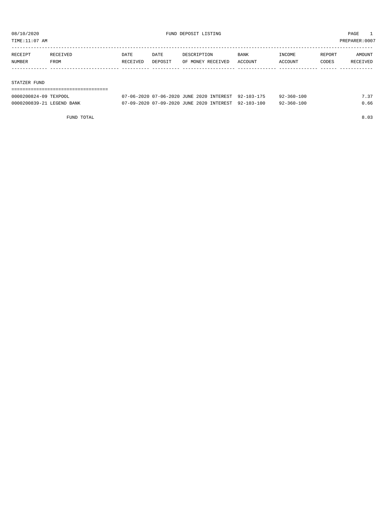TIME:11:07 AM PREPARER:0007

| RECEIPT | RECEIVED | DATE     | DATE    | DESCRIPTION       | BANK    | INCOME  | REPORT | AMOUNT   |
|---------|----------|----------|---------|-------------------|---------|---------|--------|----------|
| NUMBER  | FROM     | RECEIVED | DEPOSIT | OF MONEY RECEIVED | ACCOUNT | ACCOUNT | CODES  | RECEIVED |
|         |          |          |         |                   |         |         |        |          |
|         |          |          |         |                   |         |         |        |          |

#### STATZER FUND

| -----------------------   |                                                     |                  |      |
|---------------------------|-----------------------------------------------------|------------------|------|
| 0000200824-09 TEXPOOL     | 07-06-2020 07-06-2020 JUNE 2020 INTEREST 92-103-175 | 92-360-100       | 7 37 |
| 0000200839-21 LEGEND BANK | 07-09-2020 07-09-2020 JUNE 2020 INTEREST 92-103-100 | $92 - 360 - 100$ | 0.66 |

FUND TOTAL 8.03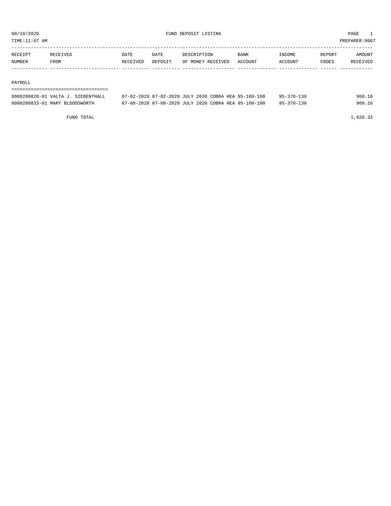TIME:11:07 AM PREPARER:0007

| RECEIPT | RECEIVED | DATE     | DATE           | DESCRIPTION       | <b>BANK</b> | INCOME  | REPORT | AMOUNT          |
|---------|----------|----------|----------------|-------------------|-------------|---------|--------|-----------------|
| NUMBER  | FROM     | RECEIVED | <b>DEPOSTT</b> | OF MONEY RECEIVED | ACCOUNT     | ACCOUNT | CODES  | <b>RECEIVED</b> |
|         |          |          |                |                   |             |         |        |                 |

#### PAYROLL

#### ===================================

| 0000200820-01 VALTA J. SIEBENTHALL | 07-02-2020 07-02-2020 JULY 2020 COBRA HEA 95-100-100 | $95 - 370 - 130$ | 960.16 |
|------------------------------------|------------------------------------------------------|------------------|--------|
| 0000200833-01 MARY BLOODSWORTH     | 07-08-2020 07-08-2020 JULY 2020 COBRA HEA 95-100-100 | $95 - 370 - 130$ | 960.16 |

FUND TOTAL 1,920.32